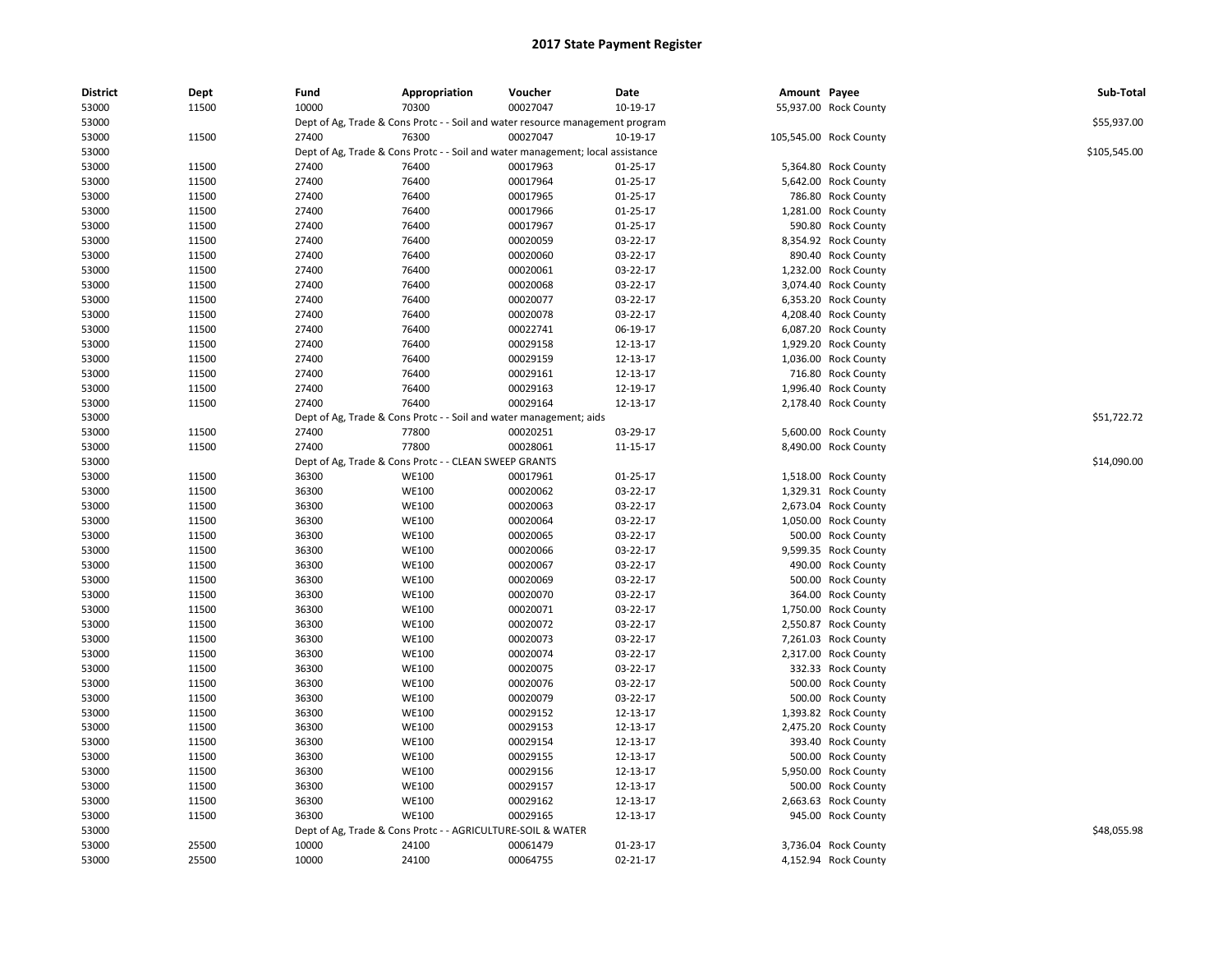| <b>District</b> | Dept  | Fund  | Appropriation                                                                  | Voucher  | Date           | Amount Payee |                        | Sub-Total    |
|-----------------|-------|-------|--------------------------------------------------------------------------------|----------|----------------|--------------|------------------------|--------------|
| 53000           | 11500 | 10000 | 70300                                                                          | 00027047 | 10-19-17       |              | 55,937.00 Rock County  |              |
| 53000           |       |       | Dept of Ag, Trade & Cons Protc - - Soil and water resource management program  |          |                |              |                        | \$55,937.00  |
| 53000           | 11500 | 27400 | 76300                                                                          | 00027047 | 10-19-17       |              | 105,545.00 Rock County |              |
| 53000           |       |       | Dept of Ag, Trade & Cons Protc - - Soil and water management; local assistance |          |                |              |                        | \$105,545.00 |
| 53000           | 11500 | 27400 | 76400                                                                          | 00017963 | $01 - 25 - 17$ |              | 5,364.80 Rock County   |              |
| 53000           | 11500 | 27400 | 76400                                                                          | 00017964 | 01-25-17       |              | 5,642.00 Rock County   |              |
| 53000           | 11500 | 27400 | 76400                                                                          | 00017965 | 01-25-17       |              | 786.80 Rock County     |              |
| 53000           | 11500 | 27400 | 76400                                                                          | 00017966 | 01-25-17       |              | 1,281.00 Rock County   |              |
| 53000           | 11500 | 27400 | 76400                                                                          | 00017967 | 01-25-17       |              | 590.80 Rock County     |              |
| 53000           | 11500 | 27400 | 76400                                                                          | 00020059 | 03-22-17       |              | 8,354.92 Rock County   |              |
| 53000           | 11500 | 27400 | 76400                                                                          | 00020060 | 03-22-17       |              | 890.40 Rock County     |              |
| 53000           | 11500 | 27400 | 76400                                                                          | 00020061 | 03-22-17       |              | 1,232.00 Rock County   |              |
| 53000           | 11500 | 27400 | 76400                                                                          | 00020068 | 03-22-17       |              | 3,074.40 Rock County   |              |
| 53000           | 11500 | 27400 | 76400                                                                          | 00020077 | 03-22-17       |              | 6,353.20 Rock County   |              |
| 53000           | 11500 | 27400 | 76400                                                                          | 00020078 | 03-22-17       |              | 4,208.40 Rock County   |              |
| 53000           | 11500 | 27400 | 76400                                                                          | 00022741 | 06-19-17       |              | 6,087.20 Rock County   |              |
| 53000           | 11500 | 27400 | 76400                                                                          | 00029158 | 12-13-17       |              | 1,929.20 Rock County   |              |
| 53000           | 11500 | 27400 | 76400                                                                          | 00029159 | 12-13-17       |              | 1,036.00 Rock County   |              |
| 53000           | 11500 | 27400 | 76400                                                                          | 00029161 | 12-13-17       |              | 716.80 Rock County     |              |
| 53000           | 11500 | 27400 | 76400                                                                          | 00029163 | 12-19-17       |              | 1,996.40 Rock County   |              |
| 53000           | 11500 | 27400 | 76400                                                                          | 00029164 | 12-13-17       |              | 2,178.40 Rock County   |              |
| 53000           |       |       | Dept of Ag, Trade & Cons Protc - - Soil and water management; aids             |          |                |              |                        | \$51,722.72  |
| 53000           | 11500 | 27400 | 77800                                                                          | 00020251 | 03-29-17       |              | 5,600.00 Rock County   |              |
| 53000           | 11500 | 27400 | 77800                                                                          | 00028061 | 11-15-17       |              | 8,490.00 Rock County   |              |
| 53000           |       |       | Dept of Ag, Trade & Cons Protc - - CLEAN SWEEP GRANTS                          |          |                |              |                        | \$14,090.00  |
|                 | 11500 | 36300 | <b>WE100</b>                                                                   | 00017961 |                |              | 1,518.00 Rock County   |              |
| 53000           |       |       |                                                                                |          | 01-25-17       |              |                        |              |
| 53000           | 11500 | 36300 | <b>WE100</b>                                                                   | 00020062 | 03-22-17       |              | 1,329.31 Rock County   |              |
| 53000           | 11500 | 36300 | <b>WE100</b>                                                                   | 00020063 | 03-22-17       |              | 2,673.04 Rock County   |              |
| 53000           | 11500 | 36300 | WE100                                                                          | 00020064 | 03-22-17       |              | 1,050.00 Rock County   |              |
| 53000           | 11500 | 36300 | WE100                                                                          | 00020065 | 03-22-17       |              | 500.00 Rock County     |              |
| 53000           | 11500 | 36300 | <b>WE100</b>                                                                   | 00020066 | 03-22-17       |              | 9,599.35 Rock County   |              |
| 53000           | 11500 | 36300 | <b>WE100</b>                                                                   | 00020067 | 03-22-17       |              | 490.00 Rock County     |              |
| 53000           | 11500 | 36300 | <b>WE100</b>                                                                   | 00020069 | 03-22-17       |              | 500.00 Rock County     |              |
| 53000           | 11500 | 36300 | WE100                                                                          | 00020070 | 03-22-17       |              | 364.00 Rock County     |              |
| 53000           | 11500 | 36300 | <b>WE100</b>                                                                   | 00020071 | 03-22-17       |              | 1,750.00 Rock County   |              |
| 53000           | 11500 | 36300 | <b>WE100</b>                                                                   | 00020072 | 03-22-17       |              | 2,550.87 Rock County   |              |
| 53000           | 11500 | 36300 | WE100                                                                          | 00020073 | 03-22-17       |              | 7,261.03 Rock County   |              |
| 53000           | 11500 | 36300 | <b>WE100</b>                                                                   | 00020074 | 03-22-17       |              | 2,317.00 Rock County   |              |
| 53000           | 11500 | 36300 | <b>WE100</b>                                                                   | 00020075 | 03-22-17       |              | 332.33 Rock County     |              |
| 53000           | 11500 | 36300 | WE100                                                                          | 00020076 | 03-22-17       |              | 500.00 Rock County     |              |
| 53000           | 11500 | 36300 | <b>WE100</b>                                                                   | 00020079 | 03-22-17       |              | 500.00 Rock County     |              |
| 53000           | 11500 | 36300 | <b>WE100</b>                                                                   | 00029152 | 12-13-17       |              | 1,393.82 Rock County   |              |
| 53000           | 11500 | 36300 | WE100                                                                          | 00029153 | 12-13-17       |              | 2,475.20 Rock County   |              |
| 53000           | 11500 | 36300 | WE100                                                                          | 00029154 | 12-13-17       |              | 393.40 Rock County     |              |
| 53000           | 11500 | 36300 | <b>WE100</b>                                                                   | 00029155 | 12-13-17       |              | 500.00 Rock County     |              |
| 53000           | 11500 | 36300 | WE100                                                                          | 00029156 | 12-13-17       |              | 5,950.00 Rock County   |              |
| 53000           | 11500 | 36300 | <b>WE100</b>                                                                   | 00029157 | 12-13-17       |              | 500.00 Rock County     |              |
| 53000           | 11500 | 36300 | WE100                                                                          | 00029162 | 12-13-17       |              | 2,663.63 Rock County   |              |
| 53000           | 11500 | 36300 | <b>WE100</b>                                                                   | 00029165 | 12-13-17       |              | 945.00 Rock County     |              |
| 53000           |       |       | Dept of Ag, Trade & Cons Protc - - AGRICULTURE-SOIL & WATER                    |          |                |              |                        | \$48,055.98  |
| 53000           | 25500 | 10000 | 24100                                                                          | 00061479 | 01-23-17       |              | 3,736.04 Rock County   |              |
| 53000           | 25500 | 10000 | 24100                                                                          | 00064755 | 02-21-17       |              | 4,152.94 Rock County   |              |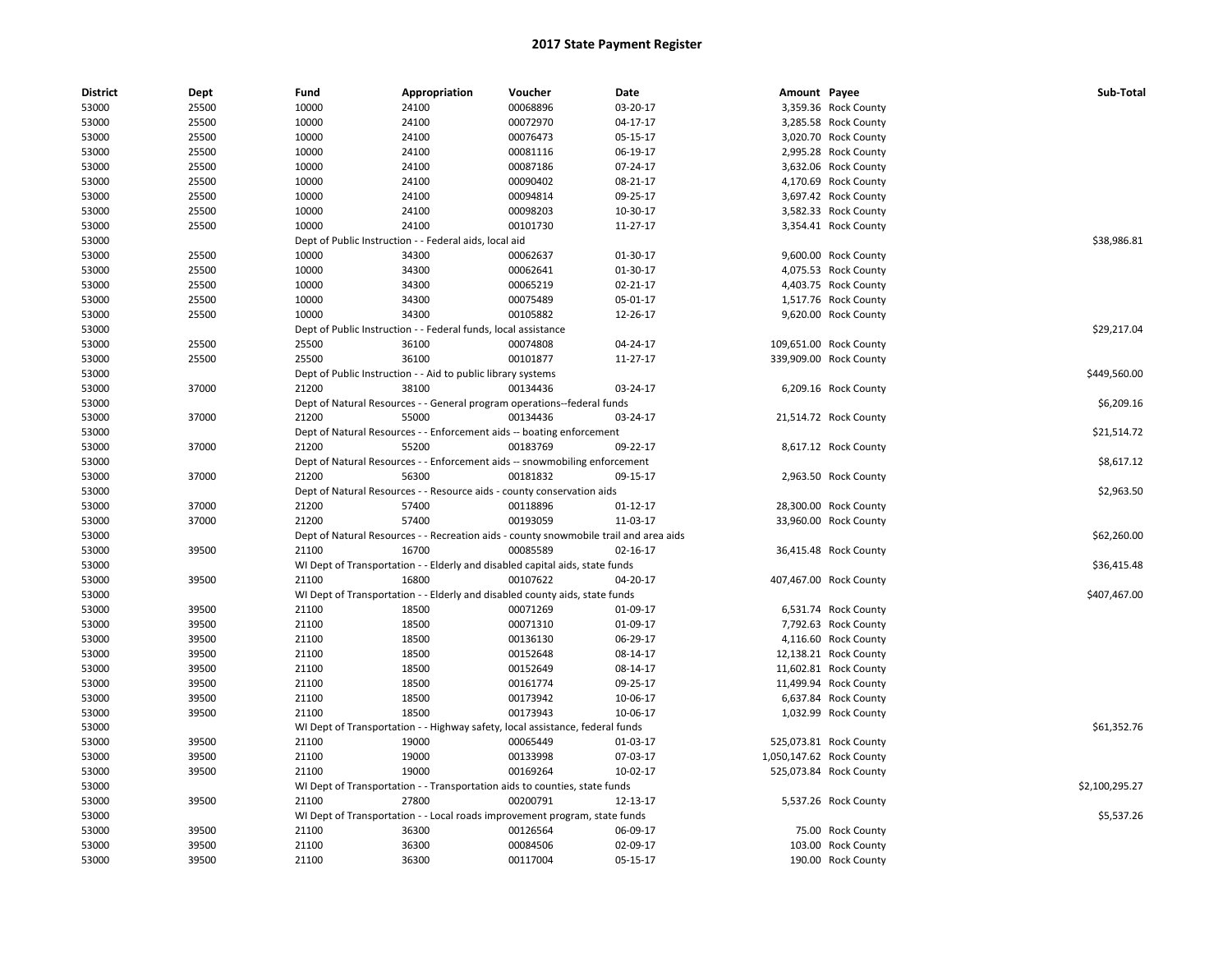| <b>District</b> | Dept  | Fund  | Appropriation                                                  | Voucher                                                                               | Date     | Amount Payee |                                              | Sub-Total      |
|-----------------|-------|-------|----------------------------------------------------------------|---------------------------------------------------------------------------------------|----------|--------------|----------------------------------------------|----------------|
| 53000           | 25500 | 10000 | 24100                                                          | 00068896                                                                              | 03-20-17 |              | 3,359.36 Rock County                         |                |
| 53000           | 25500 | 10000 | 24100                                                          | 00072970                                                                              | 04-17-17 |              | 3,285.58 Rock County                         |                |
| 53000           | 25500 | 10000 | 24100                                                          | 00076473                                                                              | 05-15-17 |              | 3,020.70 Rock County                         |                |
| 53000           | 25500 | 10000 | 24100                                                          | 00081116                                                                              | 06-19-17 |              | 2,995.28 Rock County                         |                |
| 53000           | 25500 | 10000 | 24100                                                          | 00087186                                                                              | 07-24-17 |              | 3,632.06 Rock County                         |                |
| 53000           | 25500 | 10000 | 24100                                                          | 00090402                                                                              | 08-21-17 |              | 4,170.69 Rock County                         |                |
| 53000           | 25500 | 10000 | 24100                                                          | 00094814                                                                              | 09-25-17 |              | 3,697.42 Rock County                         |                |
| 53000           | 25500 | 10000 | 24100                                                          | 00098203                                                                              | 10-30-17 |              | 3,582.33 Rock County                         |                |
| 53000           | 25500 | 10000 | 24100                                                          | 00101730                                                                              | 11-27-17 |              | 3,354.41 Rock County                         |                |
| 53000           |       |       | Dept of Public Instruction - - Federal aids, local aid         |                                                                                       |          |              |                                              | \$38,986.81    |
| 53000           | 25500 | 10000 | 34300                                                          | 00062637                                                                              | 01-30-17 |              | 9,600.00 Rock County                         |                |
| 53000           | 25500 | 10000 | 34300                                                          | 00062641                                                                              | 01-30-17 |              | 4,075.53 Rock County                         |                |
| 53000           | 25500 | 10000 | 34300                                                          | 00065219                                                                              | 02-21-17 |              | 4,403.75 Rock County                         |                |
| 53000           | 25500 | 10000 | 34300                                                          | 00075489                                                                              | 05-01-17 |              | 1,517.76 Rock County                         |                |
| 53000           | 25500 | 10000 | 34300                                                          | 00105882                                                                              | 12-26-17 |              | 9,620.00 Rock County                         |                |
| 53000           |       |       | Dept of Public Instruction - - Federal funds, local assistance |                                                                                       |          |              |                                              | \$29,217.04    |
| 53000           | 25500 | 25500 | 36100                                                          | 00074808                                                                              | 04-24-17 |              | 109,651.00 Rock County                       |                |
| 53000           | 25500 | 25500 | 36100                                                          | 00101877                                                                              | 11-27-17 |              | 339,909.00 Rock County                       |                |
| 53000           |       |       | Dept of Public Instruction - - Aid to public library systems   |                                                                                       |          |              |                                              | \$449,560.00   |
| 53000           | 37000 | 21200 | 38100                                                          | 00134436                                                                              | 03-24-17 |              | 6,209.16 Rock County                         |                |
| 53000           |       |       |                                                                | Dept of Natural Resources - - General program operations--federal funds               |          |              |                                              | \$6,209.16     |
| 53000           | 37000 | 21200 | 55000                                                          | 00134436                                                                              | 03-24-17 |              | 21,514.72 Rock County                        |                |
| 53000           |       |       |                                                                | Dept of Natural Resources - - Enforcement aids -- boating enforcement                 |          |              |                                              | \$21,514.72    |
| 53000           | 37000 | 21200 | 55200                                                          | 00183769                                                                              | 09-22-17 |              | 8,617.12 Rock County                         |                |
| 53000           |       |       |                                                                | Dept of Natural Resources - - Enforcement aids -- snowmobiling enforcement            |          |              |                                              | \$8,617.12     |
| 53000           | 37000 | 21200 | 56300                                                          | 00181832                                                                              | 09-15-17 |              | 2,963.50 Rock County                         |                |
| 53000           |       |       |                                                                | Dept of Natural Resources - - Resource aids - county conservation aids                |          |              |                                              | \$2,963.50     |
| 53000           | 37000 | 21200 | 57400                                                          | 00118896                                                                              | 01-12-17 |              | 28,300.00 Rock County                        |                |
| 53000           | 37000 | 21200 | 57400                                                          | 00193059                                                                              | 11-03-17 |              | 33,960.00 Rock County                        |                |
| 53000           |       |       |                                                                | Dept of Natural Resources - - Recreation aids - county snowmobile trail and area aids |          |              |                                              | \$62,260.00    |
| 53000           | 39500 | 21100 | 16700                                                          | 00085589                                                                              | 02-16-17 |              | 36,415.48 Rock County                        |                |
| 53000           |       |       |                                                                | WI Dept of Transportation - - Elderly and disabled capital aids, state funds          |          |              |                                              | \$36,415.48    |
| 53000           | 39500 | 21100 | 16800                                                          | 00107622                                                                              | 04-20-17 |              | 407,467.00 Rock County                       |                |
| 53000           |       |       |                                                                | WI Dept of Transportation - - Elderly and disabled county aids, state funds           |          |              |                                              | \$407,467.00   |
| 53000           | 39500 | 21100 | 18500                                                          | 00071269                                                                              | 01-09-17 |              | 6,531.74 Rock County                         |                |
| 53000           | 39500 | 21100 | 18500                                                          | 00071310                                                                              | 01-09-17 |              | 7,792.63 Rock County                         |                |
| 53000           | 39500 | 21100 | 18500                                                          | 00136130                                                                              | 06-29-17 |              | 4,116.60 Rock County                         |                |
| 53000           | 39500 | 21100 | 18500                                                          | 00152648                                                                              | 08-14-17 |              | 12,138.21 Rock County                        |                |
| 53000           | 39500 | 21100 | 18500                                                          | 00152649                                                                              | 08-14-17 |              | 11,602.81 Rock County                        |                |
| 53000           | 39500 | 21100 | 18500                                                          | 00161774                                                                              | 09-25-17 |              | 11,499.94 Rock County                        |                |
| 53000           | 39500 | 21100 | 18500                                                          | 00173942                                                                              | 10-06-17 |              |                                              |                |
| 53000           | 39500 | 21100 | 18500                                                          | 00173943                                                                              | 10-06-17 |              | 6,637.84 Rock County<br>1,032.99 Rock County |                |
| 53000           |       |       |                                                                |                                                                                       |          |              |                                              | \$61,352.76    |
|                 |       |       |                                                                | WI Dept of Transportation - - Highway safety, local assistance, federal funds         |          |              |                                              |                |
| 53000           | 39500 | 21100 | 19000                                                          | 00065449                                                                              | 01-03-17 |              | 525,073.81 Rock County                       |                |
| 53000           | 39500 | 21100 | 19000                                                          | 00133998                                                                              | 07-03-17 |              | 1,050,147.62 Rock County                     |                |
| 53000           | 39500 | 21100 | 19000                                                          | 00169264                                                                              | 10-02-17 |              | 525,073.84 Rock County                       |                |
| 53000           |       |       |                                                                | WI Dept of Transportation - - Transportation aids to counties, state funds            |          |              |                                              | \$2,100,295.27 |
| 53000           | 39500 | 21100 | 27800                                                          | 00200791                                                                              | 12-13-17 |              | 5,537.26 Rock County                         |                |
| 53000           |       |       |                                                                | WI Dept of Transportation - - Local roads improvement program, state funds            |          |              |                                              | \$5,537.26     |
| 53000           | 39500 | 21100 | 36300                                                          | 00126564                                                                              | 06-09-17 |              | 75.00 Rock County                            |                |
| 53000           | 39500 | 21100 | 36300                                                          | 00084506                                                                              | 02-09-17 |              | 103.00 Rock County                           |                |
| 53000           | 39500 | 21100 | 36300                                                          | 00117004                                                                              | 05-15-17 |              | 190.00 Rock County                           |                |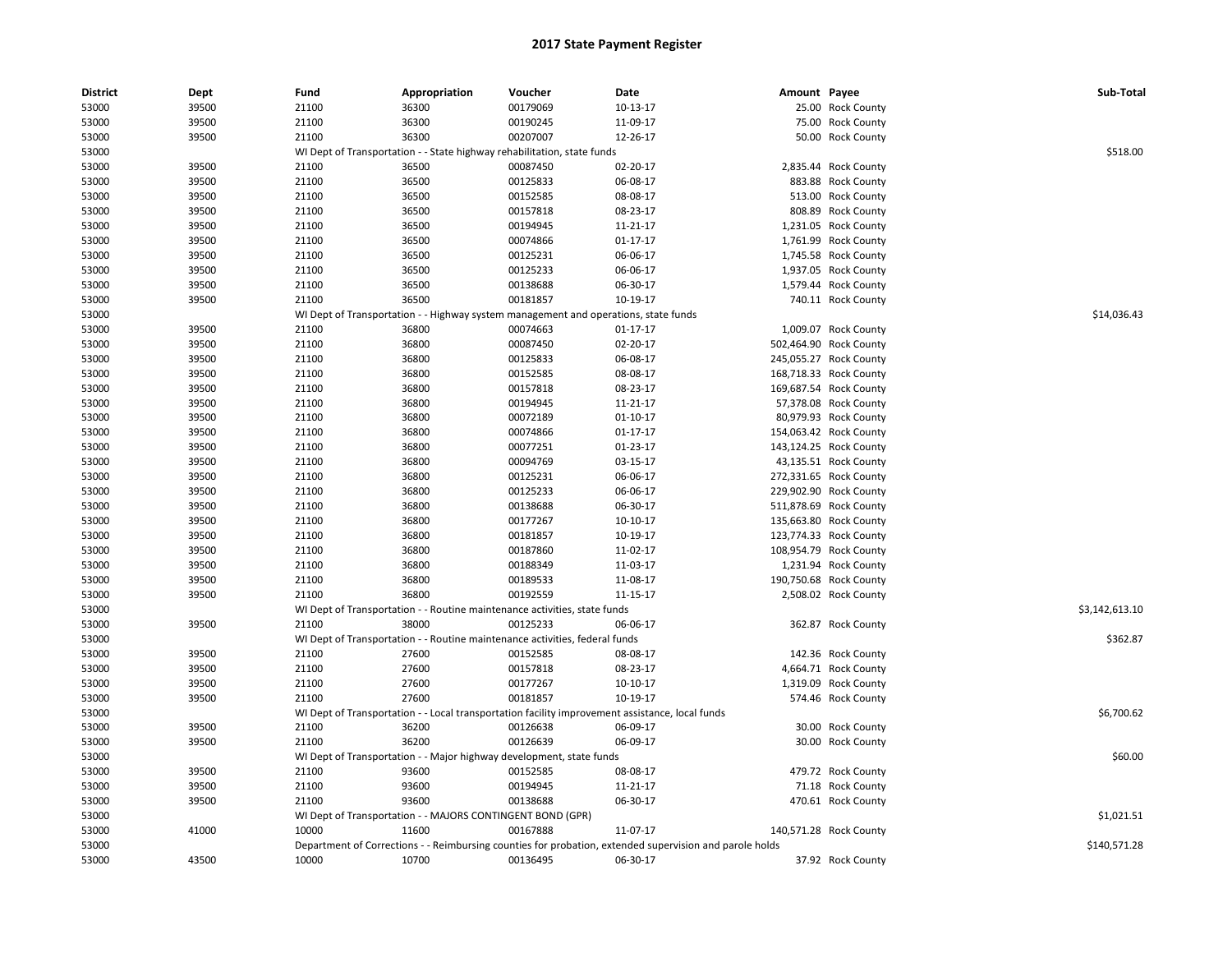| <b>District</b> | Dept  | Fund  | Appropriation                                              | Voucher                                                                             | Date                                                                                                    | Amount Payee |                        | Sub-Total      |
|-----------------|-------|-------|------------------------------------------------------------|-------------------------------------------------------------------------------------|---------------------------------------------------------------------------------------------------------|--------------|------------------------|----------------|
| 53000           | 39500 | 21100 | 36300                                                      | 00179069                                                                            | 10-13-17                                                                                                |              | 25.00 Rock County      |                |
| 53000           | 39500 | 21100 | 36300                                                      | 00190245                                                                            | 11-09-17                                                                                                |              | 75.00 Rock County      |                |
| 53000           | 39500 | 21100 | 36300                                                      | 00207007                                                                            | 12-26-17                                                                                                |              | 50.00 Rock County      |                |
| 53000           |       |       |                                                            | WI Dept of Transportation - - State highway rehabilitation, state funds             |                                                                                                         |              |                        | \$518.00       |
| 53000           | 39500 | 21100 | 36500                                                      | 00087450                                                                            | 02-20-17                                                                                                |              | 2,835.44 Rock County   |                |
| 53000           | 39500 | 21100 | 36500                                                      | 00125833                                                                            | 06-08-17                                                                                                |              | 883.88 Rock County     |                |
| 53000           | 39500 | 21100 | 36500                                                      | 00152585                                                                            | 08-08-17                                                                                                |              | 513.00 Rock County     |                |
| 53000           | 39500 | 21100 | 36500                                                      | 00157818                                                                            | 08-23-17                                                                                                |              | 808.89 Rock County     |                |
| 53000           | 39500 | 21100 | 36500                                                      | 00194945                                                                            | 11-21-17                                                                                                |              | 1,231.05 Rock County   |                |
| 53000           | 39500 | 21100 | 36500                                                      | 00074866                                                                            | $01 - 17 - 17$                                                                                          |              | 1,761.99 Rock County   |                |
| 53000           | 39500 | 21100 | 36500                                                      | 00125231                                                                            | 06-06-17                                                                                                |              | 1,745.58 Rock County   |                |
| 53000           | 39500 | 21100 | 36500                                                      | 00125233                                                                            | 06-06-17                                                                                                |              | 1,937.05 Rock County   |                |
| 53000           | 39500 | 21100 | 36500                                                      | 00138688                                                                            | 06-30-17                                                                                                |              | 1,579.44 Rock County   |                |
| 53000           | 39500 | 21100 | 36500                                                      | 00181857                                                                            | 10-19-17                                                                                                |              | 740.11 Rock County     |                |
| 53000           |       |       |                                                            | WI Dept of Transportation - - Highway system management and operations, state funds |                                                                                                         |              |                        | \$14,036.43    |
| 53000           | 39500 | 21100 | 36800                                                      | 00074663                                                                            | $01 - 17 - 17$                                                                                          |              | 1,009.07 Rock County   |                |
| 53000           | 39500 | 21100 | 36800                                                      | 00087450                                                                            | 02-20-17                                                                                                |              | 502,464.90 Rock County |                |
| 53000           | 39500 | 21100 | 36800                                                      | 00125833                                                                            | 06-08-17                                                                                                |              | 245,055.27 Rock County |                |
| 53000           | 39500 | 21100 | 36800                                                      | 00152585                                                                            | 08-08-17                                                                                                |              | 168,718.33 Rock County |                |
| 53000           | 39500 | 21100 | 36800                                                      | 00157818                                                                            | 08-23-17                                                                                                |              | 169,687.54 Rock County |                |
| 53000           | 39500 | 21100 | 36800                                                      | 00194945                                                                            | 11-21-17                                                                                                |              | 57,378.08 Rock County  |                |
| 53000           | 39500 | 21100 | 36800                                                      | 00072189                                                                            | $01 - 10 - 17$                                                                                          |              | 80,979.93 Rock County  |                |
| 53000           | 39500 | 21100 | 36800                                                      | 00074866                                                                            | 01-17-17                                                                                                |              | 154,063.42 Rock County |                |
|                 |       |       |                                                            |                                                                                     |                                                                                                         |              |                        |                |
| 53000           | 39500 | 21100 | 36800                                                      | 00077251                                                                            | 01-23-17                                                                                                |              | 143,124.25 Rock County |                |
| 53000           | 39500 | 21100 | 36800                                                      | 00094769                                                                            | 03-15-17                                                                                                |              | 43,135.51 Rock County  |                |
| 53000           | 39500 | 21100 | 36800                                                      | 00125231                                                                            | 06-06-17                                                                                                |              | 272,331.65 Rock County |                |
| 53000           | 39500 | 21100 | 36800                                                      | 00125233                                                                            | 06-06-17                                                                                                |              | 229,902.90 Rock County |                |
| 53000           | 39500 | 21100 | 36800                                                      | 00138688                                                                            | 06-30-17                                                                                                |              | 511,878.69 Rock County |                |
| 53000           | 39500 | 21100 | 36800                                                      | 00177267                                                                            | 10-10-17                                                                                                |              | 135,663.80 Rock County |                |
| 53000           | 39500 | 21100 | 36800                                                      | 00181857                                                                            | 10-19-17                                                                                                |              | 123,774.33 Rock County |                |
| 53000           | 39500 | 21100 | 36800                                                      | 00187860                                                                            | 11-02-17                                                                                                |              | 108,954.79 Rock County |                |
| 53000           | 39500 | 21100 | 36800                                                      | 00188349                                                                            | 11-03-17                                                                                                |              | 1,231.94 Rock County   |                |
| 53000           | 39500 | 21100 | 36800                                                      | 00189533                                                                            | 11-08-17                                                                                                |              | 190,750.68 Rock County |                |
| 53000           | 39500 | 21100 | 36800                                                      | 00192559                                                                            | 11-15-17                                                                                                |              | 2,508.02 Rock County   |                |
| 53000           |       |       |                                                            | WI Dept of Transportation - - Routine maintenance activities, state funds           |                                                                                                         |              |                        | \$3,142,613.10 |
| 53000           | 39500 | 21100 | 38000                                                      | 00125233                                                                            | 06-06-17                                                                                                |              | 362.87 Rock County     |                |
| 53000           |       |       |                                                            | WI Dept of Transportation - - Routine maintenance activities, federal funds         |                                                                                                         |              |                        | \$362.87       |
| 53000           | 39500 | 21100 | 27600                                                      | 00152585                                                                            | 08-08-17                                                                                                |              | 142.36 Rock County     |                |
| 53000           | 39500 | 21100 | 27600                                                      | 00157818                                                                            | 08-23-17                                                                                                |              | 4,664.71 Rock County   |                |
| 53000           | 39500 | 21100 | 27600                                                      | 00177267                                                                            | 10-10-17                                                                                                |              | 1,319.09 Rock County   |                |
| 53000           | 39500 | 21100 | 27600                                                      | 00181857                                                                            | 10-19-17                                                                                                |              | 574.46 Rock County     |                |
| 53000           |       |       |                                                            |                                                                                     | WI Dept of Transportation - - Local transportation facility improvement assistance, local funds         |              |                        | \$6,700.62     |
| 53000           | 39500 | 21100 | 36200                                                      | 00126638                                                                            | 06-09-17                                                                                                |              | 30.00 Rock County      |                |
| 53000           | 39500 | 21100 | 36200                                                      | 00126639                                                                            | 06-09-17                                                                                                |              | 30.00 Rock County      |                |
| 53000           |       |       |                                                            | WI Dept of Transportation - - Major highway development, state funds                |                                                                                                         |              |                        | \$60.00        |
| 53000           | 39500 | 21100 | 93600                                                      | 00152585                                                                            | 08-08-17                                                                                                |              | 479.72 Rock County     |                |
| 53000           | 39500 | 21100 | 93600                                                      | 00194945                                                                            | 11-21-17                                                                                                |              | 71.18 Rock County      |                |
| 53000           | 39500 | 21100 | 93600                                                      | 00138688                                                                            | 06-30-17                                                                                                |              | 470.61 Rock County     |                |
| 53000           |       |       | WI Dept of Transportation - - MAJORS CONTINGENT BOND (GPR) |                                                                                     |                                                                                                         |              |                        | \$1,021.51     |
| 53000           | 41000 | 10000 | 11600                                                      | 00167888                                                                            | 11-07-17                                                                                                |              | 140,571.28 Rock County |                |
| 53000           |       |       |                                                            |                                                                                     | Department of Corrections - - Reimbursing counties for probation, extended supervision and parole holds |              |                        | \$140,571.28   |
| 53000           | 43500 | 10000 | 10700                                                      | 00136495                                                                            | 06-30-17                                                                                                |              | 37.92 Rock County      |                |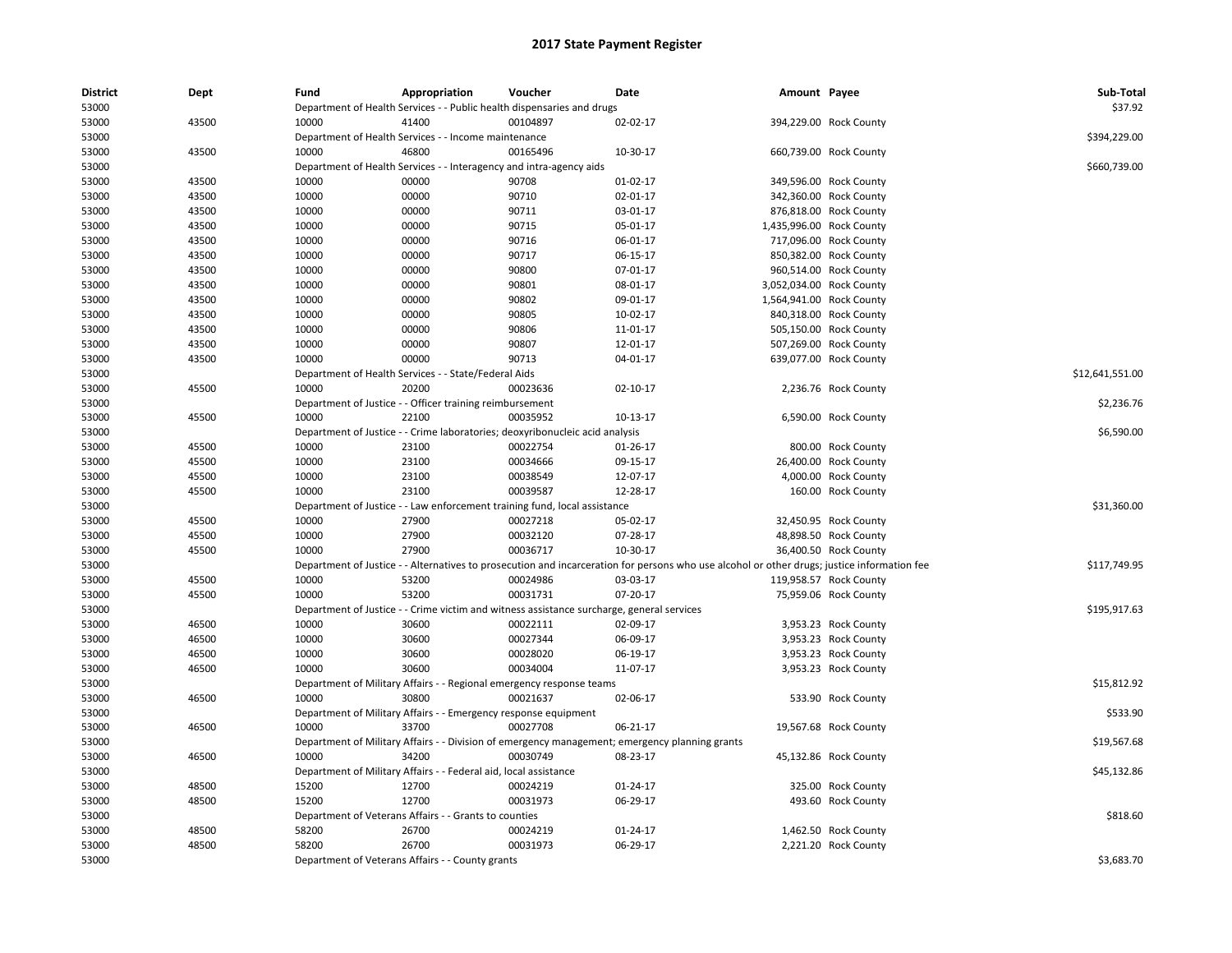| <b>District</b> | Dept  | Fund  | Appropriation                                                                | Voucher  | Date                                                                                           | Amount Payee                                                                                                                                |                        | Sub-Total       |
|-----------------|-------|-------|------------------------------------------------------------------------------|----------|------------------------------------------------------------------------------------------------|---------------------------------------------------------------------------------------------------------------------------------------------|------------------------|-----------------|
| 53000           |       |       | Department of Health Services - - Public health dispensaries and drugs       |          |                                                                                                |                                                                                                                                             |                        | \$37.92         |
| 53000           | 43500 | 10000 | 41400                                                                        | 00104897 | 02-02-17                                                                                       |                                                                                                                                             | 394,229.00 Rock County |                 |
| 53000           |       |       | Department of Health Services - - Income maintenance                         |          |                                                                                                |                                                                                                                                             |                        | \$394,229.00    |
| 53000           | 43500 | 10000 | 46800                                                                        | 00165496 | 10-30-17                                                                                       |                                                                                                                                             | 660,739.00 Rock County |                 |
| 53000           |       |       | Department of Health Services - - Interagency and intra-agency aids          |          |                                                                                                |                                                                                                                                             |                        | \$660,739.00    |
| 53000           | 43500 | 10000 | 00000                                                                        | 90708    | 01-02-17                                                                                       |                                                                                                                                             | 349,596.00 Rock County |                 |
| 53000           | 43500 | 10000 | 00000                                                                        | 90710    | 02-01-17                                                                                       |                                                                                                                                             | 342,360.00 Rock County |                 |
| 53000           | 43500 | 10000 | 00000                                                                        | 90711    | 03-01-17                                                                                       |                                                                                                                                             | 876,818.00 Rock County |                 |
| 53000           | 43500 | 10000 | 00000                                                                        | 90715    | 05-01-17                                                                                       | 1,435,996.00 Rock County                                                                                                                    |                        |                 |
| 53000           | 43500 | 10000 | 00000                                                                        | 90716    | 06-01-17                                                                                       |                                                                                                                                             | 717,096.00 Rock County |                 |
| 53000           | 43500 | 10000 | 00000                                                                        | 90717    | 06-15-17                                                                                       |                                                                                                                                             | 850,382.00 Rock County |                 |
| 53000           | 43500 | 10000 | 00000                                                                        | 90800    | 07-01-17                                                                                       |                                                                                                                                             | 960,514.00 Rock County |                 |
| 53000           | 43500 | 10000 | 00000                                                                        | 90801    | 08-01-17                                                                                       | 3,052,034.00 Rock County                                                                                                                    |                        |                 |
| 53000           | 43500 | 10000 | 00000                                                                        | 90802    | 09-01-17                                                                                       | 1,564,941.00 Rock County                                                                                                                    |                        |                 |
| 53000           | 43500 | 10000 | 00000                                                                        | 90805    | 10-02-17                                                                                       |                                                                                                                                             | 840,318.00 Rock County |                 |
| 53000           | 43500 | 10000 | 00000                                                                        | 90806    | 11-01-17                                                                                       |                                                                                                                                             | 505,150.00 Rock County |                 |
| 53000           | 43500 | 10000 | 00000                                                                        | 90807    | 12-01-17                                                                                       |                                                                                                                                             | 507,269.00 Rock County |                 |
| 53000           | 43500 | 10000 | 00000                                                                        | 90713    | 04-01-17                                                                                       |                                                                                                                                             | 639,077.00 Rock County |                 |
| 53000           |       |       | Department of Health Services - - State/Federal Aids                         |          |                                                                                                |                                                                                                                                             |                        | \$12,641,551.00 |
| 53000           | 45500 | 10000 | 20200                                                                        | 00023636 | 02-10-17                                                                                       |                                                                                                                                             | 2,236.76 Rock County   |                 |
| 53000           |       |       | Department of Justice - - Officer training reimbursement                     |          |                                                                                                |                                                                                                                                             |                        | \$2,236.76      |
| 53000           | 45500 | 10000 | 22100                                                                        | 00035952 | 10-13-17                                                                                       |                                                                                                                                             | 6,590.00 Rock County   |                 |
| 53000           |       |       | Department of Justice - - Crime laboratories; deoxyribonucleic acid analysis |          |                                                                                                |                                                                                                                                             |                        | \$6,590.00      |
| 53000           | 45500 | 10000 | 23100                                                                        | 00022754 | $01 - 26 - 17$                                                                                 |                                                                                                                                             | 800.00 Rock County     |                 |
| 53000           | 45500 | 10000 | 23100                                                                        | 00034666 | 09-15-17                                                                                       |                                                                                                                                             | 26,400.00 Rock County  |                 |
| 53000           | 45500 | 10000 | 23100                                                                        | 00038549 | 12-07-17                                                                                       |                                                                                                                                             | 4,000.00 Rock County   |                 |
| 53000           | 45500 | 10000 | 23100                                                                        | 00039587 | 12-28-17                                                                                       |                                                                                                                                             | 160.00 Rock County     |                 |
| 53000           |       |       | Department of Justice - - Law enforcement training fund, local assistance    |          |                                                                                                |                                                                                                                                             |                        | \$31,360.00     |
| 53000           | 45500 | 10000 | 27900                                                                        | 00027218 | 05-02-17                                                                                       |                                                                                                                                             | 32,450.95 Rock County  |                 |
| 53000           | 45500 | 10000 | 27900                                                                        | 00032120 | 07-28-17                                                                                       |                                                                                                                                             | 48,898.50 Rock County  |                 |
| 53000           | 45500 | 10000 | 27900                                                                        | 00036717 | 10-30-17                                                                                       |                                                                                                                                             | 36,400.50 Rock County  |                 |
| 53000           |       |       |                                                                              |          |                                                                                                | Department of Justice - - Alternatives to prosecution and incarceration for persons who use alcohol or other drugs; justice information fee |                        | \$117,749.95    |
| 53000           | 45500 | 10000 | 53200                                                                        | 00024986 | 03-03-17                                                                                       |                                                                                                                                             | 119,958.57 Rock County |                 |
| 53000           | 45500 | 10000 | 53200                                                                        | 00031731 | 07-20-17                                                                                       |                                                                                                                                             | 75,959.06 Rock County  |                 |
| 53000           |       |       |                                                                              |          | Department of Justice - - Crime victim and witness assistance surcharge, general services      |                                                                                                                                             |                        | \$195,917.63    |
| 53000           | 46500 | 10000 | 30600                                                                        | 00022111 | 02-09-17                                                                                       |                                                                                                                                             | 3,953.23 Rock County   |                 |
| 53000           | 46500 | 10000 | 30600                                                                        | 00027344 | 06-09-17                                                                                       |                                                                                                                                             | 3,953.23 Rock County   |                 |
| 53000           | 46500 | 10000 | 30600                                                                        | 00028020 | 06-19-17                                                                                       |                                                                                                                                             | 3,953.23 Rock County   |                 |
| 53000           | 46500 | 10000 | 30600                                                                        | 00034004 | 11-07-17                                                                                       |                                                                                                                                             | 3,953.23 Rock County   |                 |
| 53000           |       |       | Department of Military Affairs - - Regional emergency response teams         |          |                                                                                                |                                                                                                                                             |                        | \$15,812.92     |
| 53000           | 46500 | 10000 | 30800                                                                        | 00021637 | 02-06-17                                                                                       |                                                                                                                                             | 533.90 Rock County     |                 |
| 53000           |       |       | Department of Military Affairs - - Emergency response equipment              |          |                                                                                                |                                                                                                                                             |                        | \$533.90        |
| 53000           | 46500 | 10000 | 33700                                                                        | 00027708 | 06-21-17                                                                                       |                                                                                                                                             | 19,567.68 Rock County  |                 |
| 53000           |       |       |                                                                              |          | Department of Military Affairs - - Division of emergency management; emergency planning grants |                                                                                                                                             |                        | \$19,567.68     |
| 53000           | 46500 | 10000 | 34200                                                                        | 00030749 | 08-23-17                                                                                       |                                                                                                                                             | 45,132.86 Rock County  |                 |
| 53000           |       |       | Department of Military Affairs - - Federal aid, local assistance             |          |                                                                                                |                                                                                                                                             |                        | \$45,132.86     |
| 53000           | 48500 | 15200 | 12700                                                                        | 00024219 | 01-24-17                                                                                       |                                                                                                                                             | 325.00 Rock County     |                 |
| 53000           | 48500 | 15200 | 12700                                                                        | 00031973 | 06-29-17                                                                                       |                                                                                                                                             | 493.60 Rock County     |                 |
| 53000           |       |       | Department of Veterans Affairs - - Grants to counties                        |          |                                                                                                |                                                                                                                                             |                        | \$818.60        |
| 53000           | 48500 | 58200 | 26700                                                                        | 00024219 | 01-24-17                                                                                       |                                                                                                                                             | 1,462.50 Rock County   |                 |
| 53000           | 48500 | 58200 | 26700                                                                        | 00031973 | 06-29-17                                                                                       |                                                                                                                                             | 2,221.20 Rock County   |                 |
| 53000           |       |       | Department of Veterans Affairs - - County grants                             |          |                                                                                                |                                                                                                                                             |                        | \$3,683.70      |
|                 |       |       |                                                                              |          |                                                                                                |                                                                                                                                             |                        |                 |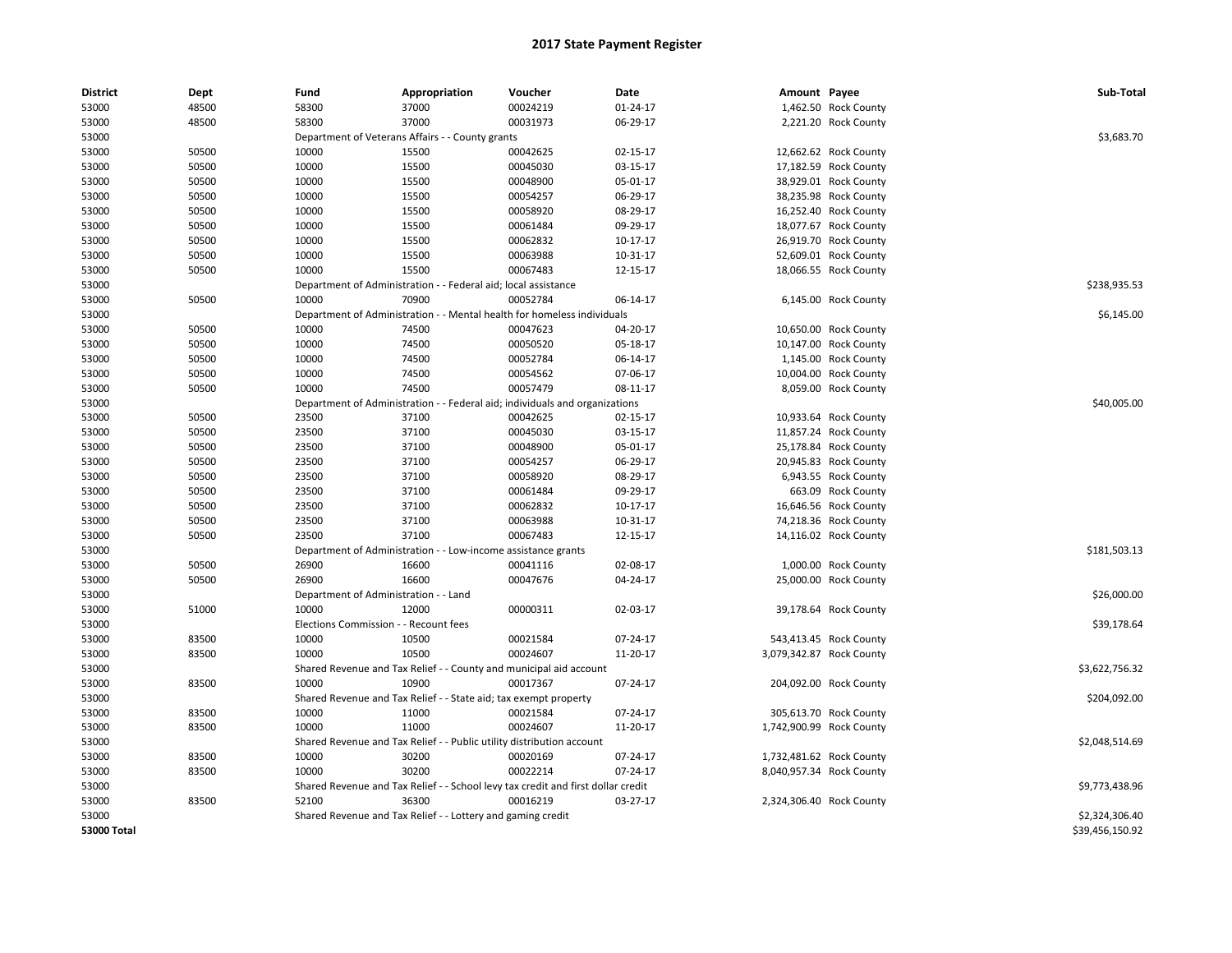| <b>District</b> | Dept  | Fund                                  | Appropriation                                                                    | Voucher                                      | Date     | Amount Payee |                          | Sub-Total       |
|-----------------|-------|---------------------------------------|----------------------------------------------------------------------------------|----------------------------------------------|----------|--------------|--------------------------|-----------------|
| 53000           | 48500 | 58300                                 | 37000                                                                            | 00024219                                     | 01-24-17 |              | 1,462.50 Rock County     |                 |
| 53000           | 48500 | 58300                                 | 37000                                                                            | 00031973                                     | 06-29-17 |              | 2,221.20 Rock County     |                 |
| 53000           |       |                                       | Department of Veterans Affairs - - County grants                                 |                                              |          |              |                          | \$3,683.70      |
| 53000           | 50500 | 10000                                 | 15500                                                                            | 00042625                                     | 02-15-17 |              | 12,662.62 Rock County    |                 |
| 53000           | 50500 | 10000                                 | 15500                                                                            | 00045030                                     | 03-15-17 |              | 17,182.59 Rock County    |                 |
| 53000           | 50500 | 10000                                 | 15500                                                                            | 00048900                                     | 05-01-17 |              | 38,929.01 Rock County    |                 |
| 53000           | 50500 | 10000                                 | 15500                                                                            | 00054257                                     | 06-29-17 |              | 38,235.98 Rock County    |                 |
| 53000           | 50500 | 10000                                 | 15500                                                                            | 00058920                                     | 08-29-17 |              | 16,252.40 Rock County    |                 |
| 53000           | 50500 | 10000                                 | 15500                                                                            | 00061484                                     | 09-29-17 |              | 18,077.67 Rock County    |                 |
| 53000           | 50500 | 10000                                 | 15500                                                                            | 00062832                                     | 10-17-17 |              | 26,919.70 Rock County    |                 |
| 53000           | 50500 | 10000                                 | 15500                                                                            | 00063988                                     | 10-31-17 |              | 52,609.01 Rock County    |                 |
| 53000           | 50500 | 10000                                 | 15500                                                                            | 00067483                                     | 12-15-17 |              | 18,066.55 Rock County    |                 |
| 53000           |       |                                       | Department of Administration - - Federal aid; local assistance                   |                                              |          |              |                          | \$238,935.53    |
| 53000           | 50500 | 10000                                 | 70900                                                                            | 00052784                                     | 06-14-17 |              | 6,145.00 Rock County     |                 |
| 53000           |       |                                       | Department of Administration - - Mental health for homeless individuals          |                                              |          |              |                          | \$6,145.00      |
| 53000           | 50500 | 10000                                 | 74500                                                                            | 00047623                                     | 04-20-17 |              | 10,650.00 Rock County    |                 |
| 53000           | 50500 | 10000                                 | 74500                                                                            | 00050520                                     | 05-18-17 |              | 10,147.00 Rock County    |                 |
| 53000           | 50500 | 10000                                 | 74500                                                                            | 00052784                                     | 06-14-17 |              | 1,145.00 Rock County     |                 |
| 53000           | 50500 | 10000                                 | 74500                                                                            | 00054562                                     | 07-06-17 |              | 10,004.00 Rock County    |                 |
| 53000           | 50500 | 10000                                 | 74500                                                                            | 00057479                                     | 08-11-17 |              | 8,059.00 Rock County     |                 |
| 53000           |       | Department of Administration          |                                                                                  | - Federal aid; individuals and organizations |          |              |                          | \$40,005.00     |
| 53000           | 50500 | 23500                                 | 37100                                                                            | 00042625                                     | 02-15-17 |              | 10,933.64 Rock County    |                 |
| 53000           | 50500 | 23500                                 | 37100                                                                            | 00045030                                     | 03-15-17 |              | 11,857.24 Rock County    |                 |
| 53000           | 50500 | 23500                                 | 37100                                                                            | 00048900                                     | 05-01-17 |              | 25,178.84 Rock County    |                 |
| 53000           | 50500 | 23500                                 | 37100                                                                            | 00054257                                     | 06-29-17 |              | 20,945.83 Rock County    |                 |
| 53000           | 50500 | 23500                                 | 37100                                                                            | 00058920                                     | 08-29-17 |              | 6,943.55 Rock County     |                 |
| 53000           | 50500 | 23500                                 | 37100                                                                            | 00061484                                     | 09-29-17 |              | 663.09 Rock County       |                 |
| 53000           | 50500 | 23500                                 | 37100                                                                            | 00062832                                     | 10-17-17 |              | 16,646.56 Rock County    |                 |
| 53000           | 50500 | 23500                                 | 37100                                                                            | 00063988                                     | 10-31-17 |              | 74,218.36 Rock County    |                 |
| 53000           | 50500 | 23500                                 | 37100                                                                            | 00067483                                     | 12-15-17 |              | 14,116.02 Rock County    |                 |
| 53000           |       |                                       | Department of Administration - - Low-income assistance grants                    |                                              |          |              |                          | \$181,503.13    |
| 53000           | 50500 | 26900                                 | 16600                                                                            | 00041116                                     | 02-08-17 |              | 1,000.00 Rock County     |                 |
| 53000           | 50500 | 26900                                 | 16600                                                                            | 00047676                                     | 04-24-17 |              | 25,000.00 Rock County    |                 |
| 53000           |       | Department of Administration - - Land |                                                                                  |                                              |          |              |                          | \$26,000.00     |
| 53000           | 51000 | 10000                                 | 12000                                                                            | 00000311                                     | 02-03-17 |              | 39,178.64 Rock County    |                 |
| 53000           |       | Elections Commission - - Recount fees |                                                                                  |                                              |          |              |                          | \$39,178.64     |
| 53000           | 83500 | 10000                                 | 10500                                                                            | 00021584                                     | 07-24-17 |              | 543,413.45 Rock County   |                 |
| 53000           | 83500 | 10000                                 | 10500                                                                            | 00024607                                     | 11-20-17 |              | 3,079,342.87 Rock County |                 |
| 53000           |       |                                       | Shared Revenue and Tax Relief - - County and municipal aid account               |                                              |          |              |                          | \$3,622,756.32  |
| 53000           | 83500 | 10000                                 | 10900                                                                            | 00017367                                     | 07-24-17 |              | 204,092.00 Rock County   |                 |
| 53000           |       |                                       | Shared Revenue and Tax Relief - - State aid; tax exempt property                 |                                              |          |              |                          | \$204,092.00    |
| 53000           | 83500 | 10000                                 | 11000                                                                            | 00021584                                     | 07-24-17 |              | 305,613.70 Rock County   |                 |
| 53000           | 83500 | 10000                                 | 11000                                                                            | 00024607                                     | 11-20-17 |              | 1,742,900.99 Rock County |                 |
| 53000           |       |                                       | Shared Revenue and Tax Relief - - Public utility distribution account            |                                              |          |              |                          | \$2,048,514.69  |
| 53000           | 83500 | 10000                                 | 30200                                                                            | 00020169                                     | 07-24-17 |              | 1,732,481.62 Rock County |                 |
| 53000           | 83500 | 10000                                 | 30200                                                                            | 00022214                                     | 07-24-17 |              | 8,040,957.34 Rock County |                 |
| 53000           |       |                                       | Shared Revenue and Tax Relief - - School levy tax credit and first dollar credit |                                              |          |              |                          | \$9,773,438.96  |
| 53000           | 83500 | 52100                                 | 36300                                                                            | 00016219                                     | 03-27-17 |              | 2,324,306.40 Rock County |                 |
| 53000           |       |                                       | Shared Revenue and Tax Relief - - Lottery and gaming credit                      |                                              |          |              |                          | \$2,324,306.40  |
| 53000 Total     |       |                                       |                                                                                  |                                              |          |              |                          | \$39,456,150.92 |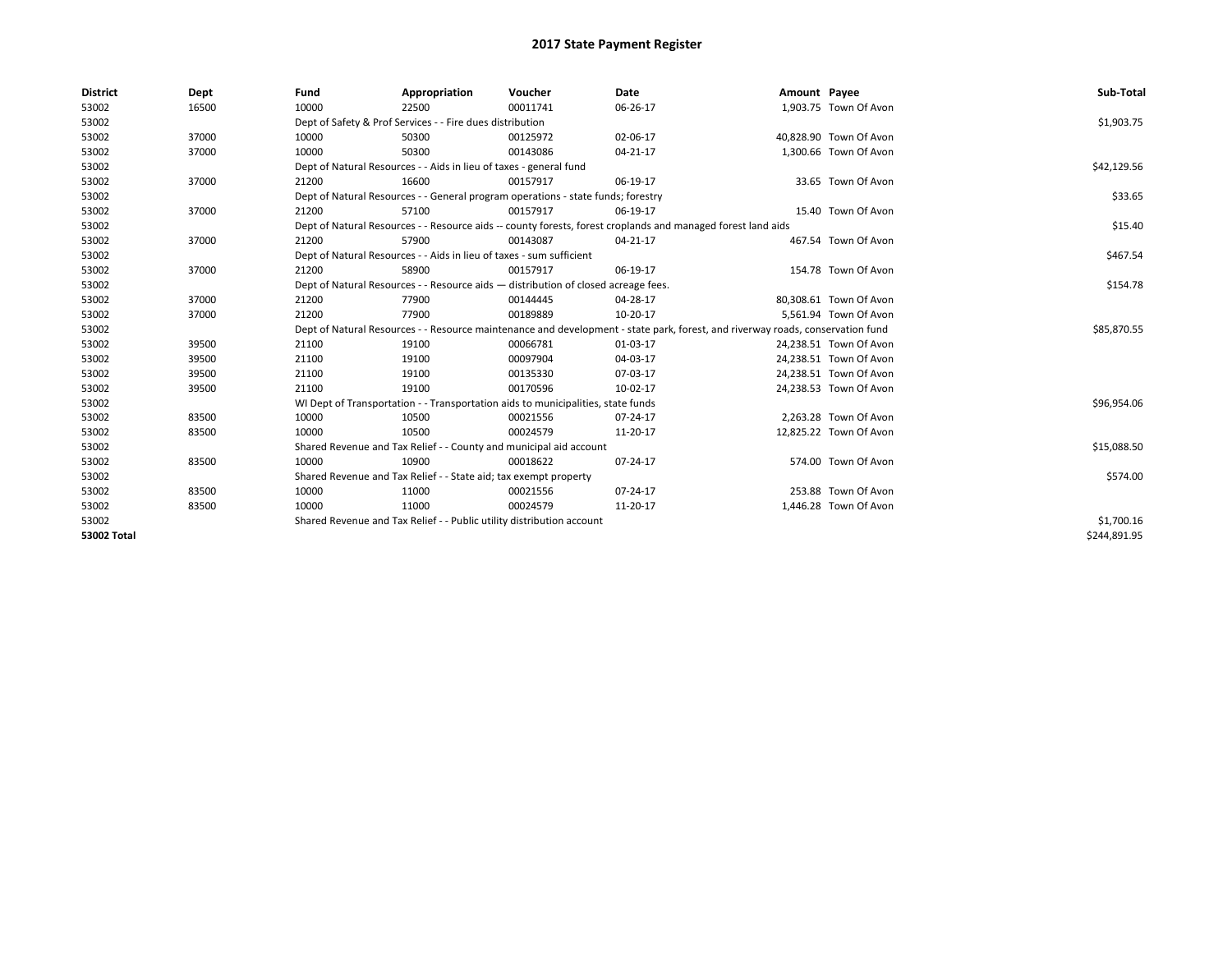| <b>District</b> | Dept  | Fund                                                                               | Appropriation                                                                                                | Voucher  | Date                                                                                                                           | Amount Payee |                        | Sub-Total    |  |  |  |
|-----------------|-------|------------------------------------------------------------------------------------|--------------------------------------------------------------------------------------------------------------|----------|--------------------------------------------------------------------------------------------------------------------------------|--------------|------------------------|--------------|--|--|--|
| 53002           | 16500 | 10000                                                                              | 22500                                                                                                        | 00011741 | 06-26-17                                                                                                                       |              | 1,903.75 Town Of Avon  |              |  |  |  |
| 53002           |       |                                                                                    | Dept of Safety & Prof Services - - Fire dues distribution                                                    |          |                                                                                                                                |              |                        | \$1,903.75   |  |  |  |
| 53002           | 37000 | 10000                                                                              | 50300                                                                                                        | 00125972 | 02-06-17                                                                                                                       |              | 40,828.90 Town Of Avon |              |  |  |  |
| 53002           | 37000 | 10000                                                                              | 50300                                                                                                        | 00143086 | 04-21-17                                                                                                                       |              | 1,300.66 Town Of Avon  |              |  |  |  |
| 53002           |       |                                                                                    | Dept of Natural Resources - - Aids in lieu of taxes - general fund                                           |          |                                                                                                                                |              |                        |              |  |  |  |
| 53002           | 37000 | 21200                                                                              | 16600                                                                                                        | 00157917 | 06-19-17                                                                                                                       |              | 33.65 Town Of Avon     |              |  |  |  |
| 53002           |       |                                                                                    | Dept of Natural Resources - - General program operations - state funds; forestry                             |          |                                                                                                                                |              |                        |              |  |  |  |
| 53002           | 37000 | 21200                                                                              | 57100                                                                                                        | 00157917 | 06-19-17                                                                                                                       |              | 15.40 Town Of Avon     |              |  |  |  |
| 53002           |       |                                                                                    | Dept of Natural Resources - - Resource aids -- county forests, forest croplands and managed forest land aids |          |                                                                                                                                |              |                        |              |  |  |  |
| 53002           | 37000 | 21200                                                                              | 57900                                                                                                        | 00143087 | $04 - 21 - 17$                                                                                                                 |              | 467.54 Town Of Avon    |              |  |  |  |
| 53002           |       | Dept of Natural Resources - - Aids in lieu of taxes - sum sufficient               |                                                                                                              | \$467.54 |                                                                                                                                |              |                        |              |  |  |  |
| 53002           | 37000 | 21200                                                                              | 58900                                                                                                        | 00157917 | 06-19-17                                                                                                                       |              | 154.78 Town Of Avon    |              |  |  |  |
| 53002           |       | Dept of Natural Resources - - Resource aids - distribution of closed acreage fees. |                                                                                                              | \$154.78 |                                                                                                                                |              |                        |              |  |  |  |
| 53002           | 37000 | 21200                                                                              | 77900                                                                                                        | 00144445 | 04-28-17                                                                                                                       |              | 80,308.61 Town Of Avon |              |  |  |  |
| 53002           | 37000 | 21200                                                                              | 77900                                                                                                        | 00189889 | 10-20-17                                                                                                                       |              | 5,561.94 Town Of Avon  |              |  |  |  |
| 53002           |       |                                                                                    |                                                                                                              |          | Dept of Natural Resources - - Resource maintenance and development - state park, forest, and riverway roads, conservation fund |              |                        | \$85,870.55  |  |  |  |
| 53002           | 39500 | 21100                                                                              | 19100                                                                                                        | 00066781 | 01-03-17                                                                                                                       |              | 24,238.51 Town Of Avon |              |  |  |  |
| 53002           | 39500 | 21100                                                                              | 19100                                                                                                        | 00097904 | 04-03-17                                                                                                                       |              | 24,238.51 Town Of Avon |              |  |  |  |
| 53002           | 39500 | 21100                                                                              | 19100                                                                                                        | 00135330 | 07-03-17                                                                                                                       |              | 24,238.51 Town Of Avon |              |  |  |  |
| 53002           | 39500 | 21100                                                                              | 19100                                                                                                        | 00170596 | 10-02-17                                                                                                                       |              | 24,238.53 Town Of Avon |              |  |  |  |
| 53002           |       |                                                                                    | WI Dept of Transportation - - Transportation aids to municipalities, state funds                             |          |                                                                                                                                |              |                        | \$96,954.06  |  |  |  |
| 53002           | 83500 | 10000                                                                              | 10500                                                                                                        | 00021556 | 07-24-17                                                                                                                       |              | 2,263.28 Town Of Avon  |              |  |  |  |
| 53002           | 83500 | 10000                                                                              | 10500                                                                                                        | 00024579 | 11-20-17                                                                                                                       |              | 12,825.22 Town Of Avon |              |  |  |  |
| 53002           |       |                                                                                    | Shared Revenue and Tax Relief - - County and municipal aid account                                           |          |                                                                                                                                |              |                        | \$15,088.50  |  |  |  |
| 53002           | 83500 | 10000                                                                              | 10900                                                                                                        | 00018622 | 07-24-17                                                                                                                       |              | 574.00 Town Of Avon    |              |  |  |  |
| 53002           |       | Shared Revenue and Tax Relief - - State aid; tax exempt property                   |                                                                                                              | \$574.00 |                                                                                                                                |              |                        |              |  |  |  |
| 53002           | 83500 | 10000                                                                              | 11000                                                                                                        | 00021556 | $07 - 24 - 17$                                                                                                                 |              | 253.88 Town Of Avon    |              |  |  |  |
| 53002           | 83500 | 10000                                                                              | 11000                                                                                                        | 00024579 | 11-20-17                                                                                                                       |              | 1,446.28 Town Of Avon  |              |  |  |  |
| 53002           |       |                                                                                    | Shared Revenue and Tax Relief - - Public utility distribution account                                        |          |                                                                                                                                |              |                        | \$1,700.16   |  |  |  |
| 53002 Total     |       |                                                                                    |                                                                                                              |          |                                                                                                                                |              |                        | \$244,891.95 |  |  |  |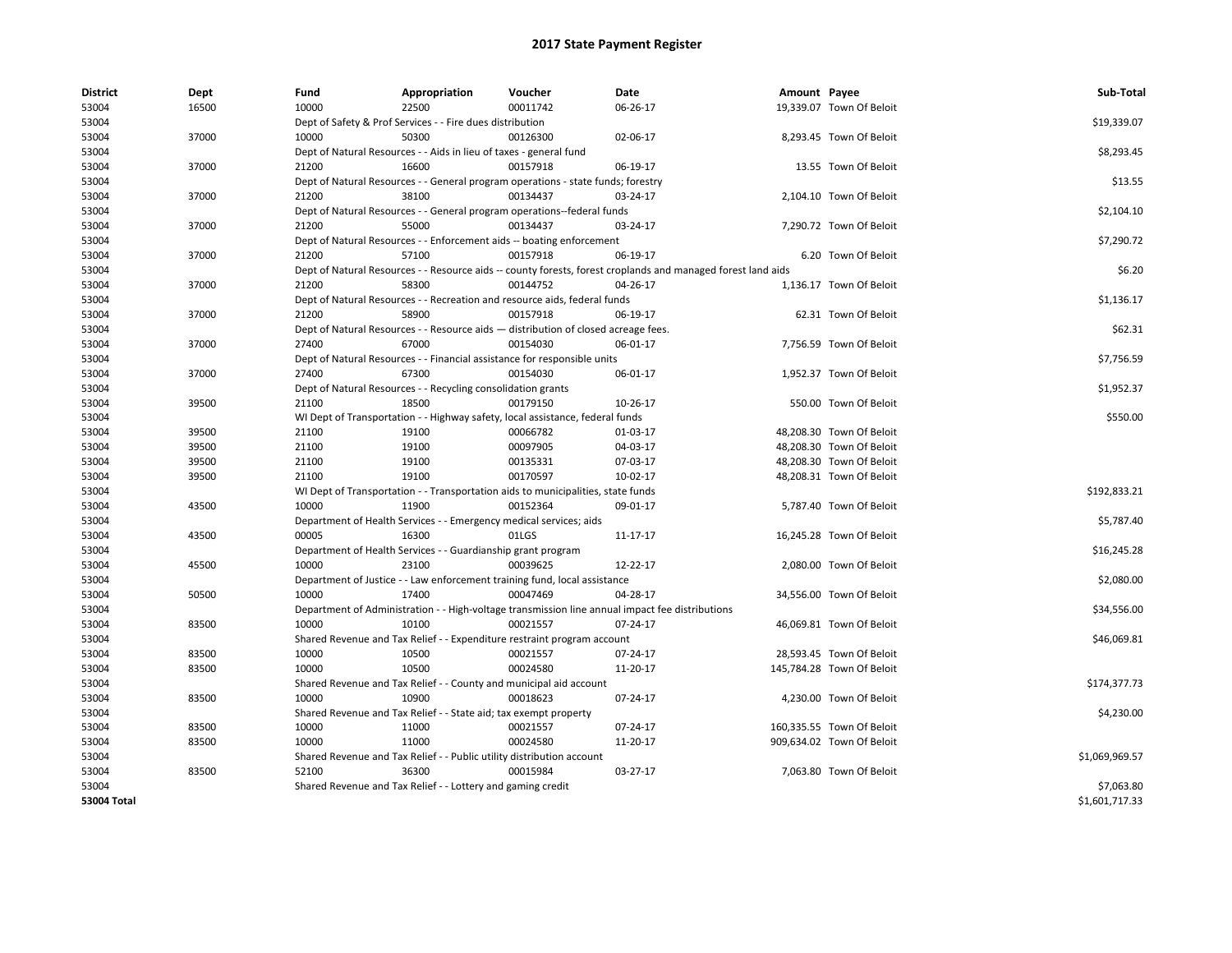| <b>District</b> | Dept  | Fund  | Appropriation                                                                      | Voucher  | Date                                                                                                         | Amount Payee |                           | Sub-Total      |
|-----------------|-------|-------|------------------------------------------------------------------------------------|----------|--------------------------------------------------------------------------------------------------------------|--------------|---------------------------|----------------|
| 53004           | 16500 | 10000 | 22500                                                                              | 00011742 | 06-26-17                                                                                                     |              | 19,339.07 Town Of Beloit  |                |
| 53004           |       |       | Dept of Safety & Prof Services - - Fire dues distribution                          |          |                                                                                                              |              |                           | \$19,339.07    |
| 53004           | 37000 | 10000 | 50300                                                                              | 00126300 | 02-06-17                                                                                                     |              | 8,293.45 Town Of Beloit   |                |
| 53004           |       |       | Dept of Natural Resources - - Aids in lieu of taxes - general fund                 |          |                                                                                                              |              |                           | \$8,293.45     |
| 53004           | 37000 | 21200 | 16600                                                                              | 00157918 | 06-19-17                                                                                                     |              | 13.55 Town Of Beloit      |                |
| 53004           |       |       | Dept of Natural Resources - - General program operations - state funds; forestry   |          |                                                                                                              |              |                           | \$13.55        |
| 53004           | 37000 | 21200 | 38100                                                                              | 00134437 | 03-24-17                                                                                                     |              | 2,104.10 Town Of Beloit   |                |
| 53004           |       |       | Dept of Natural Resources - - General program operations--federal funds            |          |                                                                                                              |              |                           | \$2,104.10     |
| 53004           | 37000 | 21200 | 55000                                                                              | 00134437 | 03-24-17                                                                                                     |              | 7,290.72 Town Of Beloit   |                |
| 53004           |       |       | Dept of Natural Resources - - Enforcement aids -- boating enforcement              |          |                                                                                                              |              |                           | \$7,290.72     |
| 53004           | 37000 | 21200 | 57100                                                                              | 00157918 | 06-19-17                                                                                                     |              | 6.20 Town Of Beloit       |                |
| 53004           |       |       |                                                                                    |          | Dept of Natural Resources - - Resource aids -- county forests, forest croplands and managed forest land aids |              |                           | \$6.20         |
| 53004           | 37000 | 21200 | 58300                                                                              | 00144752 | 04-26-17                                                                                                     |              | 1,136.17 Town Of Beloit   |                |
| 53004           |       |       | Dept of Natural Resources - - Recreation and resource aids, federal funds          |          |                                                                                                              |              |                           | \$1,136.17     |
| 53004           | 37000 | 21200 | 58900                                                                              | 00157918 | 06-19-17                                                                                                     |              | 62.31 Town Of Beloit      |                |
| 53004           |       |       | Dept of Natural Resources - - Resource aids - distribution of closed acreage fees. |          |                                                                                                              |              |                           | \$62.31        |
| 53004           | 37000 | 27400 | 67000                                                                              | 00154030 | 06-01-17                                                                                                     |              | 7,756.59 Town Of Beloit   |                |
| 53004           |       |       | Dept of Natural Resources - - Financial assistance for responsible units           |          |                                                                                                              |              |                           | \$7,756.59     |
| 53004           | 37000 | 27400 | 67300                                                                              | 00154030 | 06-01-17                                                                                                     |              | 1,952.37 Town Of Beloit   |                |
| 53004           |       |       | Dept of Natural Resources - - Recycling consolidation grants                       |          |                                                                                                              |              |                           | \$1,952.37     |
| 53004           | 39500 | 21100 | 18500                                                                              | 00179150 | 10-26-17                                                                                                     |              | 550.00 Town Of Beloit     |                |
| 53004           |       |       | WI Dept of Transportation - - Highway safety, local assistance, federal funds      |          |                                                                                                              |              |                           | \$550.00       |
| 53004           | 39500 | 21100 | 19100                                                                              | 00066782 | 01-03-17                                                                                                     |              | 48,208.30 Town Of Beloit  |                |
| 53004           | 39500 | 21100 | 19100                                                                              | 00097905 | 04-03-17                                                                                                     |              | 48,208.30 Town Of Beloit  |                |
| 53004           | 39500 | 21100 | 19100                                                                              | 00135331 | 07-03-17                                                                                                     |              | 48,208.30 Town Of Beloit  |                |
| 53004           | 39500 | 21100 | 19100                                                                              | 00170597 | 10-02-17                                                                                                     |              | 48,208.31 Town Of Beloit  |                |
| 53004           |       |       | WI Dept of Transportation - - Transportation aids to municipalities, state funds   |          |                                                                                                              |              |                           | \$192,833.21   |
| 53004           | 43500 | 10000 | 11900                                                                              | 00152364 | 09-01-17                                                                                                     |              | 5,787.40 Town Of Beloit   |                |
| 53004           |       |       | Department of Health Services - - Emergency medical services; aids                 |          |                                                                                                              |              |                           | \$5,787.40     |
| 53004           | 43500 | 00005 | 16300                                                                              | 01LGS    | 11-17-17                                                                                                     |              | 16,245.28 Town Of Beloit  |                |
| 53004           |       |       | Department of Health Services - - Guardianship grant program                       |          |                                                                                                              |              |                           | \$16,245.28    |
| 53004           | 45500 | 10000 | 23100                                                                              | 00039625 | 12-22-17                                                                                                     |              | 2,080.00 Town Of Beloit   |                |
| 53004           |       |       | Department of Justice - - Law enforcement training fund, local assistance          |          |                                                                                                              |              |                           | \$2,080.00     |
| 53004           | 50500 | 10000 | 17400                                                                              | 00047469 | 04-28-17                                                                                                     |              | 34,556.00 Town Of Beloit  |                |
| 53004           |       |       |                                                                                    |          | Department of Administration - - High-voltage transmission line annual impact fee distributions              |              |                           | \$34,556.00    |
| 53004           | 83500 | 10000 | 10100                                                                              | 00021557 | 07-24-17                                                                                                     |              | 46,069.81 Town Of Beloit  |                |
| 53004           |       |       | Shared Revenue and Tax Relief - - Expenditure restraint program account            |          |                                                                                                              |              |                           | \$46,069.81    |
| 53004           | 83500 | 10000 | 10500                                                                              | 00021557 | 07-24-17                                                                                                     |              | 28,593.45 Town Of Beloit  |                |
| 53004           | 83500 | 10000 | 10500                                                                              | 00024580 | 11-20-17                                                                                                     |              | 145,784.28 Town Of Beloit |                |
| 53004           |       |       | Shared Revenue and Tax Relief - - County and municipal aid account                 |          |                                                                                                              |              |                           | \$174,377.73   |
| 53004           | 83500 | 10000 | 10900                                                                              | 00018623 | 07-24-17                                                                                                     |              | 4,230.00 Town Of Beloit   |                |
| 53004           |       |       | Shared Revenue and Tax Relief - - State aid; tax exempt property                   |          |                                                                                                              |              |                           | \$4,230.00     |
| 53004           | 83500 | 10000 | 11000                                                                              | 00021557 | 07-24-17                                                                                                     |              | 160,335.55 Town Of Beloit |                |
| 53004           | 83500 | 10000 | 11000                                                                              | 00024580 | 11-20-17                                                                                                     |              | 909,634.02 Town Of Beloit |                |
| 53004           |       |       | Shared Revenue and Tax Relief - - Public utility distribution account              |          |                                                                                                              |              |                           | \$1,069,969.57 |
| 53004           | 83500 | 52100 | 36300                                                                              | 00015984 | 03-27-17                                                                                                     |              | 7,063.80 Town Of Beloit   |                |
| 53004           |       |       | Shared Revenue and Tax Relief - - Lottery and gaming credit                        |          |                                                                                                              |              |                           | \$7,063.80     |
| 53004 Total     |       |       |                                                                                    |          |                                                                                                              |              |                           | \$1,601,717.33 |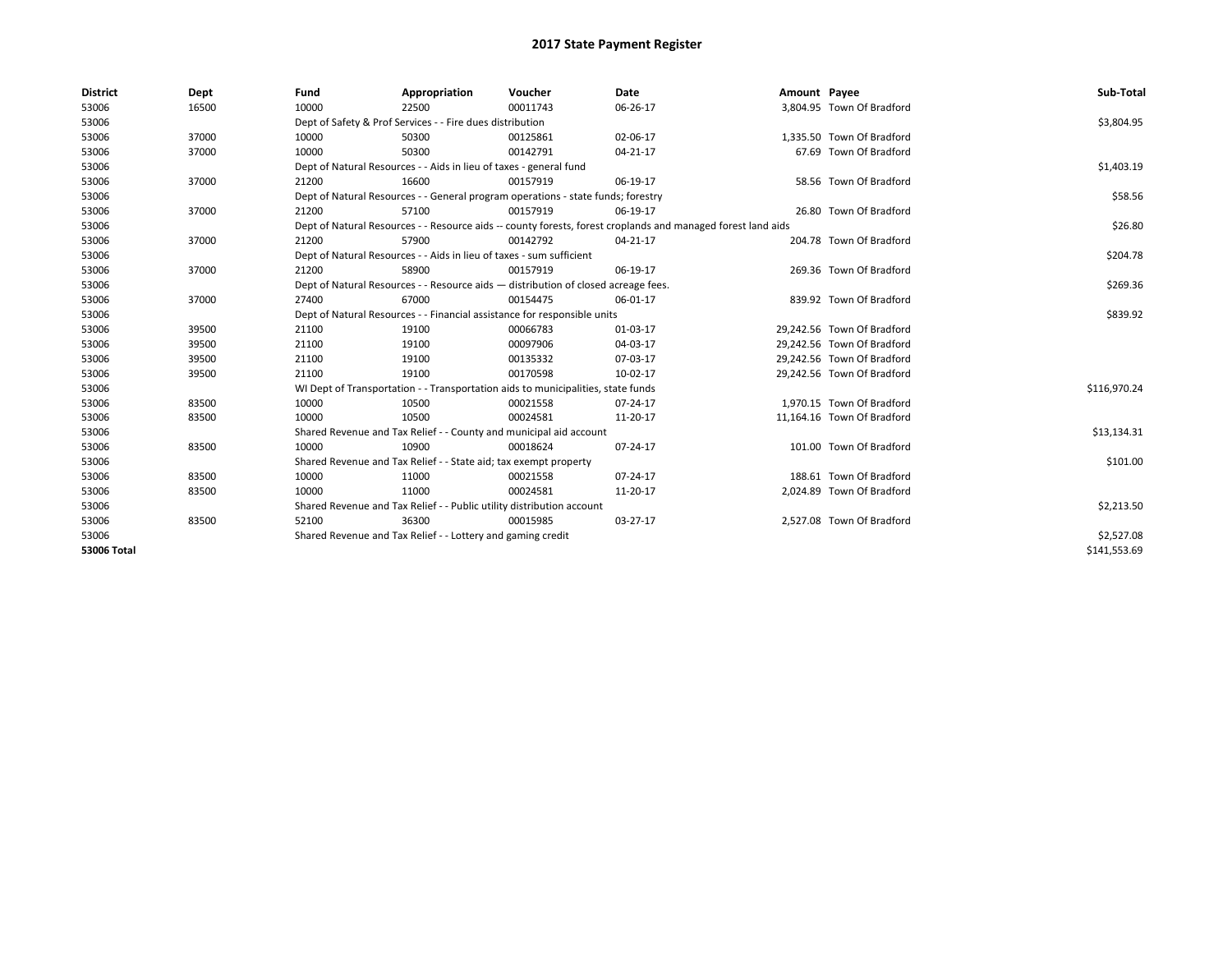| <b>District</b>    | Dept  | Fund                                                                                                         | Appropriation                                                                    | Voucher    | Date           | Amount Payee |                            | Sub-Total    |
|--------------------|-------|--------------------------------------------------------------------------------------------------------------|----------------------------------------------------------------------------------|------------|----------------|--------------|----------------------------|--------------|
| 53006              | 16500 | 10000                                                                                                        | 22500                                                                            | 00011743   | 06-26-17       |              | 3,804.95 Town Of Bradford  |              |
| 53006              |       |                                                                                                              | Dept of Safety & Prof Services - - Fire dues distribution                        |            |                |              |                            | \$3,804.95   |
| 53006              | 37000 | 10000                                                                                                        | 50300                                                                            | 00125861   | 02-06-17       |              | 1.335.50 Town Of Bradford  |              |
| 53006              | 37000 | 10000                                                                                                        | 50300                                                                            | 00142791   | 04-21-17       |              | 67.69 Town Of Bradford     |              |
| 53006              |       | Dept of Natural Resources - - Aids in lieu of taxes - general fund                                           |                                                                                  | \$1,403.19 |                |              |                            |              |
| 53006              | 37000 | 21200                                                                                                        | 16600                                                                            | 00157919   | 06-19-17       |              | 58.56 Town Of Bradford     |              |
| 53006              |       | Dept of Natural Resources - - General program operations - state funds; forestry                             |                                                                                  | \$58.56    |                |              |                            |              |
| 53006              | 37000 | 21200                                                                                                        | 57100                                                                            | 00157919   | 06-19-17       |              | 26.80 Town Of Bradford     |              |
| 53006              |       | Dept of Natural Resources - - Resource aids -- county forests, forest croplands and managed forest land aids |                                                                                  | \$26.80    |                |              |                            |              |
| 53006              | 37000 | 21200                                                                                                        | 57900                                                                            | 00142792   | 04-21-17       |              | 204.78 Town Of Bradford    |              |
| 53006              |       |                                                                                                              | Dept of Natural Resources - - Aids in lieu of taxes - sum sufficient             |            |                |              |                            | \$204.78     |
| 53006              | 37000 | 21200                                                                                                        | 58900                                                                            | 00157919   | 06-19-17       |              | 269.36 Town Of Bradford    |              |
| 53006              |       | Dept of Natural Resources - - Resource aids - distribution of closed acreage fees.                           |                                                                                  | \$269.36   |                |              |                            |              |
| 53006              | 37000 | 27400                                                                                                        | 67000                                                                            | 00154475   | 06-01-17       |              | 839.92 Town Of Bradford    |              |
| 53006              |       | Dept of Natural Resources - - Financial assistance for responsible units                                     |                                                                                  | \$839.92   |                |              |                            |              |
| 53006              | 39500 | 21100                                                                                                        | 19100                                                                            | 00066783   | 01-03-17       |              | 29,242.56 Town Of Bradford |              |
| 53006              | 39500 | 21100                                                                                                        | 19100                                                                            | 00097906   | 04-03-17       |              | 29,242.56 Town Of Bradford |              |
| 53006              | 39500 | 21100                                                                                                        | 19100                                                                            | 00135332   | 07-03-17       |              | 29,242.56 Town Of Bradford |              |
| 53006              | 39500 | 21100                                                                                                        | 19100                                                                            | 00170598   | 10-02-17       |              | 29,242.56 Town Of Bradford |              |
| 53006              |       |                                                                                                              | WI Dept of Transportation - - Transportation aids to municipalities, state funds |            |                |              |                            | \$116,970.24 |
| 53006              | 83500 | 10000                                                                                                        | 10500                                                                            | 00021558   | $07 - 24 - 17$ |              | 1.970.15 Town Of Bradford  |              |
| 53006              | 83500 | 10000                                                                                                        | 10500                                                                            | 00024581   | 11-20-17       |              | 11,164.16 Town Of Bradford |              |
| 53006              |       |                                                                                                              | Shared Revenue and Tax Relief - - County and municipal aid account               |            |                |              |                            | \$13,134.31  |
| 53006              | 83500 | 10000                                                                                                        | 10900                                                                            | 00018624   | 07-24-17       |              | 101.00 Town Of Bradford    |              |
| 53006              |       |                                                                                                              | Shared Revenue and Tax Relief - - State aid; tax exempt property                 |            |                |              |                            | \$101.00     |
| 53006              | 83500 | 10000                                                                                                        | 11000                                                                            | 00021558   | 07-24-17       |              | 188.61 Town Of Bradford    |              |
| 53006              | 83500 | 10000                                                                                                        | 11000                                                                            | 00024581   | 11-20-17       |              | 2,024.89 Town Of Bradford  |              |
| 53006              |       |                                                                                                              | Shared Revenue and Tax Relief - - Public utility distribution account            |            |                |              |                            | \$2,213.50   |
| 53006              | 83500 | 52100                                                                                                        | 36300                                                                            | 00015985   | 03-27-17       |              | 2,527.08 Town Of Bradford  |              |
| 53006              |       |                                                                                                              | Shared Revenue and Tax Relief - - Lottery and gaming credit                      |            |                |              |                            | \$2,527.08   |
| <b>53006 Total</b> |       |                                                                                                              |                                                                                  |            |                |              |                            | \$141,553.69 |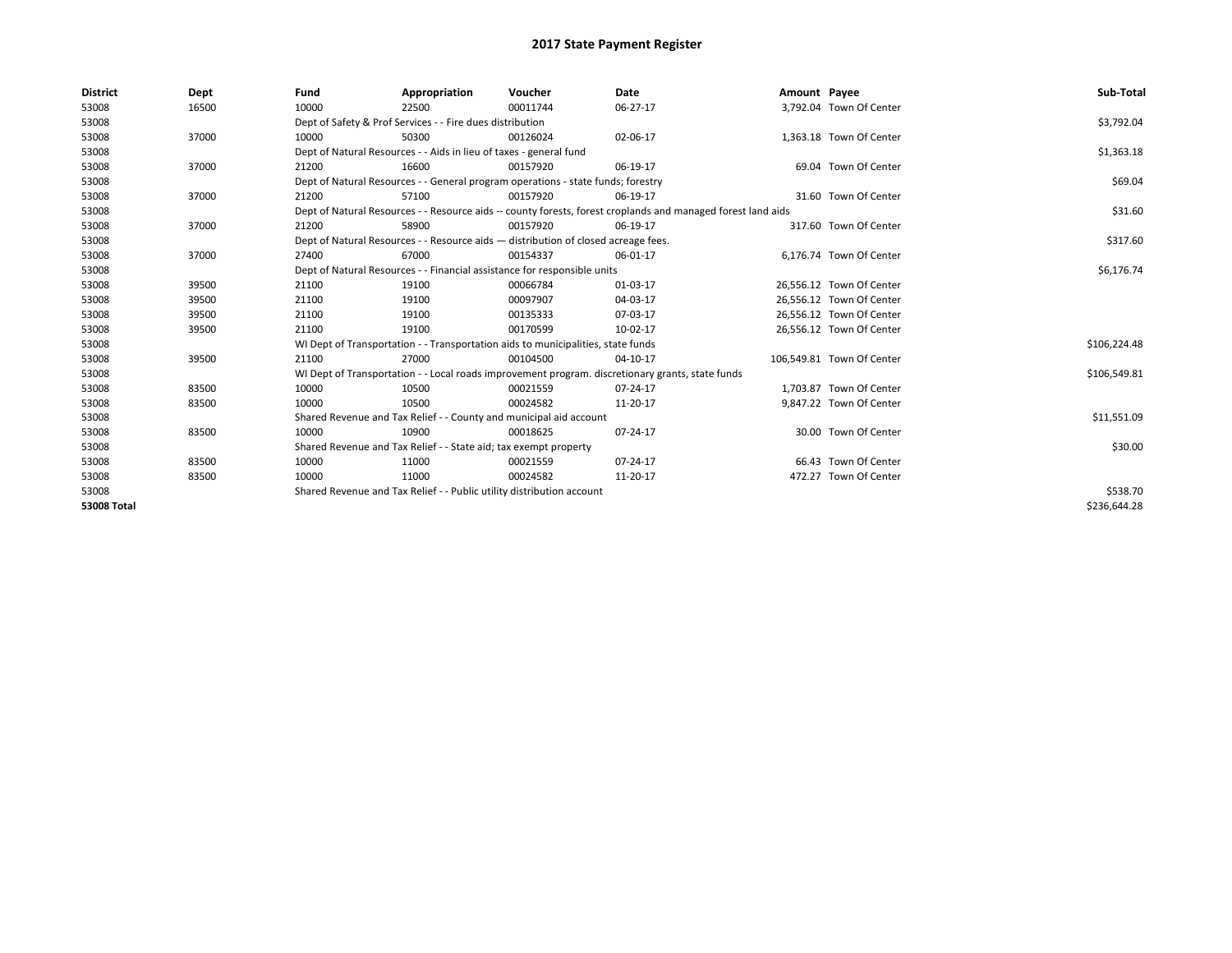| <b>District</b>    | Dept  | Fund                                                                                                         | Appropriation                                                                    | Voucher    | Date                                                                                             | Amount Payee |                           | Sub-Total    |
|--------------------|-------|--------------------------------------------------------------------------------------------------------------|----------------------------------------------------------------------------------|------------|--------------------------------------------------------------------------------------------------|--------------|---------------------------|--------------|
| 53008              | 16500 | 10000                                                                                                        | 22500                                                                            | 00011744   | 06-27-17                                                                                         |              | 3,792.04 Town Of Center   |              |
| 53008              |       |                                                                                                              | Dept of Safety & Prof Services - - Fire dues distribution                        |            |                                                                                                  |              |                           | \$3,792.04   |
| 53008              | 37000 | 10000                                                                                                        | 50300                                                                            | 00126024   | 02-06-17                                                                                         |              | 1,363.18 Town Of Center   |              |
| 53008              |       |                                                                                                              | Dept of Natural Resources - - Aids in lieu of taxes - general fund               |            |                                                                                                  |              |                           | \$1,363.18   |
| 53008              | 37000 | 21200                                                                                                        | 16600                                                                            | 00157920   | 06-19-17                                                                                         |              | 69.04 Town Of Center      |              |
| 53008              |       | Dept of Natural Resources - - General program operations - state funds; forestry                             |                                                                                  | \$69.04    |                                                                                                  |              |                           |              |
| 53008              | 37000 | 21200                                                                                                        | 57100                                                                            | 00157920   | 06-19-17                                                                                         |              | 31.60 Town Of Center      |              |
| 53008              |       | Dept of Natural Resources - - Resource aids -- county forests, forest croplands and managed forest land aids |                                                                                  | \$31.60    |                                                                                                  |              |                           |              |
| 53008              | 37000 | 21200                                                                                                        | 58900                                                                            | 00157920   | 06-19-17                                                                                         |              | 317.60 Town Of Center     |              |
| 53008              |       | Dept of Natural Resources - - Resource aids - distribution of closed acreage fees.                           |                                                                                  | \$317.60   |                                                                                                  |              |                           |              |
| 53008              | 37000 | 27400                                                                                                        | 67000                                                                            | 00154337   | 06-01-17                                                                                         |              | 6.176.74 Town Of Center   |              |
| 53008              |       | Dept of Natural Resources - - Financial assistance for responsible units                                     |                                                                                  | \$6,176.74 |                                                                                                  |              |                           |              |
| 53008              | 39500 | 21100                                                                                                        | 19100                                                                            | 00066784   | 01-03-17                                                                                         |              | 26,556.12 Town Of Center  |              |
| 53008              | 39500 | 21100                                                                                                        | 19100                                                                            | 00097907   | 04-03-17                                                                                         |              | 26,556.12 Town Of Center  |              |
| 53008              | 39500 | 21100                                                                                                        | 19100                                                                            | 00135333   | 07-03-17                                                                                         |              | 26,556.12 Town Of Center  |              |
| 53008              | 39500 | 21100                                                                                                        | 19100                                                                            | 00170599   | 10-02-17                                                                                         |              | 26,556.12 Town Of Center  |              |
| 53008              |       |                                                                                                              | WI Dept of Transportation - - Transportation aids to municipalities, state funds |            |                                                                                                  |              |                           | \$106,224.48 |
| 53008              | 39500 | 21100                                                                                                        | 27000                                                                            | 00104500   | 04-10-17                                                                                         |              | 106,549.81 Town Of Center |              |
| 53008              |       |                                                                                                              |                                                                                  |            | WI Dept of Transportation - - Local roads improvement program. discretionary grants, state funds |              |                           | \$106,549.81 |
| 53008              | 83500 | 10000                                                                                                        | 10500                                                                            | 00021559   | 07-24-17                                                                                         |              | 1,703.87 Town Of Center   |              |
| 53008              | 83500 | 10000                                                                                                        | 10500                                                                            | 00024582   | 11-20-17                                                                                         |              | 9,847.22 Town Of Center   |              |
| 53008              |       |                                                                                                              | Shared Revenue and Tax Relief - - County and municipal aid account               |            |                                                                                                  |              |                           | \$11,551.09  |
| 53008              | 83500 | 10000                                                                                                        | 10900                                                                            | 00018625   | 07-24-17                                                                                         |              | 30.00 Town Of Center      |              |
| 53008              |       |                                                                                                              | Shared Revenue and Tax Relief - - State aid; tax exempt property                 |            |                                                                                                  |              |                           | \$30.00      |
| 53008              | 83500 | 10000                                                                                                        | 11000                                                                            | 00021559   | 07-24-17                                                                                         |              | 66.43 Town Of Center      |              |
| 53008              | 83500 | 10000                                                                                                        | 11000                                                                            | 00024582   | 11-20-17                                                                                         |              | 472.27 Town Of Center     |              |
| 53008              |       |                                                                                                              | Shared Revenue and Tax Relief - - Public utility distribution account            |            |                                                                                                  |              |                           | \$538.70     |
| <b>53008 Total</b> |       |                                                                                                              |                                                                                  |            |                                                                                                  |              |                           | \$236,644.28 |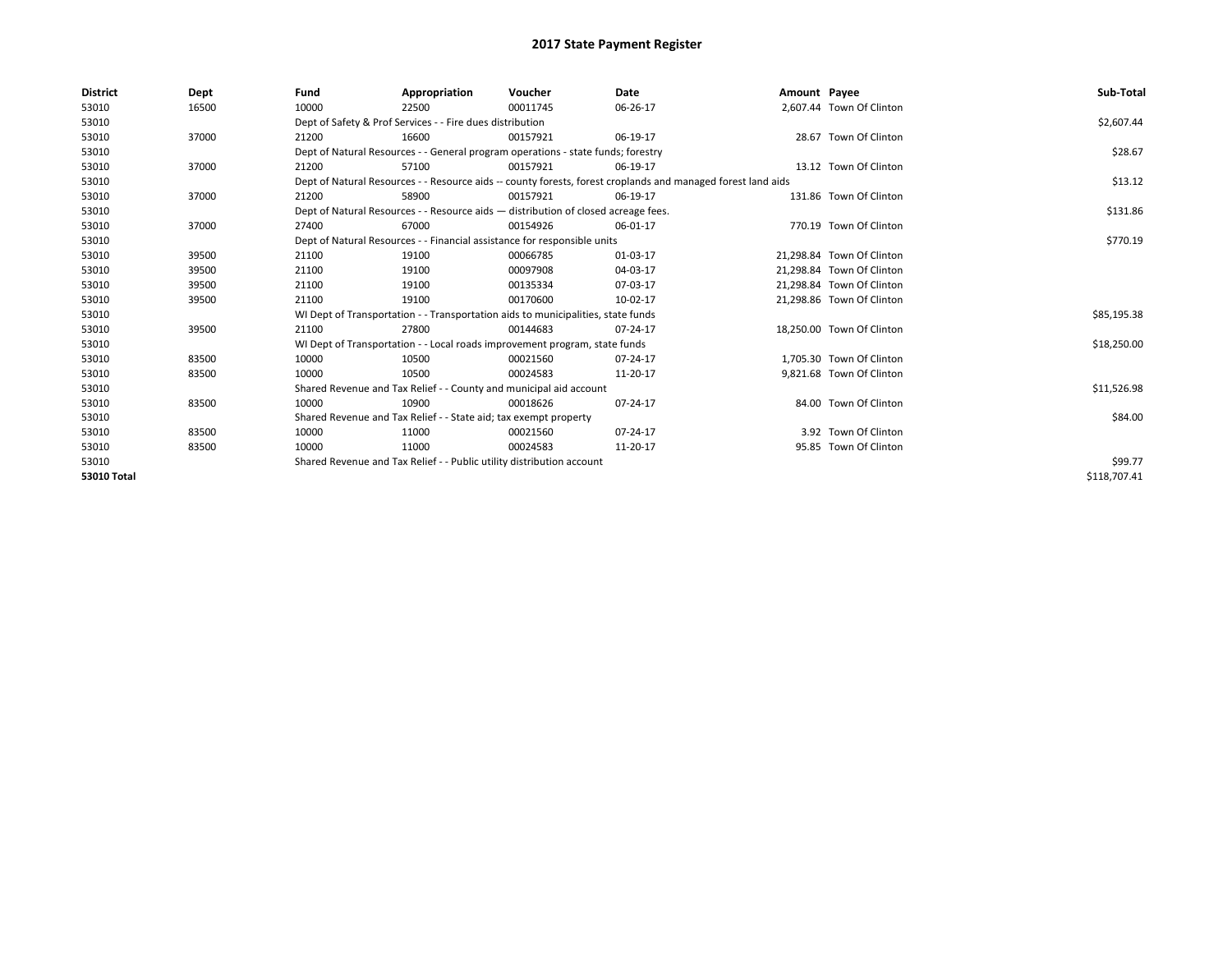| <b>District</b>    | Dept  | Fund                                                                                                         | Appropriation                                                                      | Voucher  | Date     | Amount Payee |                           | Sub-Total    |  |  |  |
|--------------------|-------|--------------------------------------------------------------------------------------------------------------|------------------------------------------------------------------------------------|----------|----------|--------------|---------------------------|--------------|--|--|--|
| 53010              | 16500 | 10000                                                                                                        | 22500                                                                              | 00011745 | 06-26-17 |              | 2,607.44 Town Of Clinton  |              |  |  |  |
| 53010              |       |                                                                                                              | Dept of Safety & Prof Services - - Fire dues distribution                          |          |          |              |                           | \$2,607.44   |  |  |  |
| 53010              | 37000 | 21200                                                                                                        | 16600                                                                              | 00157921 | 06-19-17 |              | 28.67 Town Of Clinton     |              |  |  |  |
| 53010              |       |                                                                                                              | Dept of Natural Resources - - General program operations - state funds; forestry   |          |          |              |                           |              |  |  |  |
| 53010              | 37000 | 21200                                                                                                        | 57100                                                                              | 00157921 | 06-19-17 |              | 13.12 Town Of Clinton     |              |  |  |  |
| 53010              |       | Dept of Natural Resources - - Resource aids -- county forests, forest croplands and managed forest land aids |                                                                                    | \$13.12  |          |              |                           |              |  |  |  |
| 53010              | 37000 | 21200                                                                                                        | 58900                                                                              | 00157921 | 06-19-17 |              | 131.86 Town Of Clinton    |              |  |  |  |
| 53010              |       |                                                                                                              | Dept of Natural Resources - - Resource aids - distribution of closed acreage fees. |          |          |              |                           |              |  |  |  |
| 53010              | 37000 | 27400                                                                                                        | 67000                                                                              | 00154926 | 06-01-17 |              | 770.19 Town Of Clinton    |              |  |  |  |
| 53010              |       |                                                                                                              | Dept of Natural Resources - - Financial assistance for responsible units           |          |          |              |                           | \$770.19     |  |  |  |
| 53010              | 39500 | 21100                                                                                                        | 19100                                                                              | 00066785 | 01-03-17 |              | 21.298.84 Town Of Clinton |              |  |  |  |
| 53010              | 39500 | 21100                                                                                                        | 19100                                                                              | 00097908 | 04-03-17 |              | 21.298.84 Town Of Clinton |              |  |  |  |
| 53010              | 39500 | 21100                                                                                                        | 19100                                                                              | 00135334 | 07-03-17 |              | 21,298.84 Town Of Clinton |              |  |  |  |
| 53010              | 39500 | 21100                                                                                                        | 19100                                                                              | 00170600 | 10-02-17 |              | 21,298.86 Town Of Clinton |              |  |  |  |
| 53010              |       |                                                                                                              | WI Dept of Transportation - - Transportation aids to municipalities, state funds   |          |          |              |                           | \$85,195.38  |  |  |  |
| 53010              | 39500 | 21100                                                                                                        | 27800                                                                              | 00144683 | 07-24-17 |              | 18.250.00 Town Of Clinton |              |  |  |  |
| 53010              |       |                                                                                                              | WI Dept of Transportation - - Local roads improvement program, state funds         |          |          |              |                           | \$18,250.00  |  |  |  |
| 53010              | 83500 | 10000                                                                                                        | 10500                                                                              | 00021560 | 07-24-17 |              | 1.705.30 Town Of Clinton  |              |  |  |  |
| 53010              | 83500 | 10000                                                                                                        | 10500                                                                              | 00024583 | 11-20-17 |              | 9,821.68 Town Of Clinton  |              |  |  |  |
| 53010              |       |                                                                                                              | Shared Revenue and Tax Relief - - County and municipal aid account                 |          |          |              |                           | \$11,526.98  |  |  |  |
| 53010              | 83500 | 10000                                                                                                        | 10900                                                                              | 00018626 | 07-24-17 |              | 84.00 Town Of Clinton     |              |  |  |  |
| 53010              |       | Shared Revenue and Tax Relief - - State aid; tax exempt property                                             |                                                                                    | \$84.00  |          |              |                           |              |  |  |  |
| 53010              | 83500 | 10000                                                                                                        | 11000                                                                              | 00021560 | 07-24-17 |              | 3.92 Town Of Clinton      |              |  |  |  |
| 53010              | 83500 | 10000                                                                                                        | 11000                                                                              | 00024583 | 11-20-17 |              | 95.85 Town Of Clinton     |              |  |  |  |
| 53010              |       | Shared Revenue and Tax Relief - - Public utility distribution account                                        |                                                                                    | \$99.77  |          |              |                           |              |  |  |  |
| <b>53010 Total</b> |       |                                                                                                              |                                                                                    |          |          |              |                           | \$118,707.41 |  |  |  |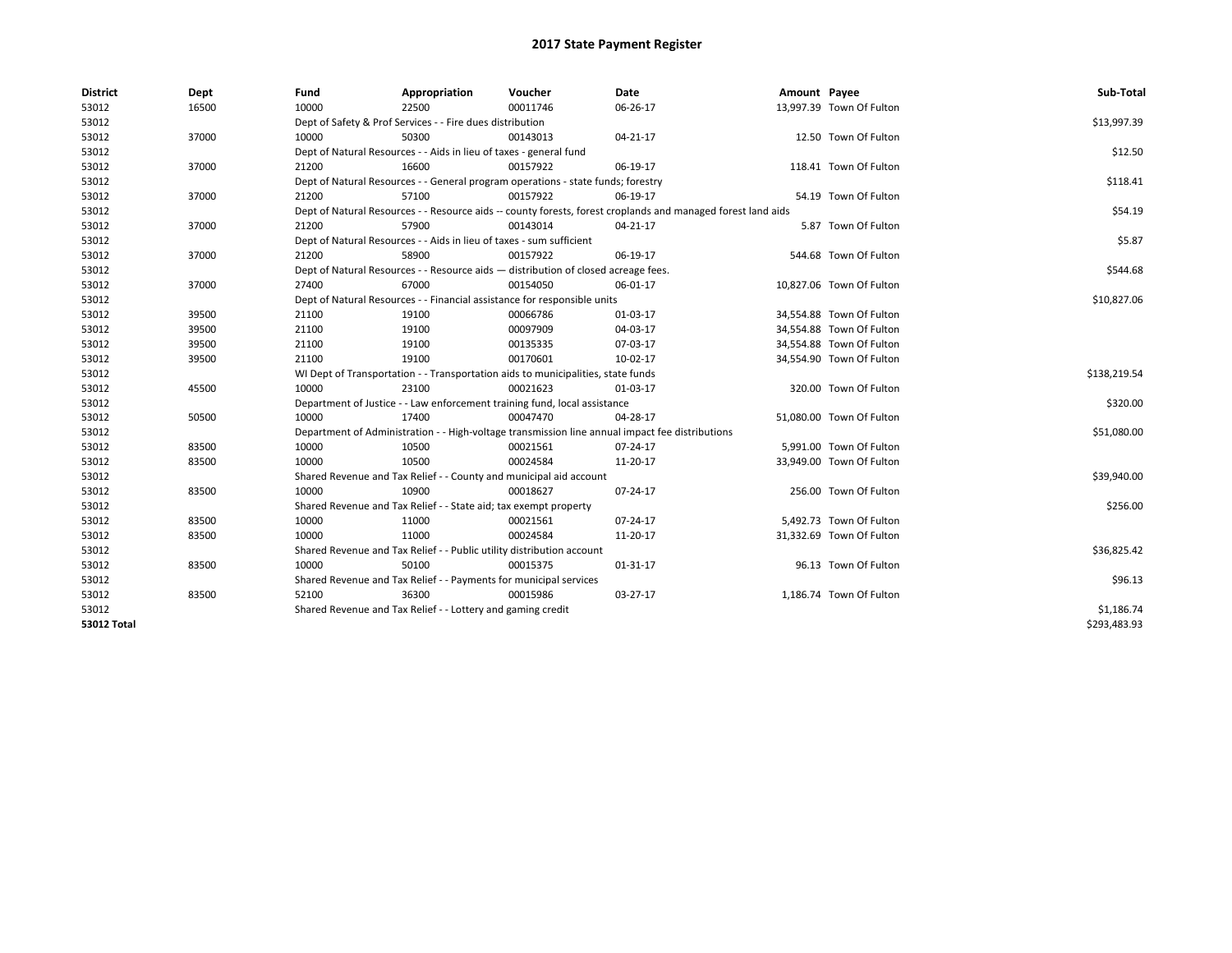| <b>District</b> | Dept  | Fund  | Appropriation                                                                                                | Voucher  | Date                                                                                            | Amount Payee |                          | Sub-Total    |  |  |  |
|-----------------|-------|-------|--------------------------------------------------------------------------------------------------------------|----------|-------------------------------------------------------------------------------------------------|--------------|--------------------------|--------------|--|--|--|
| 53012           | 16500 | 10000 | 22500                                                                                                        | 00011746 | 06-26-17                                                                                        |              | 13,997.39 Town Of Fulton |              |  |  |  |
| 53012           |       |       | Dept of Safety & Prof Services - - Fire dues distribution                                                    |          |                                                                                                 |              |                          | \$13,997.39  |  |  |  |
| 53012           | 37000 | 10000 | 50300                                                                                                        | 00143013 | $04 - 21 - 17$                                                                                  |              | 12.50 Town Of Fulton     |              |  |  |  |
| 53012           |       |       | Dept of Natural Resources - - Aids in lieu of taxes - general fund                                           |          |                                                                                                 |              |                          | \$12.50      |  |  |  |
| 53012           | 37000 | 21200 | 16600                                                                                                        | 00157922 | 06-19-17                                                                                        |              | 118.41 Town Of Fulton    |              |  |  |  |
| 53012           |       |       | Dept of Natural Resources - - General program operations - state funds; forestry                             |          |                                                                                                 |              |                          |              |  |  |  |
| 53012           | 37000 | 21200 | 57100                                                                                                        | 00157922 | 06-19-17                                                                                        |              | 54.19 Town Of Fulton     |              |  |  |  |
| 53012           |       |       | Dept of Natural Resources - - Resource aids -- county forests, forest croplands and managed forest land aids |          |                                                                                                 |              |                          |              |  |  |  |
| 53012           | 37000 | 21200 | 57900                                                                                                        | 00143014 | 04-21-17                                                                                        |              | 5.87 Town Of Fulton      |              |  |  |  |
| 53012           |       |       | Dept of Natural Resources - - Aids in lieu of taxes - sum sufficient                                         |          |                                                                                                 |              |                          | \$5.87       |  |  |  |
| 53012           | 37000 | 21200 | 58900                                                                                                        | 00157922 | 06-19-17                                                                                        |              | 544.68 Town Of Fulton    |              |  |  |  |
| 53012           |       |       | Dept of Natural Resources - - Resource aids - distribution of closed acreage fees.                           |          |                                                                                                 |              |                          | \$544.68     |  |  |  |
| 53012           | 37000 | 27400 | 67000                                                                                                        | 00154050 | 06-01-17                                                                                        |              | 10,827.06 Town Of Fulton |              |  |  |  |
| 53012           |       |       | Dept of Natural Resources - - Financial assistance for responsible units                                     |          |                                                                                                 |              |                          | \$10,827.06  |  |  |  |
| 53012           | 39500 | 21100 | 19100                                                                                                        | 00066786 | 01-03-17                                                                                        |              | 34,554.88 Town Of Fulton |              |  |  |  |
| 53012           | 39500 | 21100 | 19100                                                                                                        | 00097909 | 04-03-17                                                                                        |              | 34,554.88 Town Of Fulton |              |  |  |  |
| 53012           | 39500 | 21100 | 19100                                                                                                        | 00135335 | 07-03-17                                                                                        |              | 34,554.88 Town Of Fulton |              |  |  |  |
| 53012           | 39500 | 21100 | 19100                                                                                                        | 00170601 | 10-02-17                                                                                        |              | 34,554.90 Town Of Fulton |              |  |  |  |
| 53012           |       |       | WI Dept of Transportation - - Transportation aids to municipalities, state funds                             |          |                                                                                                 |              |                          |              |  |  |  |
| 53012           | 45500 | 10000 | 23100                                                                                                        | 00021623 | 01-03-17                                                                                        |              | 320.00 Town Of Fulton    |              |  |  |  |
| 53012           |       |       | Department of Justice - - Law enforcement training fund, local assistance                                    |          |                                                                                                 |              |                          | \$320.00     |  |  |  |
| 53012           | 50500 | 10000 | 17400                                                                                                        | 00047470 | 04-28-17                                                                                        |              | 51,080.00 Town Of Fulton |              |  |  |  |
| 53012           |       |       |                                                                                                              |          | Department of Administration - - High-voltage transmission line annual impact fee distributions |              |                          | \$51,080.00  |  |  |  |
| 53012           | 83500 | 10000 | 10500                                                                                                        | 00021561 | 07-24-17                                                                                        |              | 5,991.00 Town Of Fulton  |              |  |  |  |
| 53012           | 83500 | 10000 | 10500                                                                                                        | 00024584 | 11-20-17                                                                                        |              | 33,949.00 Town Of Fulton |              |  |  |  |
| 53012           |       |       | Shared Revenue and Tax Relief - - County and municipal aid account                                           |          |                                                                                                 |              |                          | \$39,940.00  |  |  |  |
| 53012           | 83500 | 10000 | 10900                                                                                                        | 00018627 | 07-24-17                                                                                        |              | 256.00 Town Of Fulton    |              |  |  |  |
| 53012           |       |       | Shared Revenue and Tax Relief - - State aid; tax exempt property                                             |          |                                                                                                 |              |                          | \$256.00     |  |  |  |
| 53012           | 83500 | 10000 | 11000                                                                                                        | 00021561 | 07-24-17                                                                                        |              | 5,492.73 Town Of Fulton  |              |  |  |  |
| 53012           | 83500 | 10000 | 11000                                                                                                        | 00024584 | 11-20-17                                                                                        |              | 31,332.69 Town Of Fulton |              |  |  |  |
| 53012           |       |       | Shared Revenue and Tax Relief - - Public utility distribution account                                        |          |                                                                                                 |              |                          | \$36,825.42  |  |  |  |
| 53012           | 83500 | 10000 | 50100                                                                                                        | 00015375 | $01 - 31 - 17$                                                                                  |              | 96.13 Town Of Fulton     |              |  |  |  |
| 53012           |       |       | Shared Revenue and Tax Relief - - Payments for municipal services                                            |          |                                                                                                 |              |                          | \$96.13      |  |  |  |
| 53012           | 83500 | 52100 | 36300                                                                                                        | 00015986 | 03-27-17                                                                                        |              | 1,186.74 Town Of Fulton  |              |  |  |  |
| 53012           |       |       | Shared Revenue and Tax Relief - - Lottery and gaming credit                                                  |          |                                                                                                 |              |                          | \$1,186.74   |  |  |  |
| 53012 Total     |       |       |                                                                                                              |          |                                                                                                 |              |                          | \$293,483.93 |  |  |  |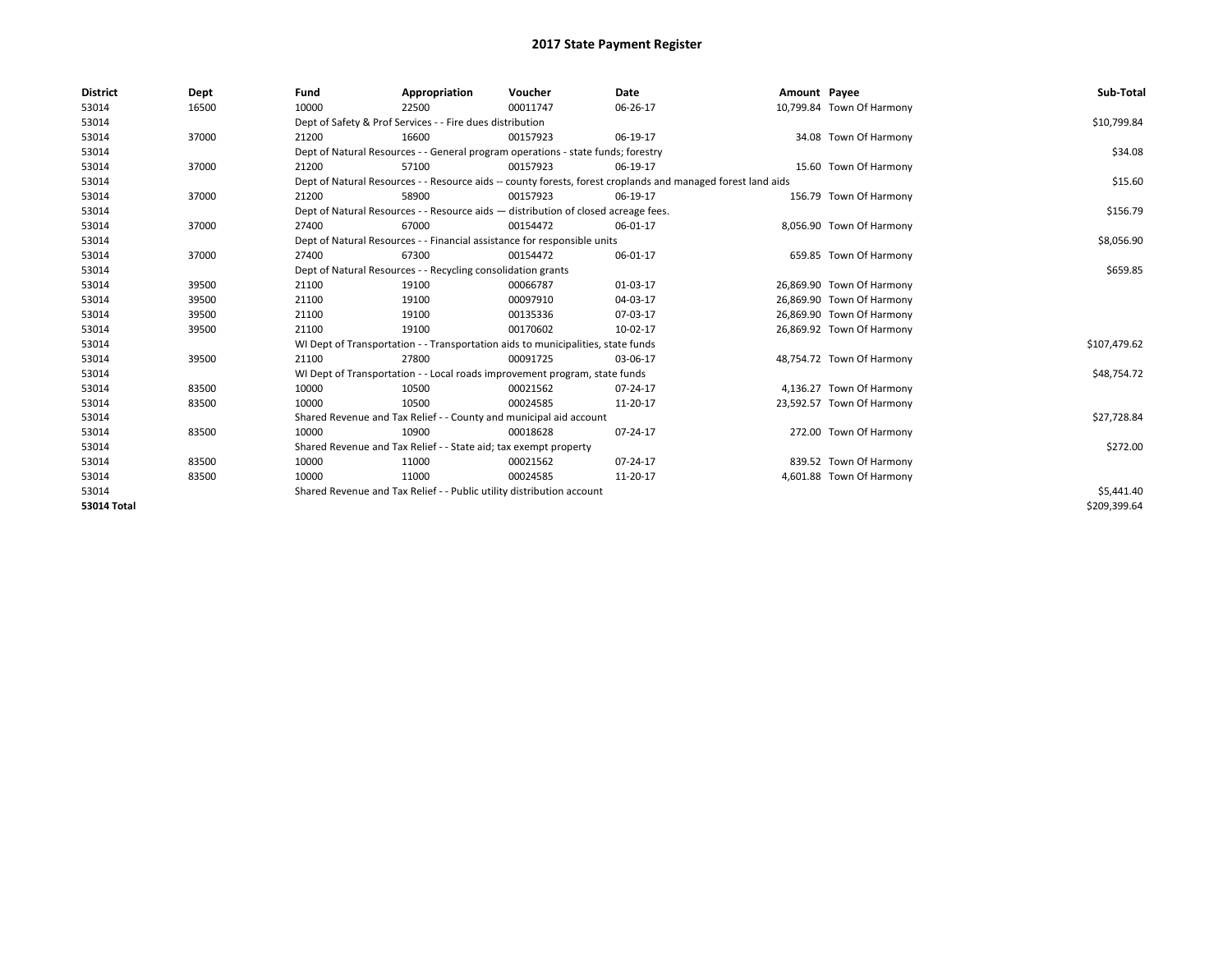| <b>District</b>    | Dept  | Fund                                                                                                         | Appropriation                                                                      | Voucher  | Date     | Amount Payee |                           | Sub-Total    |  |  |  |
|--------------------|-------|--------------------------------------------------------------------------------------------------------------|------------------------------------------------------------------------------------|----------|----------|--------------|---------------------------|--------------|--|--|--|
| 53014              | 16500 | 10000                                                                                                        | 22500                                                                              | 00011747 | 06-26-17 |              | 10,799.84 Town Of Harmony |              |  |  |  |
| 53014              |       |                                                                                                              | Dept of Safety & Prof Services - - Fire dues distribution                          |          |          |              |                           | \$10,799.84  |  |  |  |
| 53014              | 37000 | 21200                                                                                                        | 16600                                                                              | 00157923 | 06-19-17 |              | 34.08 Town Of Harmony     |              |  |  |  |
| 53014              |       |                                                                                                              | Dept of Natural Resources - - General program operations - state funds; forestry   |          |          |              |                           |              |  |  |  |
| 53014              | 37000 | 21200                                                                                                        | 57100                                                                              | 00157923 | 06-19-17 |              | 15.60 Town Of Harmony     |              |  |  |  |
| 53014              |       | Dept of Natural Resources - - Resource aids -- county forests, forest croplands and managed forest land aids |                                                                                    | \$15.60  |          |              |                           |              |  |  |  |
| 53014              | 37000 | 21200                                                                                                        | 58900                                                                              | 00157923 | 06-19-17 |              | 156.79 Town Of Harmony    |              |  |  |  |
| 53014              |       |                                                                                                              | Dept of Natural Resources - - Resource aids - distribution of closed acreage fees. |          |          |              |                           |              |  |  |  |
| 53014              | 37000 | 27400                                                                                                        | 67000                                                                              | 00154472 | 06-01-17 |              | 8,056.90 Town Of Harmony  |              |  |  |  |
| 53014              |       |                                                                                                              | Dept of Natural Resources - - Financial assistance for responsible units           |          |          |              |                           |              |  |  |  |
| 53014              | 37000 | 27400                                                                                                        | 67300                                                                              | 00154472 | 06-01-17 |              | 659.85 Town Of Harmony    |              |  |  |  |
| 53014              |       | Dept of Natural Resources - - Recycling consolidation grants                                                 |                                                                                    | \$659.85 |          |              |                           |              |  |  |  |
| 53014              | 39500 | 21100                                                                                                        | 19100                                                                              | 00066787 | 01-03-17 |              | 26,869.90 Town Of Harmony |              |  |  |  |
| 53014              | 39500 | 21100                                                                                                        | 19100                                                                              | 00097910 | 04-03-17 |              | 26,869.90 Town Of Harmony |              |  |  |  |
| 53014              | 39500 | 21100                                                                                                        | 19100                                                                              | 00135336 | 07-03-17 |              | 26,869.90 Town Of Harmony |              |  |  |  |
| 53014              | 39500 | 21100                                                                                                        | 19100                                                                              | 00170602 | 10-02-17 |              | 26,869.92 Town Of Harmony |              |  |  |  |
| 53014              |       |                                                                                                              | WI Dept of Transportation - - Transportation aids to municipalities, state funds   |          |          |              |                           | \$107,479.62 |  |  |  |
| 53014              | 39500 | 21100                                                                                                        | 27800                                                                              | 00091725 | 03-06-17 |              | 48,754.72 Town Of Harmony |              |  |  |  |
| 53014              |       |                                                                                                              | WI Dept of Transportation - - Local roads improvement program, state funds         |          |          |              |                           | \$48,754.72  |  |  |  |
| 53014              | 83500 | 10000                                                                                                        | 10500                                                                              | 00021562 | 07-24-17 |              | 4,136.27 Town Of Harmony  |              |  |  |  |
| 53014              | 83500 | 10000                                                                                                        | 10500                                                                              | 00024585 | 11-20-17 |              | 23,592.57 Town Of Harmony |              |  |  |  |
| 53014              |       |                                                                                                              | Shared Revenue and Tax Relief - - County and municipal aid account                 |          |          |              |                           | \$27,728.84  |  |  |  |
| 53014              | 83500 | 10000                                                                                                        | 10900                                                                              | 00018628 | 07-24-17 |              | 272.00 Town Of Harmony    |              |  |  |  |
| 53014              |       |                                                                                                              | Shared Revenue and Tax Relief - - State aid; tax exempt property                   |          |          |              |                           | \$272.00     |  |  |  |
| 53014              | 83500 | 10000                                                                                                        | 11000                                                                              | 00021562 | 07-24-17 |              | 839.52 Town Of Harmony    |              |  |  |  |
| 53014              | 83500 | 10000                                                                                                        | 11000                                                                              | 00024585 | 11-20-17 |              | 4,601.88 Town Of Harmony  |              |  |  |  |
| 53014              |       |                                                                                                              | Shared Revenue and Tax Relief - - Public utility distribution account              |          |          |              |                           | \$5,441.40   |  |  |  |
| <b>53014 Total</b> |       |                                                                                                              |                                                                                    |          |          |              |                           | \$209,399.64 |  |  |  |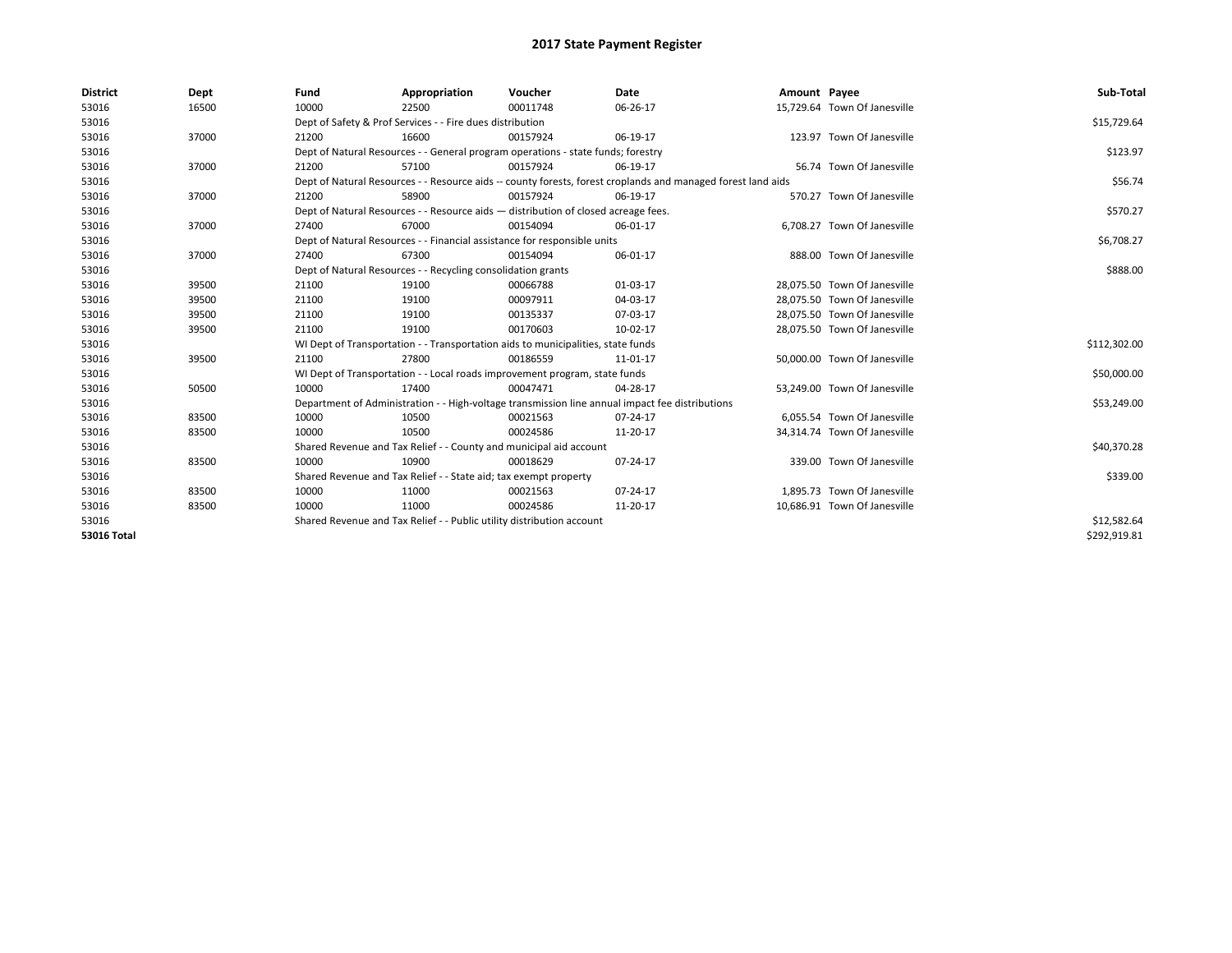| <b>District</b> | Dept  | Fund  | Appropriation                                                                                                | Voucher  | Date                                                                                            | Amount Payee |                              | Sub-Total    |  |
|-----------------|-------|-------|--------------------------------------------------------------------------------------------------------------|----------|-------------------------------------------------------------------------------------------------|--------------|------------------------------|--------------|--|
| 53016           | 16500 | 10000 | 22500                                                                                                        | 00011748 | 06-26-17                                                                                        |              | 15,729.64 Town Of Janesville |              |  |
| 53016           |       |       | Dept of Safety & Prof Services - - Fire dues distribution                                                    |          |                                                                                                 |              |                              | \$15,729.64  |  |
| 53016           | 37000 | 21200 | 16600                                                                                                        | 00157924 | 06-19-17                                                                                        |              | 123.97 Town Of Janesville    |              |  |
| 53016           |       |       | Dept of Natural Resources - - General program operations - state funds; forestry                             |          |                                                                                                 |              |                              | \$123.97     |  |
| 53016           | 37000 | 21200 | 57100                                                                                                        | 00157924 | 06-19-17                                                                                        |              | 56.74 Town Of Janesville     |              |  |
| 53016           |       |       | Dept of Natural Resources - - Resource aids -- county forests, forest croplands and managed forest land aids |          |                                                                                                 |              |                              |              |  |
| 53016           | 37000 | 21200 | 58900                                                                                                        | 00157924 | 06-19-17                                                                                        |              | 570.27 Town Of Janesville    |              |  |
| 53016           |       |       | Dept of Natural Resources - - Resource aids - distribution of closed acreage fees.                           |          |                                                                                                 |              |                              | \$570.27     |  |
| 53016           | 37000 | 27400 | 67000                                                                                                        | 00154094 | 06-01-17                                                                                        |              | 6,708.27 Town Of Janesville  |              |  |
| 53016           |       |       | Dept of Natural Resources - - Financial assistance for responsible units                                     |          |                                                                                                 |              |                              | \$6,708.27   |  |
| 53016           | 37000 | 27400 | 67300                                                                                                        | 00154094 | 06-01-17                                                                                        |              | 888.00 Town Of Janesville    |              |  |
| 53016           |       |       | Dept of Natural Resources - - Recycling consolidation grants                                                 |          |                                                                                                 |              |                              |              |  |
| 53016           | 39500 | 21100 | 19100                                                                                                        | 00066788 | 01-03-17                                                                                        |              | 28.075.50 Town Of Janesville |              |  |
| 53016           | 39500 | 21100 | 19100                                                                                                        | 00097911 | 04-03-17                                                                                        |              | 28.075.50 Town Of Janesville |              |  |
| 53016           | 39500 | 21100 | 19100                                                                                                        | 00135337 | 07-03-17                                                                                        |              | 28.075.50 Town Of Janesville |              |  |
| 53016           | 39500 | 21100 | 19100                                                                                                        | 00170603 | 10-02-17                                                                                        |              | 28,075.50 Town Of Janesville |              |  |
| 53016           |       |       | WI Dept of Transportation - - Transportation aids to municipalities, state funds                             |          |                                                                                                 |              |                              | \$112,302.00 |  |
| 53016           | 39500 | 21100 | 27800                                                                                                        | 00186559 | 11-01-17                                                                                        |              | 50,000.00 Town Of Janesville |              |  |
| 53016           |       |       | WI Dept of Transportation - - Local roads improvement program, state funds                                   |          |                                                                                                 |              |                              | \$50,000.00  |  |
| 53016           | 50500 | 10000 | 17400                                                                                                        | 00047471 | 04-28-17                                                                                        |              | 53,249.00 Town Of Janesville |              |  |
| 53016           |       |       |                                                                                                              |          | Department of Administration - - High-voltage transmission line annual impact fee distributions |              |                              | \$53,249.00  |  |
| 53016           | 83500 | 10000 | 10500                                                                                                        | 00021563 | 07-24-17                                                                                        |              | 6.055.54 Town Of Janesville  |              |  |
| 53016           | 83500 | 10000 | 10500                                                                                                        | 00024586 | 11-20-17                                                                                        |              | 34,314.74 Town Of Janesville |              |  |
| 53016           |       |       | Shared Revenue and Tax Relief - - County and municipal aid account                                           |          |                                                                                                 |              |                              | \$40,370.28  |  |
| 53016           | 83500 | 10000 | 10900                                                                                                        | 00018629 | 07-24-17                                                                                        |              | 339.00 Town Of Janesville    |              |  |
| 53016           |       |       | Shared Revenue and Tax Relief - - State aid; tax exempt property                                             |          |                                                                                                 |              |                              | \$339.00     |  |
| 53016           | 83500 | 10000 | 11000                                                                                                        | 00021563 | 07-24-17                                                                                        |              | 1.895.73 Town Of Janesville  |              |  |
| 53016           | 83500 | 10000 | 11000                                                                                                        | 00024586 | 11-20-17                                                                                        |              | 10,686.91 Town Of Janesville |              |  |
| 53016           |       |       | Shared Revenue and Tax Relief - - Public utility distribution account                                        |          |                                                                                                 |              |                              | \$12,582.64  |  |
| 53016 Total     |       |       |                                                                                                              |          |                                                                                                 |              |                              | \$292,919.81 |  |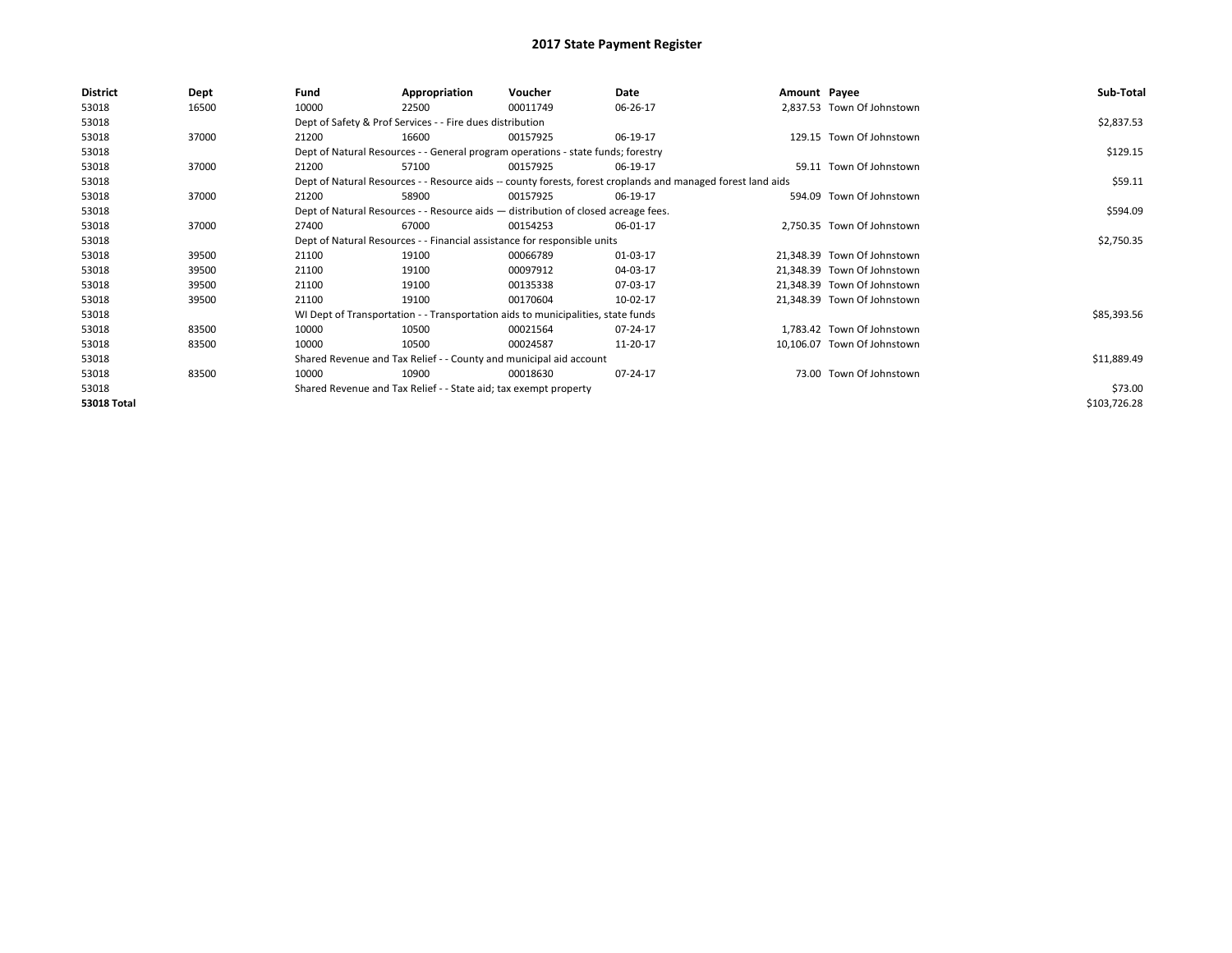| <b>District</b>    | Dept  | Fund  | Appropriation                                                                      | Voucher  | Date                                                                                                         | Amount Payee |                             | Sub-Total    |
|--------------------|-------|-------|------------------------------------------------------------------------------------|----------|--------------------------------------------------------------------------------------------------------------|--------------|-----------------------------|--------------|
| 53018              | 16500 | 10000 | 22500                                                                              | 00011749 | 06-26-17                                                                                                     |              | 2,837.53 Town Of Johnstown  |              |
| 53018              |       |       | Dept of Safety & Prof Services - - Fire dues distribution                          |          |                                                                                                              |              |                             | \$2,837.53   |
| 53018              | 37000 | 21200 | 16600                                                                              | 00157925 | 06-19-17                                                                                                     |              | 129.15 Town Of Johnstown    |              |
| 53018              |       |       | Dept of Natural Resources - - General program operations - state funds; forestry   |          |                                                                                                              |              |                             | \$129.15     |
| 53018              | 37000 | 21200 | 57100                                                                              | 00157925 | 06-19-17                                                                                                     |              | 59.11 Town Of Johnstown     |              |
| 53018              |       |       |                                                                                    |          | Dept of Natural Resources - - Resource aids -- county forests, forest croplands and managed forest land aids |              |                             | \$59.11      |
| 53018              | 37000 | 21200 | 58900                                                                              | 00157925 | 06-19-17                                                                                                     |              | 594.09 Town Of Johnstown    |              |
| 53018              |       |       | Dept of Natural Resources - - Resource aids - distribution of closed acreage fees. |          |                                                                                                              |              |                             | \$594.09     |
| 53018              | 37000 | 27400 | 67000                                                                              | 00154253 | 06-01-17                                                                                                     |              | 2,750.35 Town Of Johnstown  |              |
| 53018              |       |       | Dept of Natural Resources - - Financial assistance for responsible units           |          |                                                                                                              |              |                             | \$2,750.35   |
| 53018              | 39500 | 21100 | 19100                                                                              | 00066789 | 01-03-17                                                                                                     |              | 21,348.39 Town Of Johnstown |              |
| 53018              | 39500 | 21100 | 19100                                                                              | 00097912 | 04-03-17                                                                                                     |              | 21,348.39 Town Of Johnstown |              |
| 53018              | 39500 | 21100 | 19100                                                                              | 00135338 | 07-03-17                                                                                                     |              | 21,348.39 Town Of Johnstown |              |
| 53018              | 39500 | 21100 | 19100                                                                              | 00170604 | 10-02-17                                                                                                     |              | 21,348.39 Town Of Johnstown |              |
| 53018              |       |       | WI Dept of Transportation - - Transportation aids to municipalities, state funds   |          |                                                                                                              |              |                             | \$85,393.56  |
| 53018              | 83500 | 10000 | 10500                                                                              | 00021564 | 07-24-17                                                                                                     |              | 1,783.42 Town Of Johnstown  |              |
| 53018              | 83500 | 10000 | 10500                                                                              | 00024587 | 11-20-17                                                                                                     |              | 10,106.07 Town Of Johnstown |              |
| 53018              |       |       | Shared Revenue and Tax Relief - - County and municipal aid account                 |          |                                                                                                              |              |                             | \$11,889.49  |
| 53018              | 83500 | 10000 | 10900                                                                              | 00018630 | 07-24-17                                                                                                     |              | 73.00 Town Of Johnstown     |              |
| 53018              |       |       | Shared Revenue and Tax Relief - - State aid; tax exempt property                   |          |                                                                                                              |              |                             | \$73.00      |
| <b>53018 Total</b> |       |       |                                                                                    |          |                                                                                                              |              |                             | \$103,726.28 |
|                    |       |       |                                                                                    |          |                                                                                                              |              |                             |              |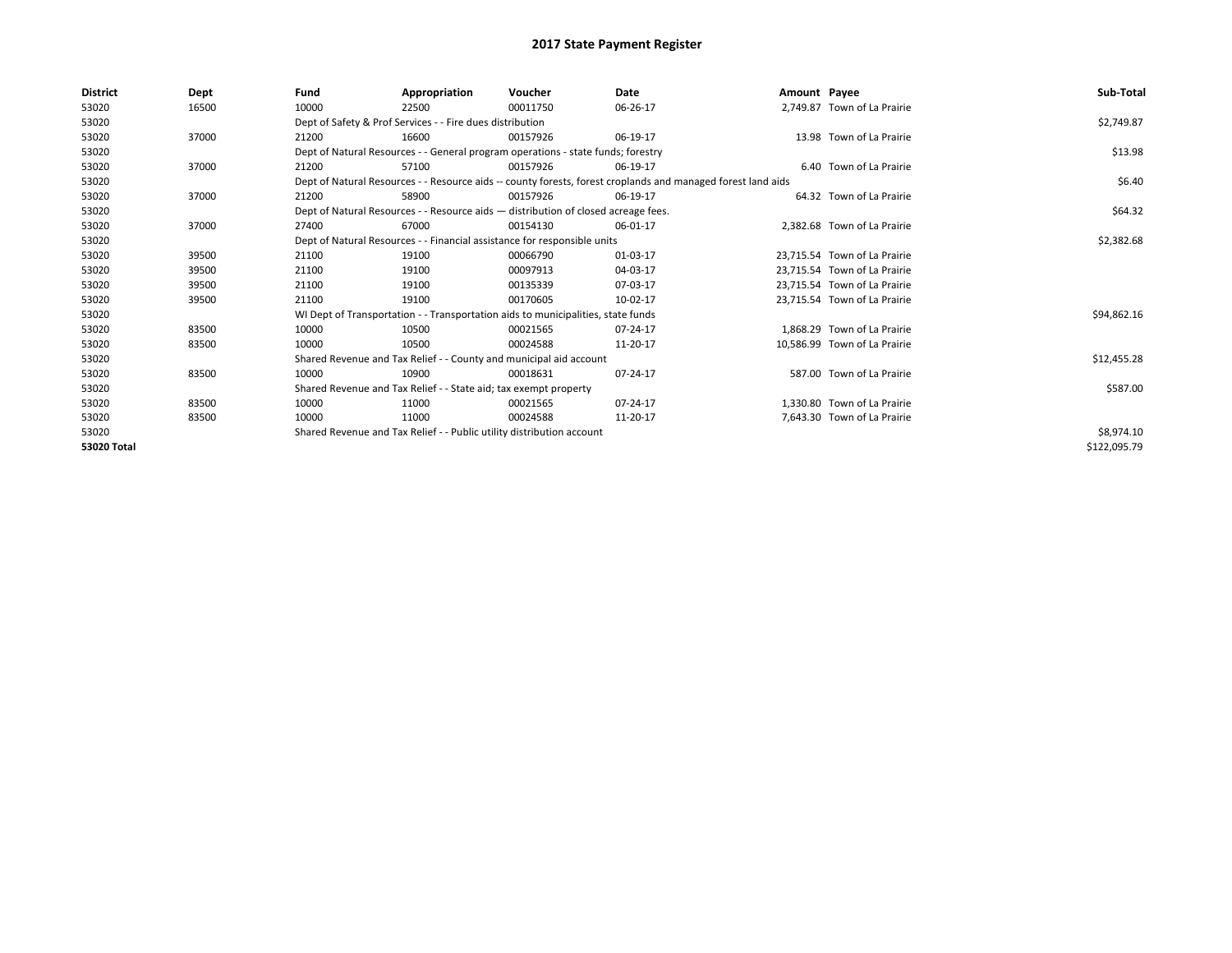| District    | Dept  | Fund                                                                  | Appropriation                                                                      | Voucher    | Date                                                                                                         | Amount Payee |                              | Sub-Total    |
|-------------|-------|-----------------------------------------------------------------------|------------------------------------------------------------------------------------|------------|--------------------------------------------------------------------------------------------------------------|--------------|------------------------------|--------------|
| 53020       | 16500 | 10000                                                                 | 22500                                                                              | 00011750   | 06-26-17                                                                                                     |              | 2,749.87 Town of La Prairie  |              |
| 53020       |       |                                                                       | Dept of Safety & Prof Services - - Fire dues distribution                          |            |                                                                                                              |              |                              | \$2,749.87   |
| 53020       | 37000 | 21200                                                                 | 16600                                                                              | 00157926   | 06-19-17                                                                                                     |              | 13.98 Town of La Prairie     |              |
| 53020       |       |                                                                       | Dept of Natural Resources - - General program operations - state funds; forestry   |            |                                                                                                              |              |                              | \$13.98      |
| 53020       | 37000 | 21200                                                                 | 57100                                                                              | 00157926   | 06-19-17                                                                                                     |              | 6.40 Town of La Prairie      |              |
| 53020       |       |                                                                       |                                                                                    |            | Dept of Natural Resources - - Resource aids -- county forests, forest croplands and managed forest land aids |              |                              | \$6.40       |
| 53020       | 37000 | 21200                                                                 | 58900                                                                              | 00157926   | 06-19-17                                                                                                     |              | 64.32 Town of La Prairie     |              |
| 53020       |       |                                                                       | Dept of Natural Resources - - Resource aids - distribution of closed acreage fees. |            |                                                                                                              |              |                              | \$64.32      |
| 53020       | 37000 | 27400                                                                 | 67000                                                                              | 00154130   | 06-01-17                                                                                                     |              | 2,382.68 Town of La Prairie  |              |
| 53020       |       |                                                                       | Dept of Natural Resources - - Financial assistance for responsible units           |            |                                                                                                              |              |                              | \$2,382.68   |
| 53020       | 39500 | 21100                                                                 | 19100                                                                              | 00066790   | 01-03-17                                                                                                     |              | 23.715.54 Town of La Prairie |              |
| 53020       | 39500 | 21100                                                                 | 19100                                                                              | 00097913   | 04-03-17                                                                                                     |              | 23,715.54 Town of La Prairie |              |
| 53020       | 39500 | 21100                                                                 | 19100                                                                              | 00135339   | 07-03-17                                                                                                     |              | 23.715.54 Town of La Prairie |              |
| 53020       | 39500 | 21100                                                                 | 19100                                                                              | 00170605   | 10-02-17                                                                                                     |              | 23,715.54 Town of La Prairie |              |
| 53020       |       |                                                                       | WI Dept of Transportation - - Transportation aids to municipalities, state funds   |            |                                                                                                              |              |                              | \$94,862.16  |
| 53020       | 83500 | 10000                                                                 | 10500                                                                              | 00021565   | 07-24-17                                                                                                     |              | 1.868.29 Town of La Prairie  |              |
| 53020       | 83500 | 10000                                                                 | 10500                                                                              | 00024588   | 11-20-17                                                                                                     |              | 10,586.99 Town of La Prairie |              |
| 53020       |       |                                                                       | Shared Revenue and Tax Relief - - County and municipal aid account                 |            |                                                                                                              |              |                              | \$12,455.28  |
| 53020       | 83500 | 10000                                                                 | 10900                                                                              | 00018631   | 07-24-17                                                                                                     |              | 587.00 Town of La Prairie    |              |
| 53020       |       |                                                                       | Shared Revenue and Tax Relief - - State aid; tax exempt property                   |            |                                                                                                              |              |                              | \$587.00     |
| 53020       | 83500 | 10000                                                                 | 11000                                                                              | 00021565   | 07-24-17                                                                                                     |              | 1.330.80 Town of La Prairie  |              |
| 53020       | 83500 | 10000                                                                 | 11000                                                                              | 00024588   | 11-20-17                                                                                                     |              | 7,643.30 Town of La Prairie  |              |
| 53020       |       | Shared Revenue and Tax Relief - - Public utility distribution account |                                                                                    | \$8,974.10 |                                                                                                              |              |                              |              |
| 53020 Total |       |                                                                       |                                                                                    |            |                                                                                                              |              |                              | \$122,095.79 |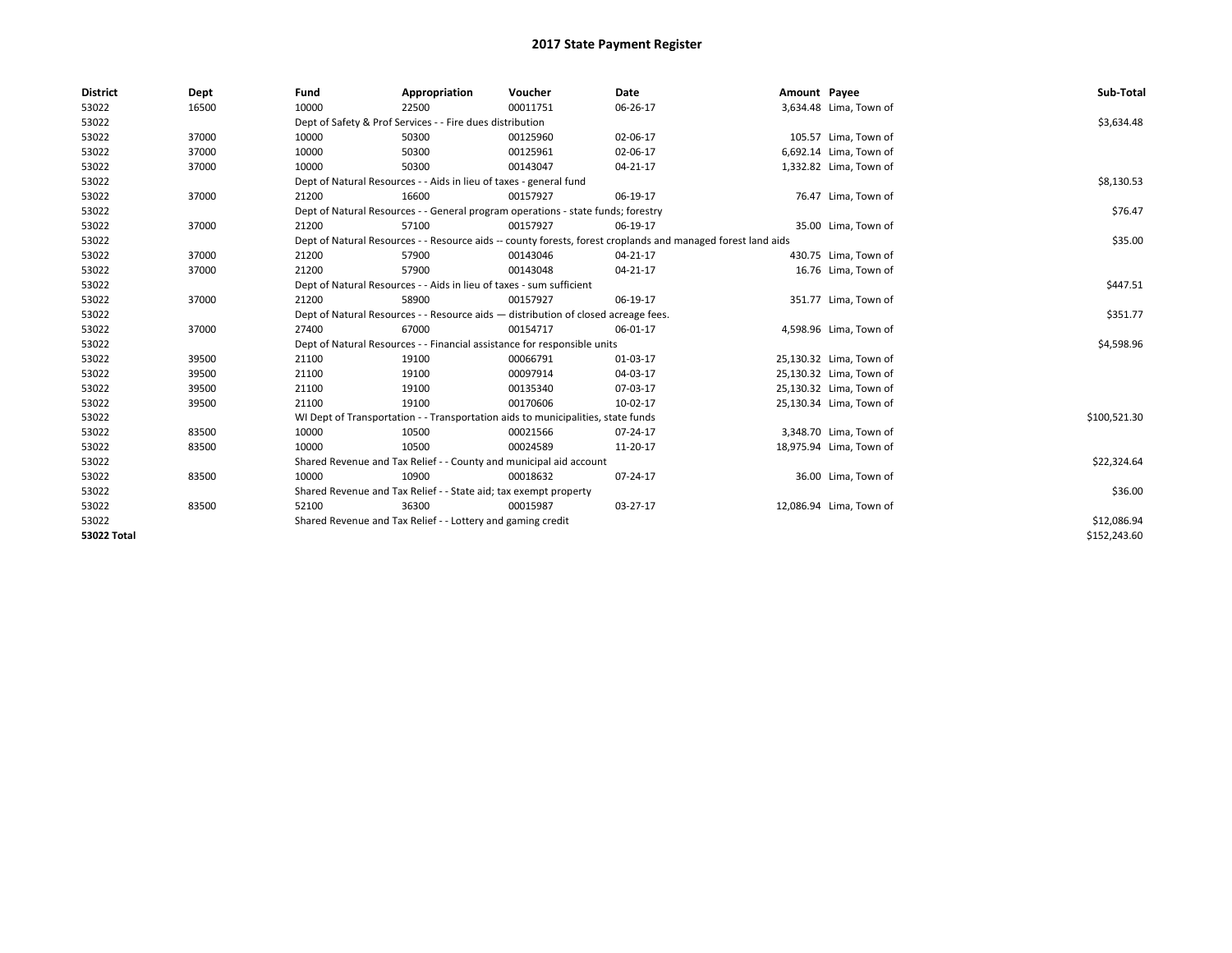| <b>District</b>    | Dept  | Fund  | Appropriation                                                                      | Voucher  | Date                                                                                                         | Amount Payee |                         | Sub-Total    |
|--------------------|-------|-------|------------------------------------------------------------------------------------|----------|--------------------------------------------------------------------------------------------------------------|--------------|-------------------------|--------------|
| 53022              | 16500 | 10000 | 22500                                                                              | 00011751 | 06-26-17                                                                                                     |              | 3,634.48 Lima, Town of  |              |
| 53022              |       |       | Dept of Safety & Prof Services - - Fire dues distribution                          |          |                                                                                                              |              |                         | \$3,634.48   |
| 53022              | 37000 | 10000 | 50300                                                                              | 00125960 | 02-06-17                                                                                                     |              | 105.57 Lima, Town of    |              |
| 53022              | 37000 | 10000 | 50300                                                                              | 00125961 | 02-06-17                                                                                                     |              | 6,692.14 Lima, Town of  |              |
| 53022              | 37000 | 10000 | 50300                                                                              | 00143047 | $04 - 21 - 17$                                                                                               |              | 1,332.82 Lima, Town of  |              |
| 53022              |       |       | Dept of Natural Resources - - Aids in lieu of taxes - general fund                 |          |                                                                                                              |              |                         | \$8,130.53   |
| 53022              | 37000 | 21200 | 16600                                                                              | 00157927 | 06-19-17                                                                                                     |              | 76.47 Lima, Town of     |              |
| 53022              |       |       | Dept of Natural Resources - - General program operations - state funds; forestry   |          |                                                                                                              |              |                         | \$76.47      |
| 53022              | 37000 | 21200 | 57100                                                                              | 00157927 | 06-19-17                                                                                                     |              | 35.00 Lima, Town of     |              |
| 53022              |       |       |                                                                                    |          | Dept of Natural Resources - - Resource aids -- county forests, forest croplands and managed forest land aids |              |                         | \$35.00      |
| 53022              | 37000 | 21200 | 57900                                                                              | 00143046 | 04-21-17                                                                                                     |              | 430.75 Lima, Town of    |              |
| 53022              | 37000 | 21200 | 57900                                                                              | 00143048 | $04 - 21 - 17$                                                                                               |              | 16.76 Lima, Town of     |              |
| 53022              |       |       | Dept of Natural Resources - - Aids in lieu of taxes - sum sufficient               |          |                                                                                                              |              |                         | \$447.51     |
| 53022              | 37000 | 21200 | 58900                                                                              | 00157927 | 06-19-17                                                                                                     |              | 351.77 Lima, Town of    |              |
| 53022              |       |       | Dept of Natural Resources - - Resource aids - distribution of closed acreage fees. |          |                                                                                                              |              |                         | \$351.77     |
| 53022              | 37000 | 27400 | 67000                                                                              | 00154717 | 06-01-17                                                                                                     |              | 4,598.96 Lima, Town of  |              |
| 53022              |       |       | Dept of Natural Resources - - Financial assistance for responsible units           |          |                                                                                                              |              |                         | \$4,598.96   |
| 53022              | 39500 | 21100 | 19100                                                                              | 00066791 | 01-03-17                                                                                                     |              | 25,130.32 Lima, Town of |              |
| 53022              | 39500 | 21100 | 19100                                                                              | 00097914 | 04-03-17                                                                                                     |              | 25,130.32 Lima, Town of |              |
| 53022              | 39500 | 21100 | 19100                                                                              | 00135340 | 07-03-17                                                                                                     |              | 25,130.32 Lima, Town of |              |
| 53022              | 39500 | 21100 | 19100                                                                              | 00170606 | 10-02-17                                                                                                     |              | 25,130.34 Lima, Town of |              |
| 53022              |       |       | WI Dept of Transportation - - Transportation aids to municipalities, state funds   |          |                                                                                                              |              |                         | \$100,521.30 |
| 53022              | 83500 | 10000 | 10500                                                                              | 00021566 | $07 - 24 - 17$                                                                                               |              | 3,348.70 Lima, Town of  |              |
| 53022              | 83500 | 10000 | 10500                                                                              | 00024589 | 11-20-17                                                                                                     |              | 18,975.94 Lima, Town of |              |
| 53022              |       |       | Shared Revenue and Tax Relief - - County and municipal aid account                 |          |                                                                                                              |              |                         | \$22,324.64  |
| 53022              | 83500 | 10000 | 10900                                                                              | 00018632 | 07-24-17                                                                                                     |              | 36.00 Lima, Town of     |              |
| 53022              |       |       | Shared Revenue and Tax Relief - - State aid; tax exempt property                   |          |                                                                                                              |              |                         | \$36.00      |
| 53022              | 83500 | 52100 | 36300                                                                              | 00015987 | 03-27-17                                                                                                     |              | 12,086.94 Lima, Town of |              |
| 53022              |       |       | Shared Revenue and Tax Relief - - Lottery and gaming credit                        |          |                                                                                                              |              |                         | \$12,086.94  |
| <b>53022 Total</b> |       |       |                                                                                    |          |                                                                                                              |              |                         | \$152,243.60 |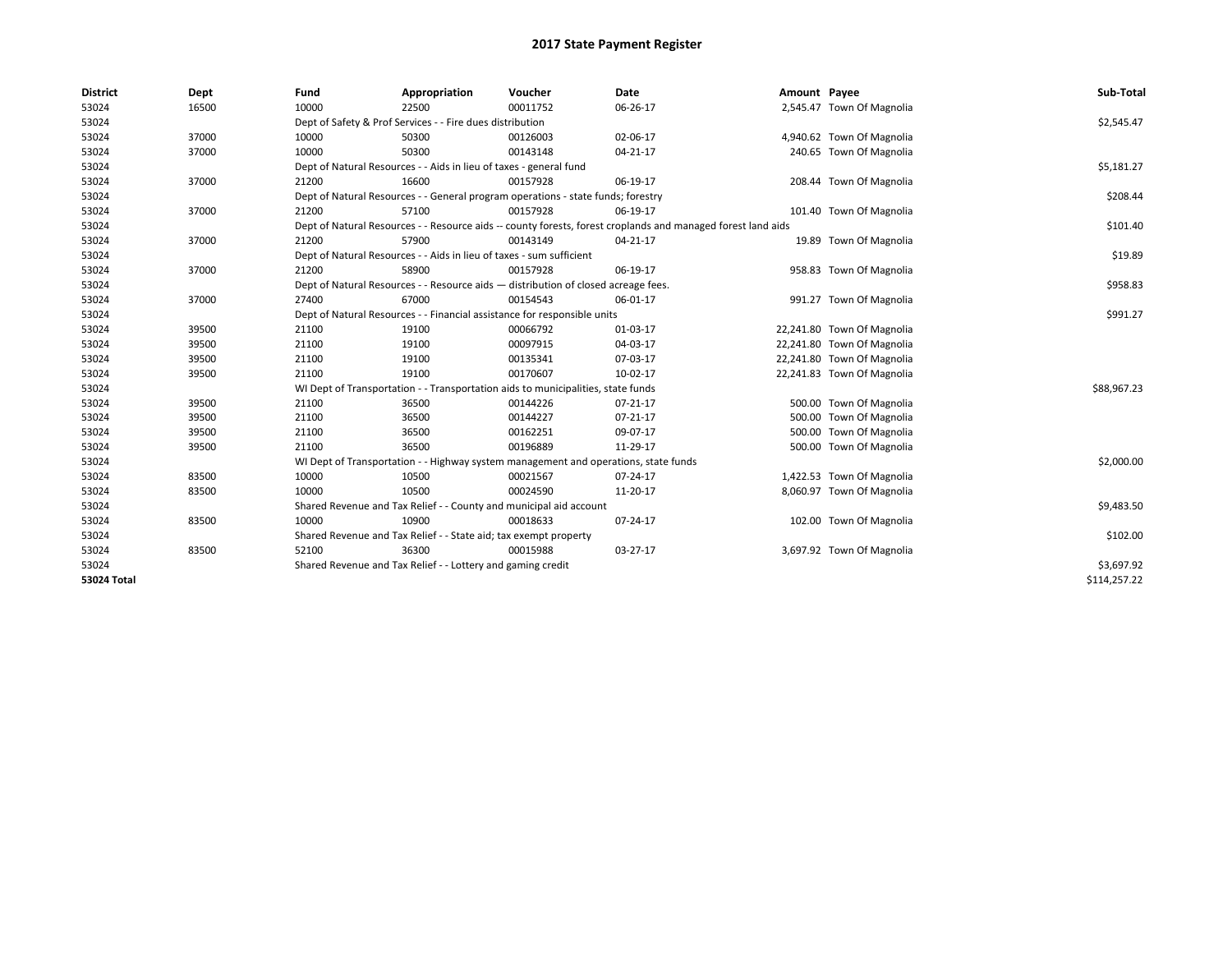| <b>District</b>    | Dept  | Fund  | Appropriation                                                                                                | Voucher  | Date     | Amount Payee |                            | Sub-Total    |  |  |
|--------------------|-------|-------|--------------------------------------------------------------------------------------------------------------|----------|----------|--------------|----------------------------|--------------|--|--|
| 53024              | 16500 | 10000 | 22500                                                                                                        | 00011752 | 06-26-17 |              | 2,545.47 Town Of Magnolia  |              |  |  |
| 53024              |       |       | Dept of Safety & Prof Services - - Fire dues distribution                                                    |          |          |              |                            | \$2,545.47   |  |  |
| 53024              | 37000 | 10000 | 50300                                                                                                        | 00126003 | 02-06-17 |              | 4,940.62 Town Of Magnolia  |              |  |  |
| 53024              | 37000 | 10000 | 50300                                                                                                        | 00143148 | 04-21-17 |              | 240.65 Town Of Magnolia    |              |  |  |
| 53024              |       |       | Dept of Natural Resources - - Aids in lieu of taxes - general fund                                           |          |          |              |                            | \$5,181.27   |  |  |
| 53024              | 37000 | 21200 | 16600                                                                                                        | 00157928 | 06-19-17 |              | 208.44 Town Of Magnolia    |              |  |  |
| 53024              |       |       | Dept of Natural Resources - - General program operations - state funds; forestry                             |          |          |              |                            | \$208.44     |  |  |
| 53024              | 37000 | 21200 | 57100                                                                                                        | 00157928 | 06-19-17 |              | 101.40 Town Of Magnolia    |              |  |  |
| 53024              |       |       | Dept of Natural Resources - - Resource aids -- county forests, forest croplands and managed forest land aids |          |          |              |                            | \$101.40     |  |  |
| 53024              | 37000 | 21200 | 57900                                                                                                        | 00143149 | 04-21-17 |              | 19.89 Town Of Magnolia     |              |  |  |
| 53024              |       |       | Dept of Natural Resources - - Aids in lieu of taxes - sum sufficient                                         |          |          |              |                            | \$19.89      |  |  |
| 53024              | 37000 | 21200 | 58900                                                                                                        | 00157928 | 06-19-17 |              | 958.83 Town Of Magnolia    |              |  |  |
| 53024              |       |       | Dept of Natural Resources - - Resource aids - distribution of closed acreage fees.                           |          |          |              |                            | \$958.83     |  |  |
| 53024              | 37000 | 27400 | 67000                                                                                                        | 00154543 | 06-01-17 |              | 991.27 Town Of Magnolia    |              |  |  |
| 53024              |       |       | Dept of Natural Resources - - Financial assistance for responsible units                                     |          |          |              |                            |              |  |  |
| 53024              | 39500 | 21100 | 19100                                                                                                        | 00066792 | 01-03-17 |              | 22,241.80 Town Of Magnolia |              |  |  |
| 53024              | 39500 | 21100 | 19100                                                                                                        | 00097915 | 04-03-17 |              | 22,241.80 Town Of Magnolia |              |  |  |
| 53024              | 39500 | 21100 | 19100                                                                                                        | 00135341 | 07-03-17 |              | 22,241.80 Town Of Magnolia |              |  |  |
| 53024              | 39500 | 21100 | 19100                                                                                                        | 00170607 | 10-02-17 |              | 22,241.83 Town Of Magnolia |              |  |  |
| 53024              |       |       | WI Dept of Transportation - - Transportation aids to municipalities, state funds                             |          |          |              |                            | \$88,967.23  |  |  |
| 53024              | 39500 | 21100 | 36500                                                                                                        | 00144226 | 07-21-17 |              | 500.00 Town Of Magnolia    |              |  |  |
| 53024              | 39500 | 21100 | 36500                                                                                                        | 00144227 | 07-21-17 |              | 500.00 Town Of Magnolia    |              |  |  |
| 53024              | 39500 | 21100 | 36500                                                                                                        | 00162251 | 09-07-17 |              | 500.00 Town Of Magnolia    |              |  |  |
| 53024              | 39500 | 21100 | 36500                                                                                                        | 00196889 | 11-29-17 |              | 500.00 Town Of Magnolia    |              |  |  |
| 53024              |       |       | WI Dept of Transportation - - Highway system management and operations, state funds                          |          |          |              |                            | \$2,000.00   |  |  |
| 53024              | 83500 | 10000 | 10500                                                                                                        | 00021567 | 07-24-17 |              | 1,422.53 Town Of Magnolia  |              |  |  |
| 53024              | 83500 | 10000 | 10500                                                                                                        | 00024590 | 11-20-17 |              | 8,060.97 Town Of Magnolia  |              |  |  |
| 53024              |       |       | Shared Revenue and Tax Relief - - County and municipal aid account                                           |          |          |              |                            | \$9,483.50   |  |  |
| 53024              | 83500 | 10000 | 10900                                                                                                        | 00018633 | 07-24-17 |              | 102.00 Town Of Magnolia    |              |  |  |
| 53024              |       |       | Shared Revenue and Tax Relief - - State aid; tax exempt property                                             |          |          |              |                            | \$102.00     |  |  |
| 53024              | 83500 | 52100 | 36300                                                                                                        | 00015988 | 03-27-17 |              | 3,697.92 Town Of Magnolia  |              |  |  |
| 53024              |       |       | Shared Revenue and Tax Relief - - Lottery and gaming credit                                                  |          |          |              |                            | \$3,697.92   |  |  |
| <b>53024 Total</b> |       |       |                                                                                                              |          |          |              |                            | \$114,257.22 |  |  |
|                    |       |       |                                                                                                              |          |          |              |                            |              |  |  |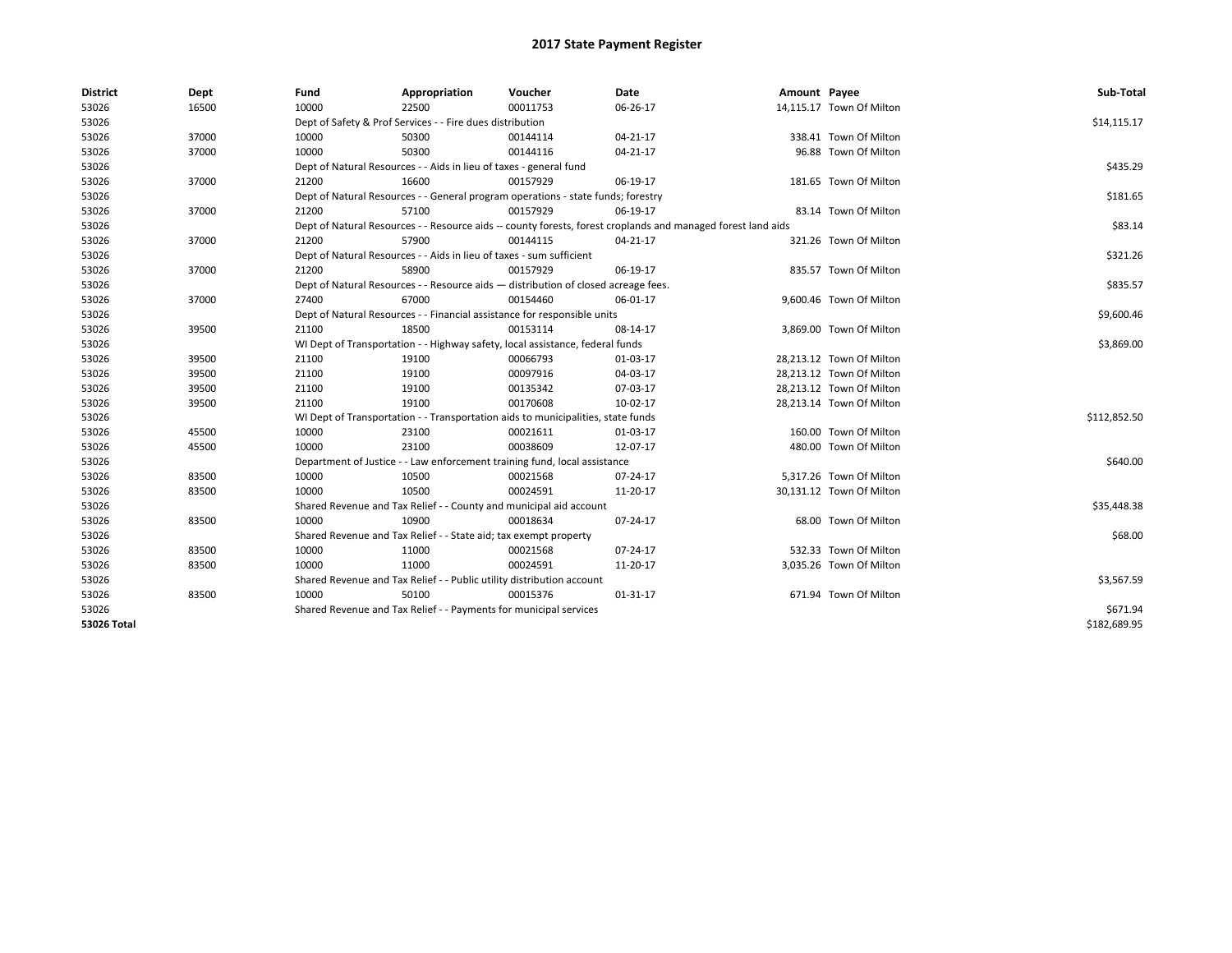| <b>District</b> | Dept  | Fund  | Appropriation                                                                      | Voucher  | Date                                                                                                         | Amount Payee |                          | Sub-Total    |  |  |
|-----------------|-------|-------|------------------------------------------------------------------------------------|----------|--------------------------------------------------------------------------------------------------------------|--------------|--------------------------|--------------|--|--|
| 53026           | 16500 | 10000 | 22500                                                                              | 00011753 | 06-26-17                                                                                                     |              | 14,115.17 Town Of Milton |              |  |  |
| 53026           |       |       | Dept of Safety & Prof Services - - Fire dues distribution                          |          |                                                                                                              |              |                          | \$14,115.17  |  |  |
| 53026           | 37000 | 10000 | 50300                                                                              | 00144114 | 04-21-17                                                                                                     |              | 338.41 Town Of Milton    |              |  |  |
| 53026           | 37000 | 10000 | 50300                                                                              | 00144116 | 04-21-17                                                                                                     |              | 96.88 Town Of Milton     |              |  |  |
| 53026           |       |       | Dept of Natural Resources - - Aids in lieu of taxes - general fund                 |          |                                                                                                              |              |                          | \$435.29     |  |  |
| 53026           | 37000 | 21200 | 16600                                                                              | 00157929 | 06-19-17                                                                                                     |              | 181.65 Town Of Milton    |              |  |  |
| 53026           |       |       | Dept of Natural Resources - - General program operations - state funds; forestry   |          |                                                                                                              |              |                          | \$181.65     |  |  |
| 53026           | 37000 | 21200 | 57100                                                                              | 00157929 | 06-19-17                                                                                                     |              | 83.14 Town Of Milton     |              |  |  |
| 53026           |       |       |                                                                                    |          | Dept of Natural Resources - - Resource aids -- county forests, forest croplands and managed forest land aids |              |                          | \$83.14      |  |  |
| 53026           | 37000 | 21200 | 57900                                                                              | 00144115 | $04 - 21 - 17$                                                                                               |              | 321.26 Town Of Milton    |              |  |  |
| 53026           |       |       | Dept of Natural Resources - - Aids in lieu of taxes - sum sufficient               |          |                                                                                                              |              |                          | \$321.26     |  |  |
| 53026           | 37000 | 21200 | 58900                                                                              | 00157929 | 06-19-17                                                                                                     |              | 835.57 Town Of Milton    |              |  |  |
| 53026           |       |       | Dept of Natural Resources - - Resource aids - distribution of closed acreage fees. |          |                                                                                                              |              |                          | \$835.57     |  |  |
| 53026           | 37000 | 27400 | 67000                                                                              | 00154460 | 06-01-17                                                                                                     |              | 9,600.46 Town Of Milton  |              |  |  |
| 53026           |       |       | Dept of Natural Resources - - Financial assistance for responsible units           |          |                                                                                                              |              |                          |              |  |  |
| 53026           | 39500 | 21100 | 18500                                                                              | 00153114 | 08-14-17                                                                                                     |              | 3,869.00 Town Of Milton  |              |  |  |
| 53026           |       |       | WI Dept of Transportation - - Highway safety, local assistance, federal funds      |          |                                                                                                              |              |                          |              |  |  |
| 53026           | 39500 | 21100 | 19100                                                                              | 00066793 | 01-03-17                                                                                                     |              | 28,213.12 Town Of Milton |              |  |  |
| 53026           | 39500 | 21100 | 19100                                                                              | 00097916 | 04-03-17                                                                                                     |              | 28,213.12 Town Of Milton |              |  |  |
| 53026           | 39500 | 21100 | 19100                                                                              | 00135342 | 07-03-17                                                                                                     |              | 28,213.12 Town Of Milton |              |  |  |
| 53026           | 39500 | 21100 | 19100                                                                              | 00170608 | 10-02-17                                                                                                     |              | 28,213.14 Town Of Milton |              |  |  |
| 53026           |       |       | WI Dept of Transportation - - Transportation aids to municipalities, state funds   |          |                                                                                                              |              |                          | \$112,852.50 |  |  |
| 53026           | 45500 | 10000 | 23100                                                                              | 00021611 | 01-03-17                                                                                                     |              | 160.00 Town Of Milton    |              |  |  |
| 53026           | 45500 | 10000 | 23100                                                                              | 00038609 | 12-07-17                                                                                                     |              | 480.00 Town Of Milton    |              |  |  |
| 53026           |       |       | Department of Justice - - Law enforcement training fund, local assistance          |          |                                                                                                              |              |                          | \$640.00     |  |  |
| 53026           | 83500 | 10000 | 10500                                                                              | 00021568 | 07-24-17                                                                                                     |              | 5,317.26 Town Of Milton  |              |  |  |
| 53026           | 83500 | 10000 | 10500                                                                              | 00024591 | 11-20-17                                                                                                     |              | 30,131.12 Town Of Milton |              |  |  |
| 53026           |       |       | Shared Revenue and Tax Relief - - County and municipal aid account                 |          |                                                                                                              |              |                          | \$35,448.38  |  |  |
| 53026           | 83500 | 10000 | 10900                                                                              | 00018634 | 07-24-17                                                                                                     |              | 68.00 Town Of Milton     |              |  |  |
| 53026           |       |       | Shared Revenue and Tax Relief - - State aid; tax exempt property                   |          |                                                                                                              |              |                          | \$68.00      |  |  |
| 53026           | 83500 | 10000 | 11000                                                                              | 00021568 | 07-24-17                                                                                                     |              | 532.33 Town Of Milton    |              |  |  |
| 53026           | 83500 | 10000 | 11000                                                                              | 00024591 | 11-20-17                                                                                                     |              | 3,035.26 Town Of Milton  |              |  |  |
| 53026           |       |       | Shared Revenue and Tax Relief - - Public utility distribution account              |          |                                                                                                              |              |                          | \$3,567.59   |  |  |
| 53026           | 83500 | 10000 | 50100                                                                              | 00015376 | 01-31-17                                                                                                     |              | 671.94 Town Of Milton    |              |  |  |
| 53026           |       |       | Shared Revenue and Tax Relief - - Payments for municipal services                  |          |                                                                                                              |              |                          | \$671.94     |  |  |
| 53026 Total     |       |       |                                                                                    |          |                                                                                                              |              |                          | \$182,689.95 |  |  |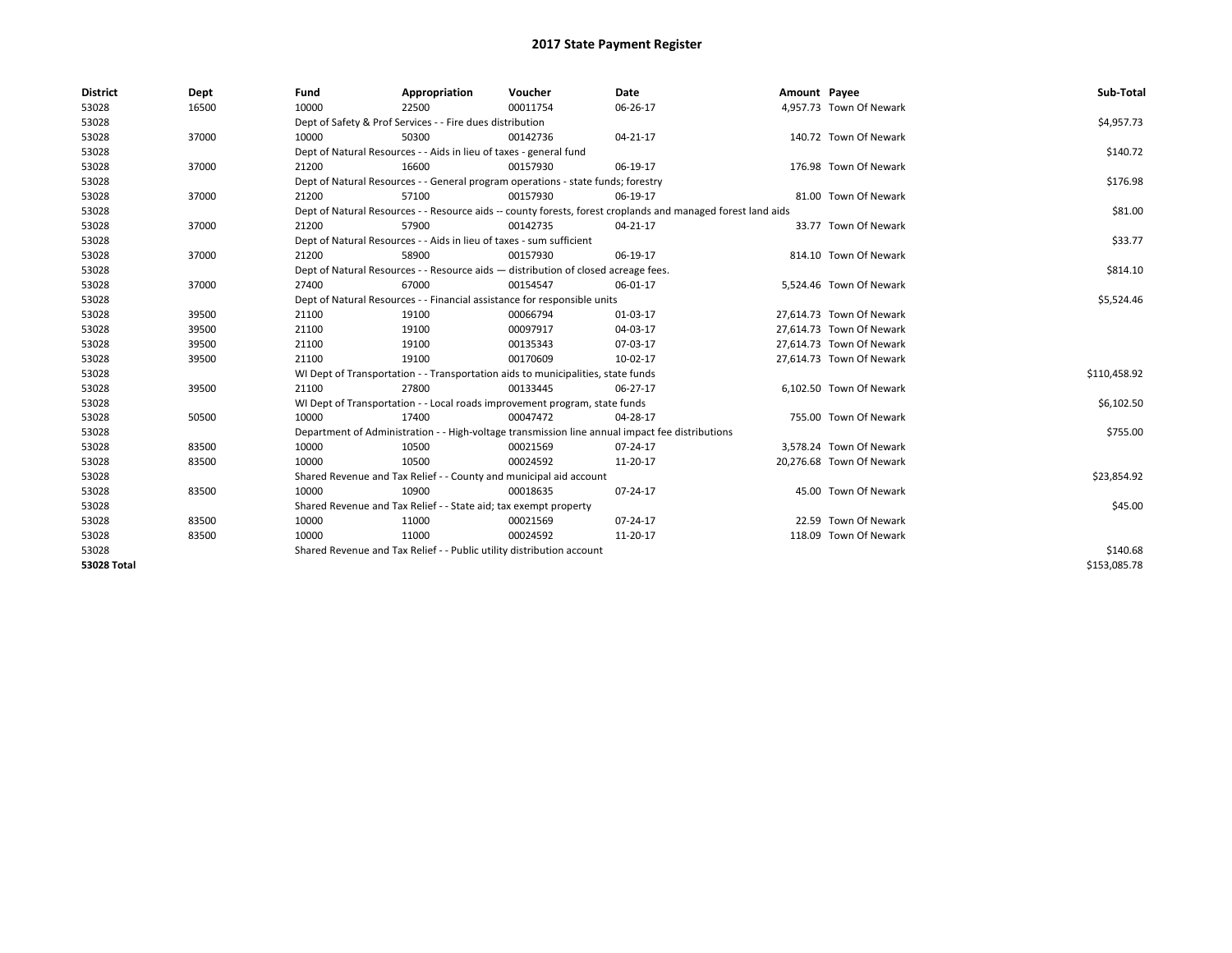| <b>District</b>    | Dept  | Fund  | Appropriation                                                                                                | Voucher  | Date     | Amount Payee |                          | Sub-Total    |
|--------------------|-------|-------|--------------------------------------------------------------------------------------------------------------|----------|----------|--------------|--------------------------|--------------|
| 53028              | 16500 | 10000 | 22500                                                                                                        | 00011754 | 06-26-17 |              | 4,957.73 Town Of Newark  |              |
| 53028              |       |       | Dept of Safety & Prof Services - - Fire dues distribution                                                    |          |          |              |                          | \$4,957.73   |
| 53028              | 37000 | 10000 | 50300                                                                                                        | 00142736 | 04-21-17 |              | 140.72 Town Of Newark    |              |
| 53028              |       |       | Dept of Natural Resources - - Aids in lieu of taxes - general fund                                           |          |          |              |                          | \$140.72     |
| 53028              | 37000 | 21200 | 16600                                                                                                        | 00157930 | 06-19-17 |              | 176.98 Town Of Newark    |              |
| 53028              |       |       | Dept of Natural Resources - - General program operations - state funds; forestry                             |          |          |              |                          | \$176.98     |
| 53028              | 37000 | 21200 | 57100                                                                                                        | 00157930 | 06-19-17 |              | 81.00 Town Of Newark     |              |
| 53028              |       |       | Dept of Natural Resources - - Resource aids -- county forests, forest croplands and managed forest land aids |          |          |              |                          | \$81.00      |
| 53028              | 37000 | 21200 | 57900                                                                                                        | 00142735 | 04-21-17 |              | 33.77 Town Of Newark     |              |
| 53028              |       |       | Dept of Natural Resources - - Aids in lieu of taxes - sum sufficient                                         |          |          |              |                          | \$33.77      |
| 53028              | 37000 | 21200 | 58900                                                                                                        | 00157930 | 06-19-17 |              | 814.10 Town Of Newark    |              |
| 53028              |       |       | Dept of Natural Resources - - Resource aids - distribution of closed acreage fees.                           |          |          |              |                          | \$814.10     |
| 53028              | 37000 | 27400 | 67000                                                                                                        | 00154547 | 06-01-17 |              | 5,524.46 Town Of Newark  |              |
| 53028              |       |       | Dept of Natural Resources - - Financial assistance for responsible units                                     |          |          |              |                          | \$5,524.46   |
| 53028              | 39500 | 21100 | 19100                                                                                                        | 00066794 | 01-03-17 |              | 27,614.73 Town Of Newark |              |
| 53028              | 39500 | 21100 | 19100                                                                                                        | 00097917 | 04-03-17 |              | 27.614.73 Town Of Newark |              |
| 53028              | 39500 | 21100 | 19100                                                                                                        | 00135343 | 07-03-17 |              | 27,614.73 Town Of Newark |              |
| 53028              | 39500 | 21100 | 19100                                                                                                        | 00170609 | 10-02-17 |              | 27,614.73 Town Of Newark |              |
| 53028              |       |       | WI Dept of Transportation - - Transportation aids to municipalities, state funds                             |          |          |              |                          | \$110,458.92 |
| 53028              | 39500 | 21100 | 27800                                                                                                        | 00133445 | 06-27-17 |              | 6,102.50 Town Of Newark  |              |
| 53028              |       |       | WI Dept of Transportation - - Local roads improvement program, state funds                                   |          |          |              |                          | \$6,102.50   |
| 53028              | 50500 | 10000 | 17400                                                                                                        | 00047472 | 04-28-17 |              | 755.00 Town Of Newark    |              |
| 53028              |       |       | Department of Administration - - High-voltage transmission line annual impact fee distributions              |          |          |              |                          | \$755.00     |
| 53028              | 83500 | 10000 | 10500                                                                                                        | 00021569 | 07-24-17 |              | 3.578.24 Town Of Newark  |              |
| 53028              | 83500 | 10000 | 10500                                                                                                        | 00024592 | 11-20-17 |              | 20,276.68 Town Of Newark |              |
| 53028              |       |       | Shared Revenue and Tax Relief - - County and municipal aid account                                           |          |          |              |                          | \$23,854.92  |
| 53028              | 83500 | 10000 | 10900                                                                                                        | 00018635 | 07-24-17 |              | 45.00 Town Of Newark     |              |
| 53028              |       |       | Shared Revenue and Tax Relief - - State aid; tax exempt property                                             |          |          |              |                          | \$45.00      |
| 53028              | 83500 | 10000 | 11000                                                                                                        | 00021569 | 07-24-17 |              | 22.59 Town Of Newark     |              |
| 53028              | 83500 | 10000 | 11000                                                                                                        | 00024592 | 11-20-17 |              | 118.09 Town Of Newark    |              |
| 53028              |       |       | Shared Revenue and Tax Relief - - Public utility distribution account                                        |          |          |              |                          | \$140.68     |
| <b>53028 Total</b> |       |       |                                                                                                              |          |          |              |                          | \$153,085.78 |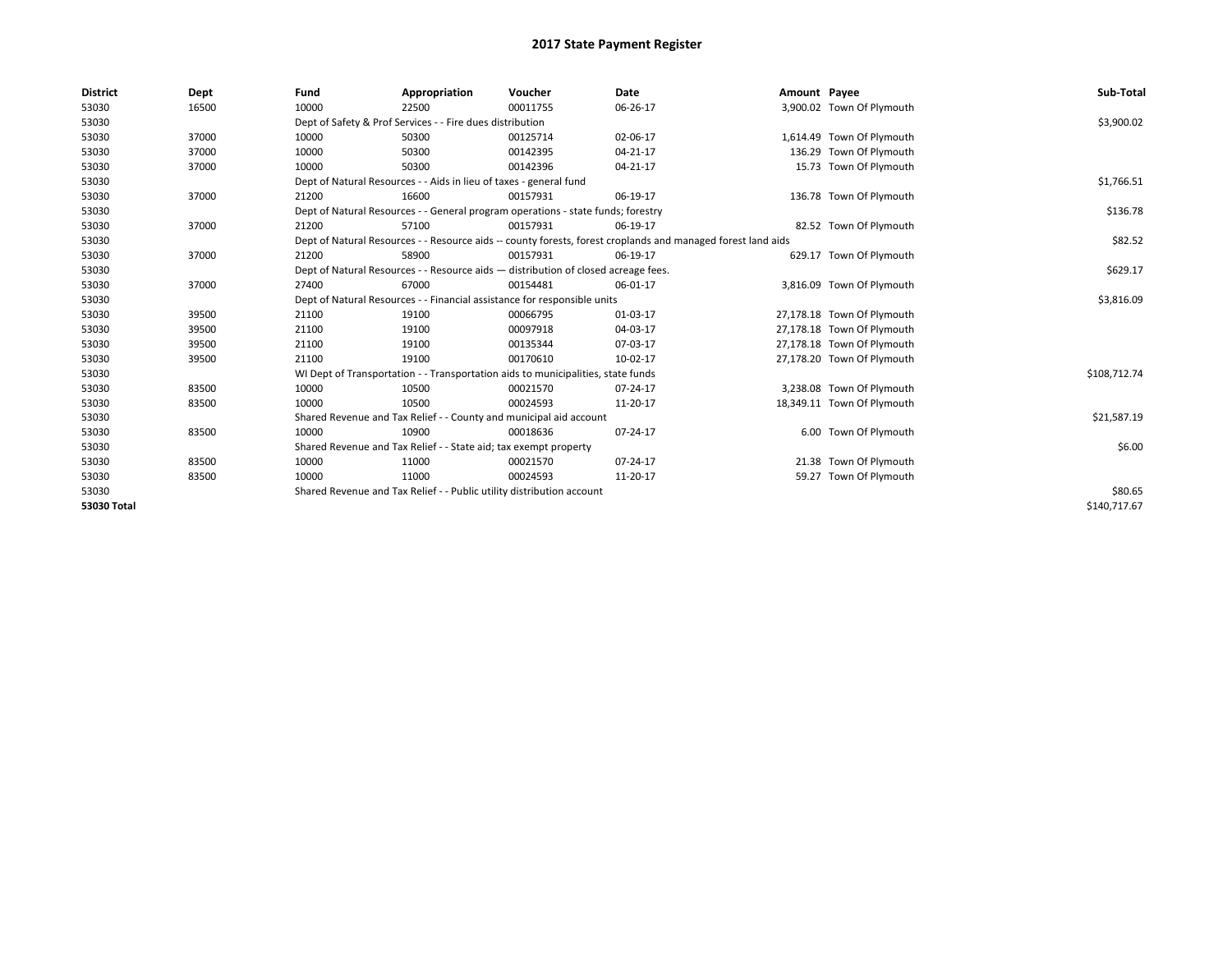| <b>District</b> | Dept  | Fund  | Appropriation                                                                      | Voucher  | <b>Date</b>                                                                                                  | Amount Payee |                            | Sub-Total    |
|-----------------|-------|-------|------------------------------------------------------------------------------------|----------|--------------------------------------------------------------------------------------------------------------|--------------|----------------------------|--------------|
| 53030           | 16500 | 10000 | 22500                                                                              | 00011755 | 06-26-17                                                                                                     |              | 3,900.02 Town Of Plymouth  |              |
| 53030           |       |       | Dept of Safety & Prof Services - - Fire dues distribution                          |          |                                                                                                              |              |                            | \$3,900.02   |
| 53030           | 37000 | 10000 | 50300                                                                              | 00125714 | 02-06-17                                                                                                     |              | 1,614.49 Town Of Plymouth  |              |
| 53030           | 37000 | 10000 | 50300                                                                              | 00142395 | 04-21-17                                                                                                     |              | 136.29 Town Of Plymouth    |              |
| 53030           | 37000 | 10000 | 50300                                                                              | 00142396 | 04-21-17                                                                                                     |              | 15.73 Town Of Plymouth     |              |
| 53030           |       |       | Dept of Natural Resources - - Aids in lieu of taxes - general fund                 |          |                                                                                                              |              |                            | \$1,766.51   |
| 53030           | 37000 | 21200 | 16600                                                                              | 00157931 | 06-19-17                                                                                                     |              | 136.78 Town Of Plymouth    |              |
| 53030           |       |       | Dept of Natural Resources - - General program operations - state funds; forestry   |          |                                                                                                              |              |                            | \$136.78     |
| 53030           | 37000 | 21200 | 57100                                                                              | 00157931 | 06-19-17                                                                                                     |              | 82.52 Town Of Plymouth     |              |
| 53030           |       |       |                                                                                    |          | Dept of Natural Resources - - Resource aids -- county forests, forest croplands and managed forest land aids |              |                            | \$82.52      |
| 53030           | 37000 | 21200 | 58900                                                                              | 00157931 | 06-19-17                                                                                                     |              | 629.17 Town Of Plymouth    |              |
| 53030           |       |       | Dept of Natural Resources - - Resource aids - distribution of closed acreage fees. |          |                                                                                                              |              |                            | \$629.17     |
| 53030           | 37000 | 27400 | 67000                                                                              | 00154481 | 06-01-17                                                                                                     |              | 3,816.09 Town Of Plymouth  |              |
| 53030           |       |       | Dept of Natural Resources - - Financial assistance for responsible units           |          |                                                                                                              |              |                            | \$3,816.09   |
| 53030           | 39500 | 21100 | 19100                                                                              | 00066795 | 01-03-17                                                                                                     |              | 27,178.18 Town Of Plymouth |              |
| 53030           | 39500 | 21100 | 19100                                                                              | 00097918 | 04-03-17                                                                                                     |              | 27,178.18 Town Of Plymouth |              |
| 53030           | 39500 | 21100 | 19100                                                                              | 00135344 | 07-03-17                                                                                                     |              | 27,178.18 Town Of Plymouth |              |
| 53030           | 39500 | 21100 | 19100                                                                              | 00170610 | 10-02-17                                                                                                     |              | 27,178.20 Town Of Plymouth |              |
| 53030           |       |       | WI Dept of Transportation - - Transportation aids to municipalities, state funds   |          |                                                                                                              |              |                            | \$108,712.74 |
| 53030           | 83500 | 10000 | 10500                                                                              | 00021570 | 07-24-17                                                                                                     |              | 3,238.08 Town Of Plymouth  |              |
| 53030           | 83500 | 10000 | 10500                                                                              | 00024593 | 11-20-17                                                                                                     |              | 18,349.11 Town Of Plymouth |              |
| 53030           |       |       | Shared Revenue and Tax Relief - - County and municipal aid account                 |          |                                                                                                              |              |                            | \$21,587.19  |
| 53030           | 83500 | 10000 | 10900                                                                              | 00018636 | 07-24-17                                                                                                     |              | 6.00 Town Of Plymouth      |              |
| 53030           |       |       | Shared Revenue and Tax Relief - - State aid; tax exempt property                   |          |                                                                                                              |              |                            | \$6.00       |
| 53030           | 83500 | 10000 | 11000                                                                              | 00021570 | 07-24-17                                                                                                     |              | 21.38 Town Of Plymouth     |              |
| 53030           | 83500 | 10000 | 11000                                                                              | 00024593 | 11-20-17                                                                                                     |              | 59.27 Town Of Plymouth     |              |
| 53030           |       |       | Shared Revenue and Tax Relief - - Public utility distribution account              |          |                                                                                                              |              |                            | \$80.65      |
| 53030 Total     |       |       |                                                                                    |          |                                                                                                              |              |                            | \$140.717.67 |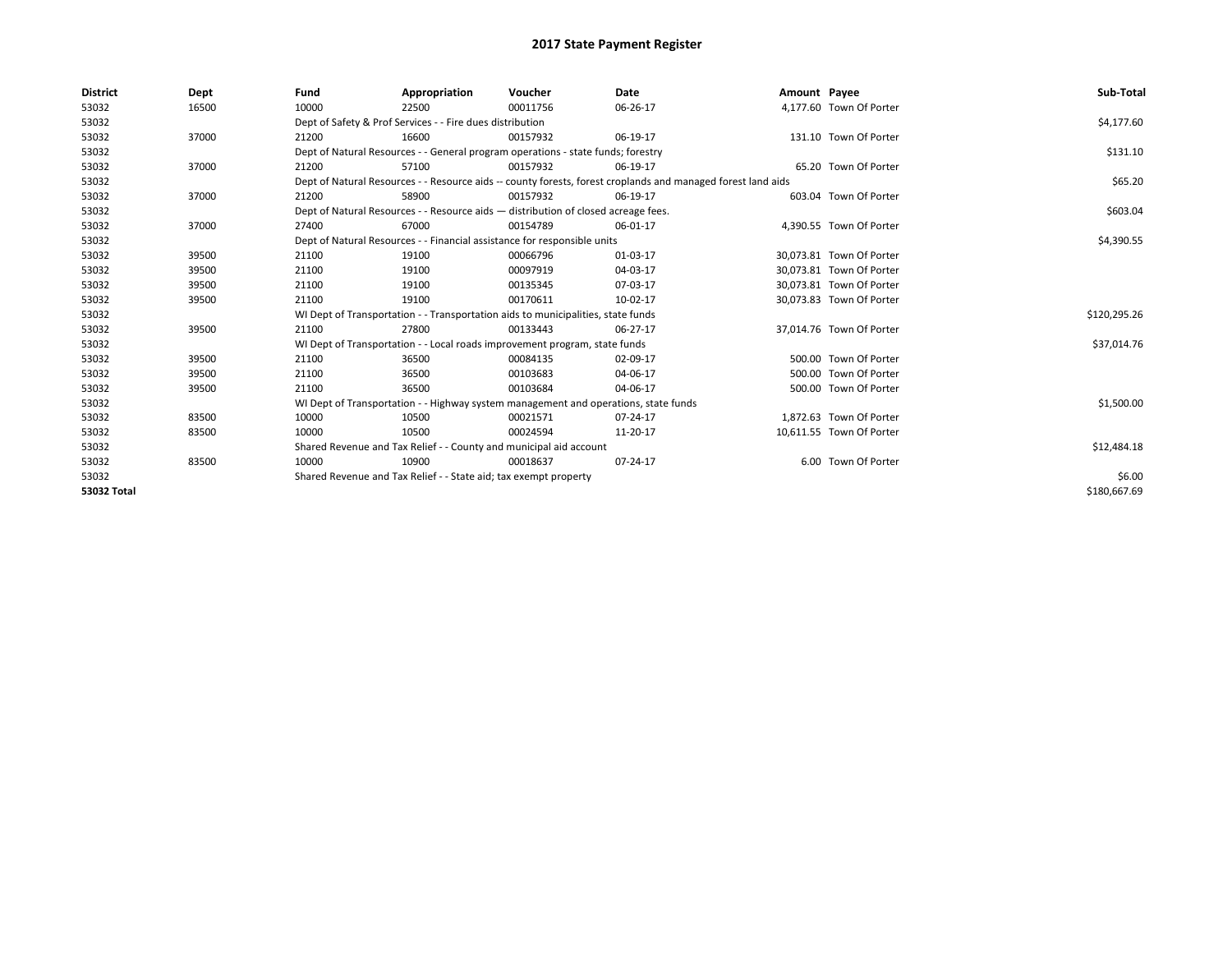| <b>District</b>    | Dept  | Fund  | Appropriation                                                                       | Voucher  | Date                                                                                                         | Amount Payee |                          | Sub-Total    |
|--------------------|-------|-------|-------------------------------------------------------------------------------------|----------|--------------------------------------------------------------------------------------------------------------|--------------|--------------------------|--------------|
| 53032              | 16500 | 10000 | 22500                                                                               | 00011756 | 06-26-17                                                                                                     |              | 4,177.60 Town Of Porter  |              |
| 53032              |       |       | Dept of Safety & Prof Services - - Fire dues distribution                           |          |                                                                                                              |              |                          | \$4,177.60   |
| 53032              | 37000 | 21200 | 16600                                                                               | 00157932 | 06-19-17                                                                                                     |              | 131.10 Town Of Porter    |              |
| 53032              |       |       | Dept of Natural Resources - - General program operations - state funds; forestry    |          |                                                                                                              |              |                          | \$131.10     |
| 53032              | 37000 | 21200 | 57100                                                                               | 00157932 | 06-19-17                                                                                                     |              | 65.20 Town Of Porter     |              |
| 53032              |       |       |                                                                                     |          | Dept of Natural Resources - - Resource aids -- county forests, forest croplands and managed forest land aids |              |                          | \$65.20      |
| 53032              | 37000 | 21200 | 58900                                                                               | 00157932 | 06-19-17                                                                                                     |              | 603.04 Town Of Porter    |              |
| 53032              |       |       | Dept of Natural Resources - - Resource aids - distribution of closed acreage fees.  |          |                                                                                                              |              |                          | \$603.04     |
| 53032              | 37000 | 27400 | 67000                                                                               | 00154789 | 06-01-17                                                                                                     |              | 4,390.55 Town Of Porter  |              |
| 53032              |       |       | Dept of Natural Resources - - Financial assistance for responsible units            |          |                                                                                                              |              |                          | \$4,390.55   |
| 53032              | 39500 | 21100 | 19100                                                                               | 00066796 | 01-03-17                                                                                                     |              | 30,073.81 Town Of Porter |              |
| 53032              | 39500 | 21100 | 19100                                                                               | 00097919 | 04-03-17                                                                                                     |              | 30,073.81 Town Of Porter |              |
| 53032              | 39500 | 21100 | 19100                                                                               | 00135345 | 07-03-17                                                                                                     |              | 30,073.81 Town Of Porter |              |
| 53032              | 39500 | 21100 | 19100                                                                               | 00170611 | 10-02-17                                                                                                     |              | 30.073.83 Town Of Porter |              |
| 53032              |       |       | WI Dept of Transportation - - Transportation aids to municipalities, state funds    |          |                                                                                                              |              |                          | \$120,295.26 |
| 53032              | 39500 | 21100 | 27800                                                                               | 00133443 | 06-27-17                                                                                                     |              | 37,014.76 Town Of Porter |              |
| 53032              |       |       | WI Dept of Transportation - - Local roads improvement program, state funds          |          |                                                                                                              |              |                          | \$37,014.76  |
| 53032              | 39500 | 21100 | 36500                                                                               | 00084135 | 02-09-17                                                                                                     |              | 500.00 Town Of Porter    |              |
| 53032              | 39500 | 21100 | 36500                                                                               | 00103683 | 04-06-17                                                                                                     |              | 500.00 Town Of Porter    |              |
| 53032              | 39500 | 21100 | 36500                                                                               | 00103684 | 04-06-17                                                                                                     |              | 500.00 Town Of Porter    |              |
| 53032              |       |       | WI Dept of Transportation - - Highway system management and operations, state funds |          |                                                                                                              |              |                          | \$1,500.00   |
| 53032              | 83500 | 10000 | 10500                                                                               | 00021571 | 07-24-17                                                                                                     |              | 1,872.63 Town Of Porter  |              |
| 53032              | 83500 | 10000 | 10500                                                                               | 00024594 | 11-20-17                                                                                                     |              | 10,611.55 Town Of Porter |              |
| 53032              |       |       | Shared Revenue and Tax Relief - - County and municipal aid account                  |          |                                                                                                              |              |                          | \$12,484.18  |
| 53032              | 83500 | 10000 | 10900                                                                               | 00018637 | 07-24-17                                                                                                     |              | 6.00 Town Of Porter      |              |
| 53032              |       |       | Shared Revenue and Tax Relief - - State aid; tax exempt property                    |          |                                                                                                              |              |                          | \$6.00       |
| <b>53032 Total</b> |       |       |                                                                                     |          |                                                                                                              |              |                          | \$180,667.69 |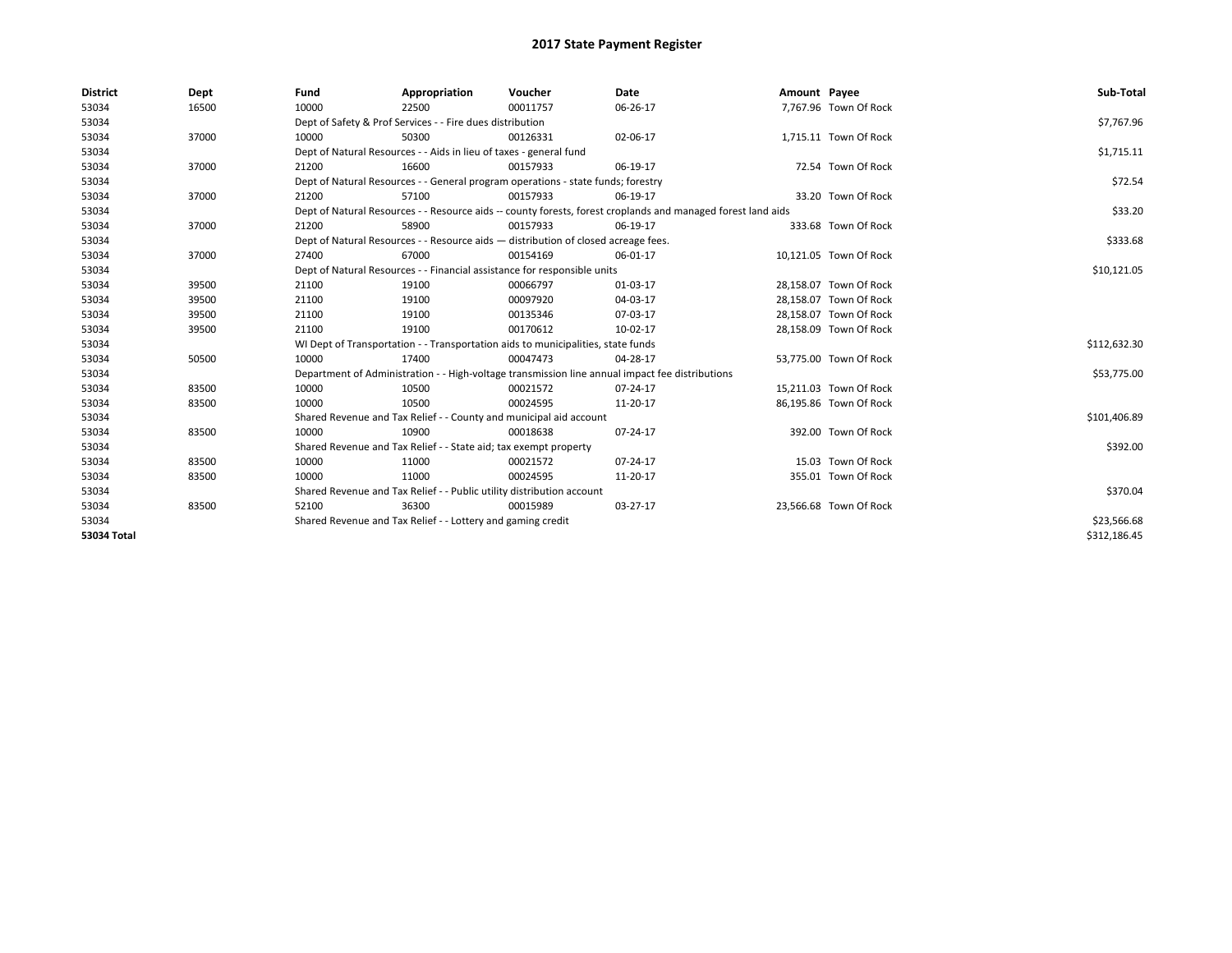| <b>District</b> | Dept  | Fund  | Appropriation                                                                      | Voucher  | Date                                                                                                         | Amount Payee |                        | Sub-Total    |
|-----------------|-------|-------|------------------------------------------------------------------------------------|----------|--------------------------------------------------------------------------------------------------------------|--------------|------------------------|--------------|
| 53034           | 16500 | 10000 | 22500                                                                              | 00011757 | 06-26-17                                                                                                     |              | 7,767.96 Town Of Rock  |              |
| 53034           |       |       | Dept of Safety & Prof Services - - Fire dues distribution                          |          |                                                                                                              |              |                        | \$7,767.96   |
| 53034           | 37000 | 10000 | 50300                                                                              | 00126331 | 02-06-17                                                                                                     |              | 1,715.11 Town Of Rock  |              |
| 53034           |       |       | Dept of Natural Resources - - Aids in lieu of taxes - general fund                 |          |                                                                                                              |              |                        | \$1,715.11   |
| 53034           | 37000 | 21200 | 16600                                                                              | 00157933 | 06-19-17                                                                                                     |              | 72.54 Town Of Rock     |              |
| 53034           |       |       | Dept of Natural Resources - - General program operations - state funds; forestry   |          |                                                                                                              |              |                        | \$72.54      |
| 53034           | 37000 | 21200 | 57100                                                                              | 00157933 | 06-19-17                                                                                                     |              | 33.20 Town Of Rock     |              |
| 53034           |       |       |                                                                                    |          | Dept of Natural Resources - - Resource aids -- county forests, forest croplands and managed forest land aids |              |                        | \$33.20      |
| 53034           | 37000 | 21200 | 58900                                                                              | 00157933 | 06-19-17                                                                                                     |              | 333.68 Town Of Rock    |              |
| 53034           |       |       | Dept of Natural Resources - - Resource aids - distribution of closed acreage fees. |          |                                                                                                              |              |                        | \$333.68     |
| 53034           | 37000 | 27400 | 67000                                                                              | 00154169 | 06-01-17                                                                                                     |              | 10,121.05 Town Of Rock |              |
| 53034           |       |       | Dept of Natural Resources - - Financial assistance for responsible units           |          |                                                                                                              |              |                        | \$10,121.05  |
| 53034           | 39500 | 21100 | 19100                                                                              | 00066797 | 01-03-17                                                                                                     |              | 28.158.07 Town Of Rock |              |
| 53034           | 39500 | 21100 | 19100                                                                              | 00097920 | 04-03-17                                                                                                     |              | 28,158.07 Town Of Rock |              |
| 53034           | 39500 | 21100 | 19100                                                                              | 00135346 | 07-03-17                                                                                                     |              | 28,158.07 Town Of Rock |              |
| 53034           | 39500 | 21100 | 19100                                                                              | 00170612 | 10-02-17                                                                                                     |              | 28,158.09 Town Of Rock |              |
| 53034           |       |       | WI Dept of Transportation - - Transportation aids to municipalities, state funds   |          |                                                                                                              |              |                        | \$112,632.30 |
| 53034           | 50500 | 10000 | 17400                                                                              | 00047473 | 04-28-17                                                                                                     |              | 53,775.00 Town Of Rock |              |
| 53034           |       |       |                                                                                    |          | Department of Administration - - High-voltage transmission line annual impact fee distributions              |              |                        | \$53,775.00  |
| 53034           | 83500 | 10000 | 10500                                                                              | 00021572 | 07-24-17                                                                                                     |              | 15,211.03 Town Of Rock |              |
| 53034           | 83500 | 10000 | 10500                                                                              | 00024595 | 11-20-17                                                                                                     |              | 86,195.86 Town Of Rock |              |
| 53034           |       |       | Shared Revenue and Tax Relief - - County and municipal aid account                 |          |                                                                                                              |              |                        | \$101,406.89 |
| 53034           | 83500 | 10000 | 10900                                                                              | 00018638 | 07-24-17                                                                                                     |              | 392.00 Town Of Rock    |              |
| 53034           |       |       | Shared Revenue and Tax Relief - - State aid; tax exempt property                   |          |                                                                                                              |              |                        | \$392.00     |
| 53034           | 83500 | 10000 | 11000                                                                              | 00021572 | 07-24-17                                                                                                     |              | 15.03 Town Of Rock     |              |
| 53034           | 83500 | 10000 | 11000                                                                              | 00024595 | 11-20-17                                                                                                     |              | 355.01 Town Of Rock    |              |
| 53034           |       |       | Shared Revenue and Tax Relief - - Public utility distribution account              |          |                                                                                                              |              |                        | \$370.04     |
| 53034           | 83500 | 52100 | 36300                                                                              | 00015989 | 03-27-17                                                                                                     |              | 23,566.68 Town Of Rock |              |
| 53034           |       |       | Shared Revenue and Tax Relief - - Lottery and gaming credit                        |          |                                                                                                              |              |                        | \$23,566.68  |
| 53034 Total     |       |       |                                                                                    |          |                                                                                                              |              |                        | \$312,186.45 |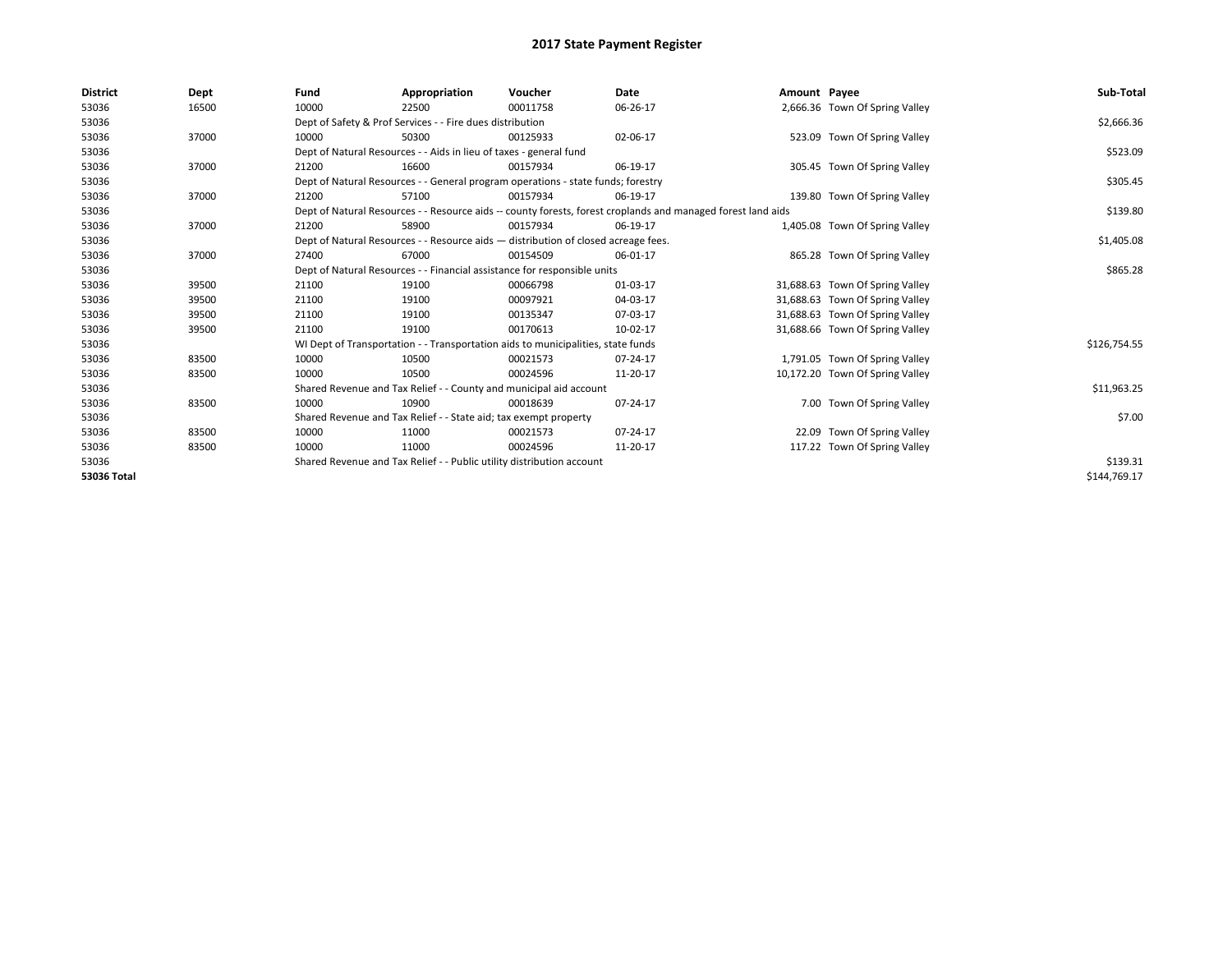| <b>District</b> | Dept  | Fund  | Appropriation                                                                                                | Voucher  | <b>Date</b> | Amount Payee |                                 | Sub-Total    |
|-----------------|-------|-------|--------------------------------------------------------------------------------------------------------------|----------|-------------|--------------|---------------------------------|--------------|
| 53036           | 16500 | 10000 | 22500                                                                                                        | 00011758 | 06-26-17    |              | 2,666.36 Town Of Spring Valley  |              |
| 53036           |       |       | Dept of Safety & Prof Services - - Fire dues distribution                                                    |          |             |              |                                 | \$2,666.36   |
| 53036           | 37000 | 10000 | 50300                                                                                                        | 00125933 | 02-06-17    |              | 523.09 Town Of Spring Valley    |              |
| 53036           |       |       | Dept of Natural Resources - - Aids in lieu of taxes - general fund                                           |          |             |              |                                 | \$523.09     |
| 53036           | 37000 | 21200 | 16600                                                                                                        | 00157934 | 06-19-17    |              | 305.45 Town Of Spring Valley    |              |
| 53036           |       |       | Dept of Natural Resources - - General program operations - state funds; forestry                             |          |             |              |                                 | \$305.45     |
| 53036           | 37000 | 21200 | 57100                                                                                                        | 00157934 | 06-19-17    |              | 139.80 Town Of Spring Valley    |              |
| 53036           |       |       | Dept of Natural Resources - - Resource aids -- county forests, forest croplands and managed forest land aids |          |             |              |                                 | \$139.80     |
| 53036           | 37000 | 21200 | 58900                                                                                                        | 00157934 | 06-19-17    |              | 1,405.08 Town Of Spring Valley  |              |
| 53036           |       |       | Dept of Natural Resources - - Resource aids - distribution of closed acreage fees.                           |          |             |              |                                 | \$1,405.08   |
| 53036           | 37000 | 27400 | 67000                                                                                                        | 00154509 | 06-01-17    |              | 865.28 Town Of Spring Valley    |              |
| 53036           |       |       | Dept of Natural Resources - - Financial assistance for responsible units                                     |          | \$865.28    |              |                                 |              |
| 53036           | 39500 | 21100 | 19100                                                                                                        | 00066798 | 01-03-17    |              | 31,688.63 Town Of Spring Valley |              |
| 53036           | 39500 | 21100 | 19100                                                                                                        | 00097921 | 04-03-17    |              | 31,688.63 Town Of Spring Valley |              |
| 53036           | 39500 | 21100 | 19100                                                                                                        | 00135347 | 07-03-17    |              | 31,688.63 Town Of Spring Valley |              |
| 53036           | 39500 | 21100 | 19100                                                                                                        | 00170613 | 10-02-17    |              | 31,688.66 Town Of Spring Valley |              |
| 53036           |       |       | WI Dept of Transportation - - Transportation aids to municipalities, state funds                             |          |             |              |                                 | \$126,754.55 |
| 53036           | 83500 | 10000 | 10500                                                                                                        | 00021573 | 07-24-17    |              | 1,791.05 Town Of Spring Valley  |              |
| 53036           | 83500 | 10000 | 10500                                                                                                        | 00024596 | 11-20-17    |              | 10,172.20 Town Of Spring Valley |              |
| 53036           |       |       | Shared Revenue and Tax Relief - - County and municipal aid account                                           |          |             |              |                                 | \$11,963.25  |
| 53036           | 83500 | 10000 | 10900                                                                                                        | 00018639 | 07-24-17    |              | 7.00 Town Of Spring Valley      |              |
| 53036           |       |       | Shared Revenue and Tax Relief - - State aid; tax exempt property                                             |          |             |              |                                 | \$7.00       |
| 53036           | 83500 | 10000 | 11000                                                                                                        | 00021573 | 07-24-17    |              | 22.09 Town Of Spring Valley     |              |
| 53036           | 83500 | 10000 | 11000                                                                                                        | 00024596 | 11-20-17    |              | 117.22 Town Of Spring Valley    |              |
| 53036           |       |       | Shared Revenue and Tax Relief - - Public utility distribution account                                        |          |             |              |                                 | \$139.31     |
| 53036 Total     |       |       |                                                                                                              |          |             |              |                                 | \$144,769.17 |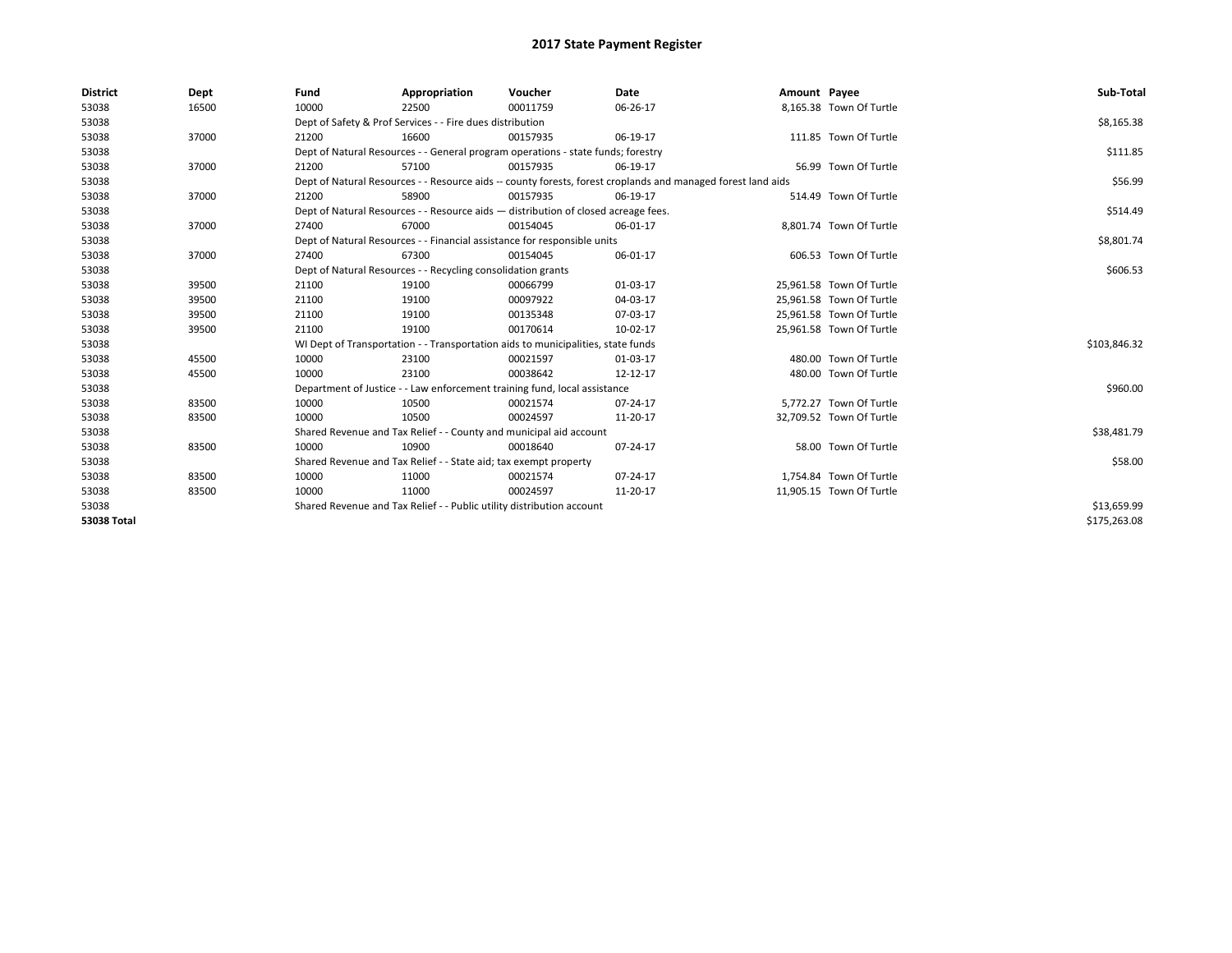| <b>District</b>    | Dept  | Fund  | Appropriation                                                         | Voucher                                                                            | Date                                                                                                         | Amount Payee |                          | Sub-Total    |
|--------------------|-------|-------|-----------------------------------------------------------------------|------------------------------------------------------------------------------------|--------------------------------------------------------------------------------------------------------------|--------------|--------------------------|--------------|
| 53038              | 16500 | 10000 | 22500                                                                 | 00011759                                                                           | 06-26-17                                                                                                     |              | 8,165.38 Town Of Turtle  |              |
| 53038              |       |       | Dept of Safety & Prof Services - - Fire dues distribution             |                                                                                    |                                                                                                              |              |                          | \$8,165.38   |
| 53038              | 37000 | 21200 | 16600                                                                 | 00157935                                                                           | 06-19-17                                                                                                     |              | 111.85 Town Of Turtle    |              |
| 53038              |       |       |                                                                       | Dept of Natural Resources - - General program operations - state funds; forestry   |                                                                                                              |              |                          | \$111.85     |
| 53038              | 37000 | 21200 | 57100                                                                 | 00157935                                                                           | 06-19-17                                                                                                     |              | 56.99 Town Of Turtle     |              |
| 53038              |       |       |                                                                       |                                                                                    | Dept of Natural Resources - - Resource aids -- county forests, forest croplands and managed forest land aids |              |                          | \$56.99      |
| 53038              | 37000 | 21200 | 58900                                                                 | 00157935                                                                           | 06-19-17                                                                                                     |              | 514.49 Town Of Turtle    |              |
| 53038              |       |       |                                                                       | Dept of Natural Resources - - Resource aids - distribution of closed acreage fees. |                                                                                                              |              |                          | \$514.49     |
| 53038              | 37000 | 27400 | 67000                                                                 | 00154045                                                                           | 06-01-17                                                                                                     |              | 8,801.74 Town Of Turtle  |              |
| 53038              |       |       |                                                                       | Dept of Natural Resources - - Financial assistance for responsible units           |                                                                                                              |              |                          | \$8,801.74   |
| 53038              | 37000 | 27400 | 67300                                                                 | 00154045                                                                           | 06-01-17                                                                                                     |              | 606.53 Town Of Turtle    |              |
| 53038              |       |       | Dept of Natural Resources - - Recycling consolidation grants          |                                                                                    |                                                                                                              |              |                          | \$606.53     |
| 53038              | 39500 | 21100 | 19100                                                                 | 00066799                                                                           | 01-03-17                                                                                                     |              | 25.961.58 Town Of Turtle |              |
| 53038              | 39500 | 21100 | 19100                                                                 | 00097922                                                                           | 04-03-17                                                                                                     |              | 25,961.58 Town Of Turtle |              |
| 53038              | 39500 | 21100 | 19100                                                                 | 00135348                                                                           | 07-03-17                                                                                                     |              | 25,961.58 Town Of Turtle |              |
| 53038              | 39500 | 21100 | 19100                                                                 | 00170614                                                                           | 10-02-17                                                                                                     |              | 25,961.58 Town Of Turtle |              |
| 53038              |       |       |                                                                       | WI Dept of Transportation - - Transportation aids to municipalities, state funds   |                                                                                                              |              |                          | \$103,846.32 |
| 53038              | 45500 | 10000 | 23100                                                                 | 00021597                                                                           | 01-03-17                                                                                                     |              | 480.00 Town Of Turtle    |              |
| 53038              | 45500 | 10000 | 23100                                                                 | 00038642                                                                           | 12-12-17                                                                                                     |              | 480.00 Town Of Turtle    |              |
| 53038              |       |       |                                                                       | Department of Justice - - Law enforcement training fund, local assistance          |                                                                                                              |              |                          | \$960.00     |
| 53038              | 83500 | 10000 | 10500                                                                 | 00021574                                                                           | 07-24-17                                                                                                     |              | 5,772.27 Town Of Turtle  |              |
| 53038              | 83500 | 10000 | 10500                                                                 | 00024597                                                                           | 11-20-17                                                                                                     |              | 32,709.52 Town Of Turtle |              |
| 53038              |       |       |                                                                       | Shared Revenue and Tax Relief - - County and municipal aid account                 |                                                                                                              |              |                          | \$38,481.79  |
| 53038              | 83500 | 10000 | 10900                                                                 | 00018640                                                                           | 07-24-17                                                                                                     |              | 58.00 Town Of Turtle     |              |
| 53038              |       |       | Shared Revenue and Tax Relief - - State aid; tax exempt property      |                                                                                    |                                                                                                              |              |                          | \$58.00      |
| 53038              | 83500 | 10000 | 11000                                                                 | 00021574                                                                           | 07-24-17                                                                                                     |              | 1,754.84 Town Of Turtle  |              |
| 53038              | 83500 | 10000 | 11000                                                                 | 00024597                                                                           | 11-20-17                                                                                                     |              | 11,905.15 Town Of Turtle |              |
| 53038              |       |       | Shared Revenue and Tax Relief - - Public utility distribution account |                                                                                    |                                                                                                              |              |                          | \$13,659.99  |
| <b>53038 Total</b> |       |       |                                                                       |                                                                                    |                                                                                                              |              |                          | \$175,263.08 |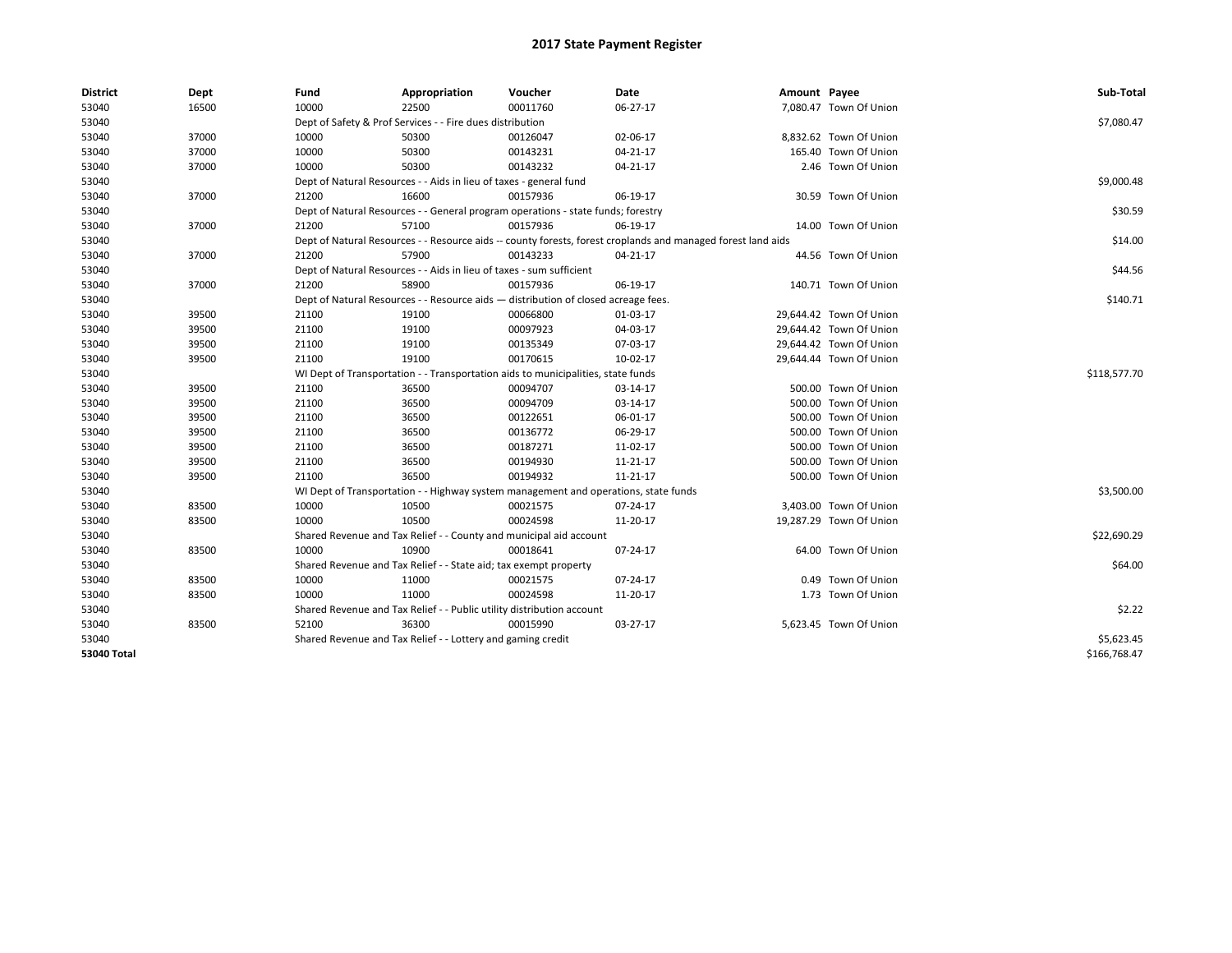| District    | Dept  | Fund  | Appropriation                                                                                                | Voucher  | Date     | Amount Payee |                         | Sub-Total    |  |  |  |
|-------------|-------|-------|--------------------------------------------------------------------------------------------------------------|----------|----------|--------------|-------------------------|--------------|--|--|--|
| 53040       | 16500 | 10000 | 22500                                                                                                        | 00011760 | 06-27-17 |              | 7,080.47 Town Of Union  |              |  |  |  |
| 53040       |       |       | Dept of Safety & Prof Services - - Fire dues distribution                                                    |          |          |              |                         | \$7,080.47   |  |  |  |
| 53040       | 37000 | 10000 | 50300                                                                                                        | 00126047 | 02-06-17 |              | 8,832.62 Town Of Union  |              |  |  |  |
| 53040       | 37000 | 10000 | 50300                                                                                                        | 00143231 | 04-21-17 |              | 165.40 Town Of Union    |              |  |  |  |
| 53040       | 37000 | 10000 | 50300                                                                                                        | 00143232 | 04-21-17 |              | 2.46 Town Of Union      |              |  |  |  |
| 53040       |       |       | Dept of Natural Resources - - Aids in lieu of taxes - general fund                                           |          |          |              |                         | \$9,000.48   |  |  |  |
| 53040       | 37000 | 21200 | 16600                                                                                                        | 00157936 | 06-19-17 |              | 30.59 Town Of Union     |              |  |  |  |
| 53040       |       |       | Dept of Natural Resources - - General program operations - state funds; forestry                             |          |          |              |                         | \$30.59      |  |  |  |
| 53040       | 37000 | 21200 | 57100                                                                                                        | 00157936 | 06-19-17 |              | 14.00 Town Of Union     |              |  |  |  |
| 53040       |       |       | Dept of Natural Resources - - Resource aids -- county forests, forest croplands and managed forest land aids |          |          |              |                         | \$14.00      |  |  |  |
| 53040       | 37000 | 21200 | 57900                                                                                                        | 00143233 | 04-21-17 |              | 44.56 Town Of Union     |              |  |  |  |
| 53040       |       |       | Dept of Natural Resources - - Aids in lieu of taxes - sum sufficient                                         |          |          |              |                         | \$44.56      |  |  |  |
| 53040       | 37000 | 21200 | 58900                                                                                                        | 00157936 | 06-19-17 |              | 140.71 Town Of Union    |              |  |  |  |
| 53040       |       |       | Dept of Natural Resources - - Resource aids - distribution of closed acreage fees.                           |          |          |              |                         | \$140.71     |  |  |  |
| 53040       | 39500 | 21100 | 19100                                                                                                        | 00066800 | 01-03-17 |              | 29,644.42 Town Of Union |              |  |  |  |
| 53040       | 39500 | 21100 | 19100                                                                                                        | 00097923 | 04-03-17 |              | 29,644.42 Town Of Union |              |  |  |  |
| 53040       | 39500 | 21100 | 19100                                                                                                        | 00135349 | 07-03-17 |              | 29,644.42 Town Of Union |              |  |  |  |
| 53040       | 39500 | 21100 | 19100                                                                                                        | 00170615 | 10-02-17 |              | 29,644.44 Town Of Union |              |  |  |  |
| 53040       |       |       | WI Dept of Transportation - - Transportation aids to municipalities, state funds                             |          |          |              |                         |              |  |  |  |
| 53040       | 39500 | 21100 | 36500                                                                                                        | 00094707 | 03-14-17 |              | 500.00 Town Of Union    |              |  |  |  |
| 53040       | 39500 | 21100 | 36500                                                                                                        | 00094709 | 03-14-17 |              | 500.00 Town Of Union    |              |  |  |  |
| 53040       | 39500 | 21100 | 36500                                                                                                        | 00122651 | 06-01-17 |              | 500.00 Town Of Union    |              |  |  |  |
| 53040       | 39500 | 21100 | 36500                                                                                                        | 00136772 | 06-29-17 |              | 500.00 Town Of Union    |              |  |  |  |
| 53040       | 39500 | 21100 | 36500                                                                                                        | 00187271 | 11-02-17 |              | 500.00 Town Of Union    |              |  |  |  |
| 53040       | 39500 | 21100 | 36500                                                                                                        | 00194930 | 11-21-17 |              | 500.00 Town Of Union    |              |  |  |  |
| 53040       | 39500 | 21100 | 36500                                                                                                        | 00194932 | 11-21-17 |              | 500.00 Town Of Union    |              |  |  |  |
| 53040       |       |       | WI Dept of Transportation - - Highway system management and operations, state funds                          |          |          |              |                         | \$3,500.00   |  |  |  |
| 53040       | 83500 | 10000 | 10500                                                                                                        | 00021575 | 07-24-17 |              | 3,403.00 Town Of Union  |              |  |  |  |
| 53040       | 83500 | 10000 | 10500                                                                                                        | 00024598 | 11-20-17 |              | 19,287.29 Town Of Union |              |  |  |  |
| 53040       |       |       | Shared Revenue and Tax Relief - - County and municipal aid account                                           |          |          |              |                         | \$22,690.29  |  |  |  |
| 53040       | 83500 | 10000 | 10900                                                                                                        | 00018641 | 07-24-17 |              | 64.00 Town Of Union     |              |  |  |  |
| 53040       |       |       | Shared Revenue and Tax Relief - - State aid; tax exempt property                                             |          |          |              |                         | \$64.00      |  |  |  |
| 53040       | 83500 | 10000 | 11000                                                                                                        | 00021575 | 07-24-17 |              | 0.49 Town Of Union      |              |  |  |  |
| 53040       | 83500 | 10000 | 11000                                                                                                        | 00024598 | 11-20-17 |              | 1.73 Town Of Union      |              |  |  |  |
| 53040       |       |       | Shared Revenue and Tax Relief - - Public utility distribution account                                        |          |          |              |                         | \$2.22       |  |  |  |
| 53040       | 83500 | 52100 | 36300                                                                                                        | 00015990 | 03-27-17 |              | 5,623.45 Town Of Union  |              |  |  |  |
| 53040       |       |       | Shared Revenue and Tax Relief - - Lottery and gaming credit                                                  |          |          |              |                         | \$5,623.45   |  |  |  |
| 53040 Total |       |       |                                                                                                              |          |          |              |                         | \$166,768.47 |  |  |  |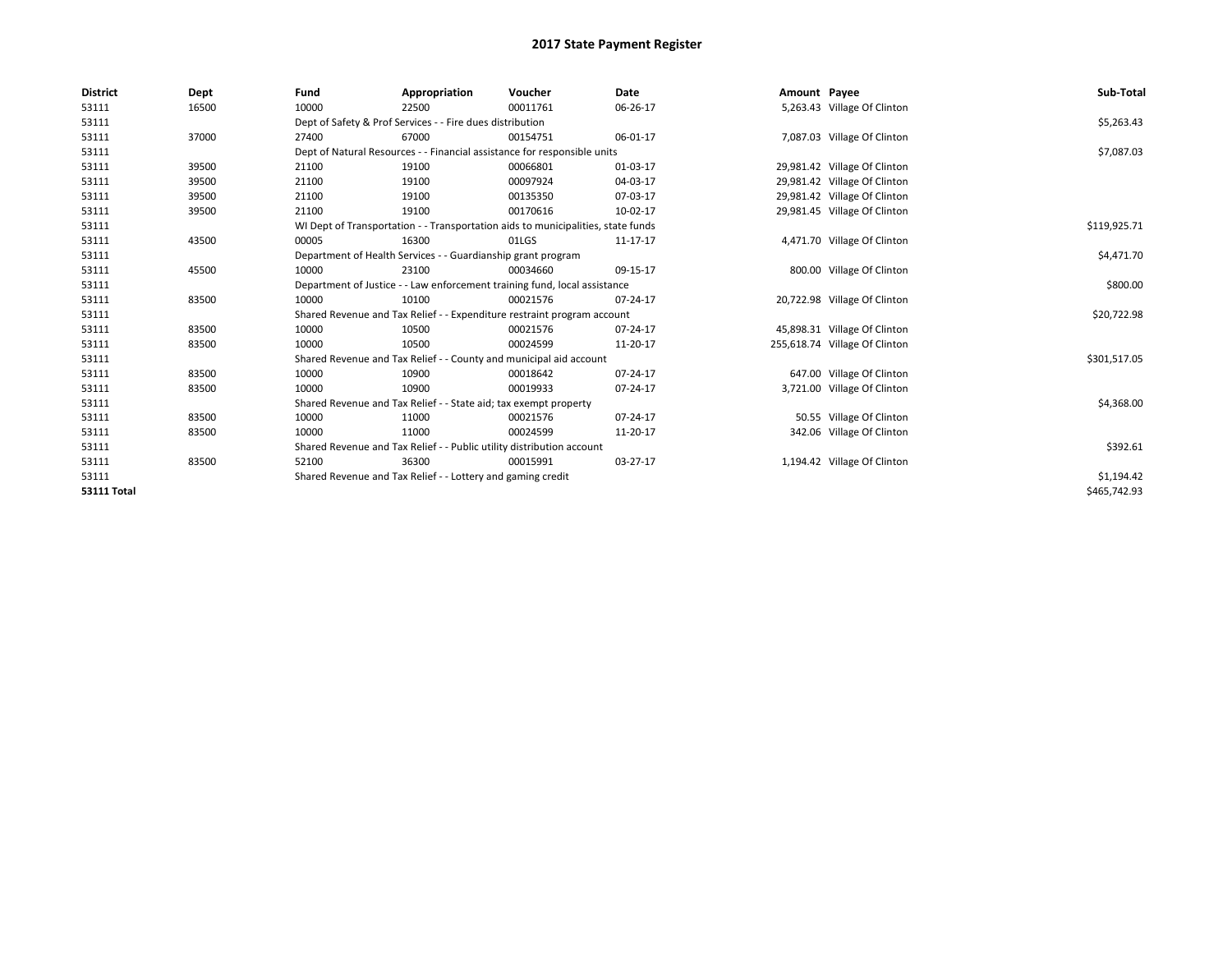| <b>District</b>    | <b>Dept</b> | Fund                                                                             | Appropriation                                                         | Voucher                                                                   | Date     | Amount Payee |                               | Sub-Total    |
|--------------------|-------------|----------------------------------------------------------------------------------|-----------------------------------------------------------------------|---------------------------------------------------------------------------|----------|--------------|-------------------------------|--------------|
| 53111              | 16500       | 10000                                                                            | 22500                                                                 | 00011761                                                                  | 06-26-17 |              | 5,263.43 Village Of Clinton   |              |
| 53111              |             |                                                                                  | Dept of Safety & Prof Services - - Fire dues distribution             |                                                                           |          |              |                               | \$5,263.43   |
| 53111              | 37000       | 27400                                                                            | 67000                                                                 | 00154751                                                                  | 06-01-17 |              | 7,087.03 Village Of Clinton   |              |
| 53111              |             |                                                                                  |                                                                       | Dept of Natural Resources - - Financial assistance for responsible units  |          |              |                               | \$7,087.03   |
| 53111              | 39500       | 21100                                                                            | 19100                                                                 | 00066801                                                                  | 01-03-17 |              | 29,981.42 Village Of Clinton  |              |
| 53111              | 39500       | 21100                                                                            | 19100                                                                 | 00097924                                                                  | 04-03-17 |              | 29,981.42 Village Of Clinton  |              |
| 53111              | 39500       | 21100                                                                            | 19100                                                                 | 00135350                                                                  | 07-03-17 |              | 29,981.42 Village Of Clinton  |              |
| 53111              | 39500       | 21100                                                                            | 19100                                                                 | 00170616                                                                  | 10-02-17 |              | 29,981.45 Village Of Clinton  |              |
| 53111              |             | WI Dept of Transportation - - Transportation aids to municipalities, state funds |                                                                       | \$119,925.71                                                              |          |              |                               |              |
| 53111              | 43500       | 00005                                                                            | 16300                                                                 | 01LGS                                                                     | 11-17-17 |              | 4,471.70 Village Of Clinton   |              |
| 53111              |             | Department of Health Services - - Guardianship grant program                     |                                                                       | \$4,471.70                                                                |          |              |                               |              |
| 53111              | 45500       | 10000                                                                            | 23100                                                                 | 00034660                                                                  | 09-15-17 |              | 800.00 Village Of Clinton     |              |
| 53111              |             |                                                                                  |                                                                       | Department of Justice - - Law enforcement training fund, local assistance |          |              |                               | \$800.00     |
| 53111              | 83500       | 10000                                                                            | 10100                                                                 | 00021576                                                                  | 07-24-17 |              | 20,722.98 Village Of Clinton  |              |
| 53111              |             |                                                                                  |                                                                       | Shared Revenue and Tax Relief - - Expenditure restraint program account   |          |              |                               | \$20,722.98  |
| 53111              | 83500       | 10000                                                                            | 10500                                                                 | 00021576                                                                  | 07-24-17 |              | 45,898.31 Village Of Clinton  |              |
| 53111              | 83500       | 10000                                                                            | 10500                                                                 | 00024599                                                                  | 11-20-17 |              | 255,618.74 Village Of Clinton |              |
| 53111              |             |                                                                                  |                                                                       | Shared Revenue and Tax Relief - - County and municipal aid account        |          |              |                               | \$301,517.05 |
| 53111              | 83500       | 10000                                                                            | 10900                                                                 | 00018642                                                                  | 07-24-17 |              | 647.00 Village Of Clinton     |              |
| 53111              | 83500       | 10000                                                                            | 10900                                                                 | 00019933                                                                  | 07-24-17 |              | 3,721.00 Village Of Clinton   |              |
| 53111              |             |                                                                                  | Shared Revenue and Tax Relief - - State aid; tax exempt property      |                                                                           |          |              |                               | \$4,368.00   |
| 53111              | 83500       | 10000                                                                            | 11000                                                                 | 00021576                                                                  | 07-24-17 |              | 50.55 Village Of Clinton      |              |
| 53111              | 83500       | 10000                                                                            | 11000                                                                 | 00024599                                                                  | 11-20-17 |              | 342.06 Village Of Clinton     |              |
| 53111              |             |                                                                                  | Shared Revenue and Tax Relief - - Public utility distribution account |                                                                           |          |              |                               | \$392.61     |
| 53111              | 83500       | 52100                                                                            | 36300                                                                 | 00015991                                                                  | 03-27-17 |              | 1,194.42 Village Of Clinton   |              |
| 53111              |             |                                                                                  | Shared Revenue and Tax Relief - - Lottery and gaming credit           |                                                                           |          |              |                               | \$1,194.42   |
| <b>53111 Total</b> |             |                                                                                  |                                                                       |                                                                           |          |              |                               | \$465,742.93 |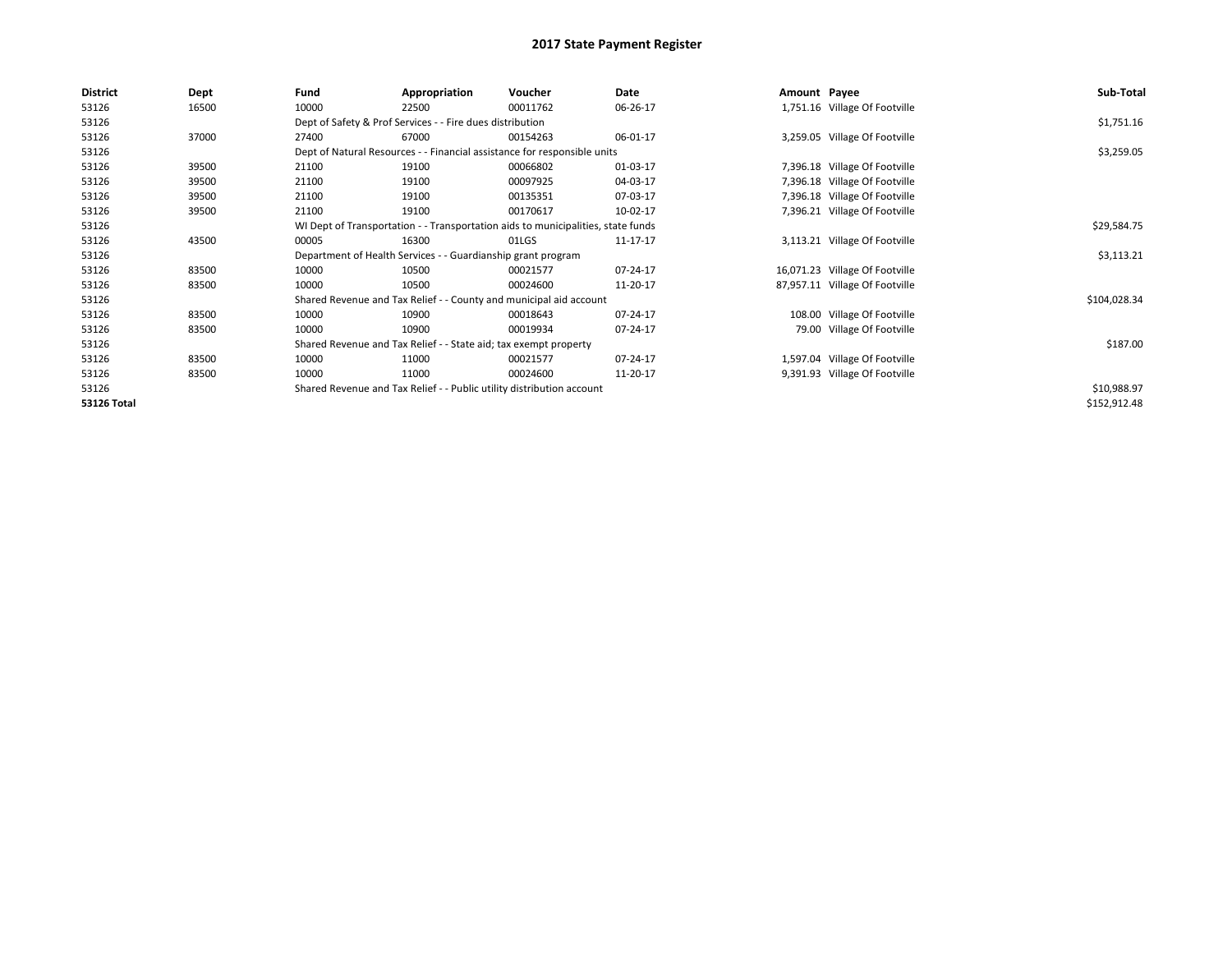| <b>District</b>    | Dept  | Fund                                                                  | Appropriation                                                                    | Voucher     | Date     | Amount Payee |                                | Sub-Total    |
|--------------------|-------|-----------------------------------------------------------------------|----------------------------------------------------------------------------------|-------------|----------|--------------|--------------------------------|--------------|
| 53126              | 16500 | 10000                                                                 | 22500                                                                            | 00011762    | 06-26-17 |              | 1,751.16 Village Of Footville  |              |
| 53126              |       |                                                                       | Dept of Safety & Prof Services - - Fire dues distribution                        |             |          |              |                                | \$1,751.16   |
| 53126              | 37000 | 27400                                                                 | 67000                                                                            | 00154263    | 06-01-17 |              | 3,259.05 Village Of Footville  |              |
| 53126              |       |                                                                       | Dept of Natural Resources - - Financial assistance for responsible units         |             |          |              |                                | \$3,259.05   |
| 53126              | 39500 | 21100                                                                 | 19100                                                                            | 00066802    | 01-03-17 |              | 7,396.18 Village Of Footville  |              |
| 53126              | 39500 | 21100                                                                 | 19100                                                                            | 00097925    | 04-03-17 |              | 7,396.18 Village Of Footville  |              |
| 53126              | 39500 | 21100                                                                 | 19100                                                                            | 00135351    | 07-03-17 |              | 7,396.18 Village Of Footville  |              |
| 53126              | 39500 | 21100                                                                 | 19100                                                                            | 00170617    | 10-02-17 |              | 7,396.21 Village Of Footville  |              |
| 53126              |       |                                                                       | WI Dept of Transportation - - Transportation aids to municipalities, state funds |             |          |              |                                | \$29,584.75  |
| 53126              | 43500 | 00005                                                                 | 16300                                                                            | 01LGS       | 11-17-17 |              | 3,113.21 Village Of Footville  |              |
| 53126              |       |                                                                       | Department of Health Services - - Guardianship grant program                     |             |          |              |                                | \$3,113.21   |
| 53126              | 83500 | 10000                                                                 | 10500                                                                            | 00021577    | 07-24-17 |              | 16,071.23 Village Of Footville |              |
| 53126              | 83500 | 10000                                                                 | 10500                                                                            | 00024600    | 11-20-17 |              | 87,957.11 Village Of Footville |              |
| 53126              |       |                                                                       | Shared Revenue and Tax Relief - - County and municipal aid account               |             |          |              |                                | \$104,028.34 |
| 53126              | 83500 | 10000                                                                 | 10900                                                                            | 00018643    | 07-24-17 |              | 108.00 Village Of Footville    |              |
| 53126              | 83500 | 10000                                                                 | 10900                                                                            | 00019934    | 07-24-17 |              | 79.00 Village Of Footville     |              |
| 53126              |       |                                                                       | Shared Revenue and Tax Relief - - State aid; tax exempt property                 |             |          |              |                                | \$187.00     |
| 53126              | 83500 | 10000                                                                 | 11000                                                                            | 00021577    | 07-24-17 |              | 1,597.04 Village Of Footville  |              |
| 53126              | 83500 | 10000                                                                 | 11000                                                                            | 00024600    | 11-20-17 |              | 9,391.93 Village Of Footville  |              |
| 53126              |       | Shared Revenue and Tax Relief - - Public utility distribution account |                                                                                  | \$10,988.97 |          |              |                                |              |
| <b>53126 Total</b> |       |                                                                       |                                                                                  |             |          |              |                                | \$152,912.48 |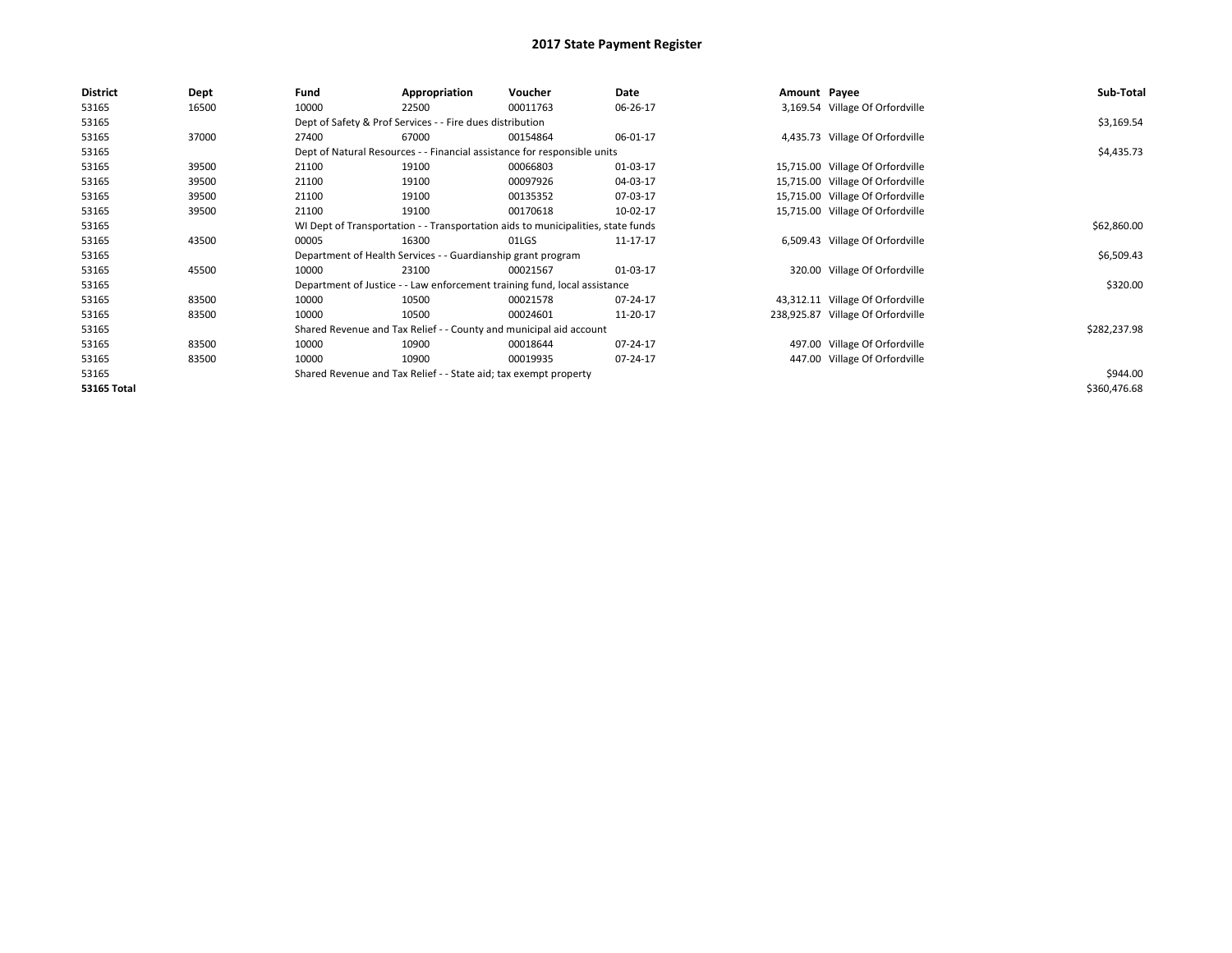| <b>District</b> | Dept  | Fund                                                                             | Appropriation                                                             | Voucher     | Date           | Amount Payee |                                   | Sub-Total    |
|-----------------|-------|----------------------------------------------------------------------------------|---------------------------------------------------------------------------|-------------|----------------|--------------|-----------------------------------|--------------|
| 53165           | 16500 | 10000                                                                            | 22500                                                                     | 00011763    | 06-26-17       |              | 3,169.54 Village Of Orfordville   |              |
| 53165           |       |                                                                                  | Dept of Safety & Prof Services - - Fire dues distribution                 |             |                |              |                                   | \$3,169.54   |
| 53165           | 37000 | 27400                                                                            | 67000                                                                     | 00154864    | 06-01-17       |              | 4,435.73 Village Of Orfordville   |              |
| 53165           |       |                                                                                  | Dept of Natural Resources - - Financial assistance for responsible units  |             |                |              |                                   | \$4,435.73   |
| 53165           | 39500 | 21100                                                                            | 19100                                                                     | 00066803    | 01-03-17       |              | 15,715.00 Village Of Orfordville  |              |
| 53165           | 39500 | 21100                                                                            | 19100                                                                     | 00097926    | 04-03-17       |              | 15,715.00 Village Of Orfordville  |              |
| 53165           | 39500 | 21100                                                                            | 19100                                                                     | 00135352    | 07-03-17       |              | 15,715.00 Village Of Orfordville  |              |
| 53165           | 39500 | 21100                                                                            | 19100                                                                     | 00170618    | 10-02-17       |              | 15,715.00 Village Of Orfordville  |              |
| 53165           |       | WI Dept of Transportation - - Transportation aids to municipalities, state funds |                                                                           | \$62,860.00 |                |              |                                   |              |
| 53165           | 43500 | 00005                                                                            | 16300                                                                     | 01LGS       | 11-17-17       |              | 6,509.43 Village Of Orfordville   |              |
| 53165           |       |                                                                                  | Department of Health Services - - Guardianship grant program              |             |                |              |                                   | \$6,509.43   |
| 53165           | 45500 | 10000                                                                            | 23100                                                                     | 00021567    | 01-03-17       |              | 320.00 Village Of Orfordville     |              |
| 53165           |       |                                                                                  | Department of Justice - - Law enforcement training fund, local assistance |             |                |              |                                   | \$320.00     |
| 53165           | 83500 | 10000                                                                            | 10500                                                                     | 00021578    | $07 - 24 - 17$ |              | 43,312.11 Village Of Orfordville  |              |
| 53165           | 83500 | 10000                                                                            | 10500                                                                     | 00024601    | 11-20-17       |              | 238,925.87 Village Of Orfordville |              |
| 53165           |       |                                                                                  | Shared Revenue and Tax Relief - - County and municipal aid account        |             |                |              |                                   | \$282,237.98 |
| 53165           | 83500 | 10000                                                                            | 10900                                                                     | 00018644    | 07-24-17       |              | 497.00 Village Of Orfordville     |              |
| 53165           | 83500 | 10000                                                                            | 10900                                                                     | 00019935    | 07-24-17       |              | 447.00 Village Of Orfordville     |              |
| 53165           |       |                                                                                  | Shared Revenue and Tax Relief - - State aid; tax exempt property          |             |                |              |                                   | \$944.00     |
| 53165 Total     |       |                                                                                  |                                                                           |             |                |              |                                   | \$360,476.68 |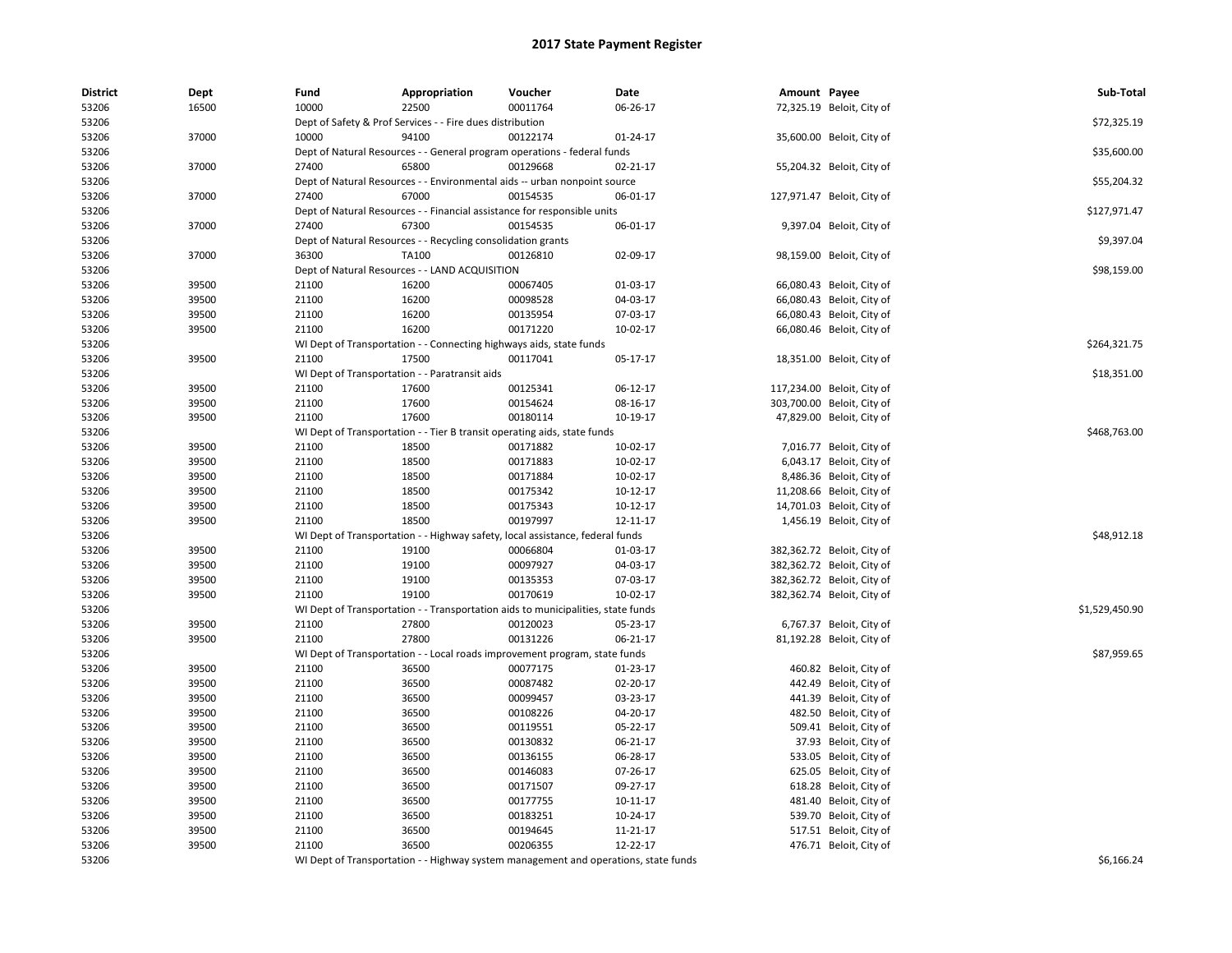| <b>District</b> | Dept  | Fund  | Appropriation                                                                       | Voucher  | Date           | Amount Payee |                            | Sub-Total      |
|-----------------|-------|-------|-------------------------------------------------------------------------------------|----------|----------------|--------------|----------------------------|----------------|
| 53206           | 16500 | 10000 | 22500                                                                               | 00011764 | 06-26-17       |              | 72,325.19 Beloit, City of  |                |
| 53206           |       |       | Dept of Safety & Prof Services - - Fire dues distribution                           |          |                |              |                            | \$72,325.19    |
| 53206           | 37000 | 10000 | 94100                                                                               | 00122174 | 01-24-17       |              | 35,600.00 Beloit, City of  |                |
| 53206           |       |       | Dept of Natural Resources - - General program operations - federal funds            |          |                |              |                            | \$35,600.00    |
| 53206           | 37000 | 27400 | 65800                                                                               | 00129668 | $02 - 21 - 17$ |              | 55,204.32 Beloit, City of  |                |
| 53206           |       |       | Dept of Natural Resources - - Environmental aids -- urban nonpoint source           |          |                |              |                            | \$55,204.32    |
| 53206           | 37000 | 27400 | 67000                                                                               | 00154535 | 06-01-17       |              | 127,971.47 Beloit, City of |                |
| 53206           |       |       | Dept of Natural Resources - - Financial assistance for responsible units            |          |                |              |                            | \$127,971.47   |
| 53206           | 37000 | 27400 | 67300                                                                               | 00154535 | 06-01-17       |              | 9,397.04 Beloit, City of   |                |
| 53206           |       |       | Dept of Natural Resources - - Recycling consolidation grants                        |          |                |              |                            | \$9,397.04     |
| 53206           | 37000 | 36300 | TA100                                                                               | 00126810 | 02-09-17       |              | 98,159.00 Beloit, City of  |                |
| 53206           |       |       | Dept of Natural Resources - - LAND ACQUISITION                                      |          |                |              |                            | \$98,159.00    |
| 53206           | 39500 | 21100 | 16200                                                                               | 00067405 | 01-03-17       |              | 66,080.43 Beloit, City of  |                |
| 53206           | 39500 | 21100 | 16200                                                                               | 00098528 | 04-03-17       |              | 66,080.43 Beloit, City of  |                |
| 53206           | 39500 | 21100 | 16200                                                                               | 00135954 | 07-03-17       |              | 66,080.43 Beloit, City of  |                |
| 53206           | 39500 | 21100 | 16200                                                                               | 00171220 | 10-02-17       |              | 66,080.46 Beloit, City of  |                |
| 53206           |       |       | WI Dept of Transportation - - Connecting highways aids, state funds                 |          |                |              |                            | \$264,321.75   |
| 53206           | 39500 | 21100 | 17500                                                                               | 00117041 | 05-17-17       |              | 18,351.00 Beloit, City of  |                |
| 53206           |       |       | WI Dept of Transportation - - Paratransit aids                                      |          |                |              |                            | \$18,351.00    |
| 53206           | 39500 | 21100 | 17600                                                                               | 00125341 | 06-12-17       |              | 117,234.00 Beloit, City of |                |
| 53206           | 39500 | 21100 | 17600                                                                               | 00154624 | 08-16-17       |              | 303,700.00 Beloit, City of |                |
| 53206           | 39500 | 21100 | 17600                                                                               | 00180114 | 10-19-17       |              | 47,829.00 Beloit, City of  |                |
| 53206           |       |       | WI Dept of Transportation - - Tier B transit operating aids, state funds            |          |                |              |                            | \$468,763.00   |
| 53206           | 39500 | 21100 | 18500                                                                               | 00171882 | 10-02-17       |              | 7,016.77 Beloit, City of   |                |
| 53206           | 39500 | 21100 | 18500                                                                               | 00171883 | 10-02-17       |              | 6,043.17 Beloit, City of   |                |
| 53206           | 39500 | 21100 | 18500                                                                               | 00171884 | 10-02-17       |              | 8,486.36 Beloit, City of   |                |
| 53206           | 39500 | 21100 | 18500                                                                               | 00175342 | 10-12-17       |              | 11,208.66 Beloit, City of  |                |
| 53206           | 39500 | 21100 | 18500                                                                               | 00175343 | 10-12-17       |              | 14,701.03 Beloit, City of  |                |
| 53206           | 39500 | 21100 | 18500                                                                               | 00197997 | 12-11-17       |              | 1,456.19 Beloit, City of   |                |
| 53206           |       |       | WI Dept of Transportation - - Highway safety, local assistance, federal funds       |          |                |              |                            | \$48,912.18    |
| 53206           | 39500 | 21100 | 19100                                                                               | 00066804 | 01-03-17       |              | 382,362.72 Beloit, City of |                |
| 53206           | 39500 | 21100 | 19100                                                                               | 00097927 | 04-03-17       |              | 382,362.72 Beloit, City of |                |
| 53206           | 39500 | 21100 | 19100                                                                               | 00135353 | 07-03-17       |              | 382,362.72 Beloit, City of |                |
| 53206           | 39500 | 21100 | 19100                                                                               | 00170619 | 10-02-17       |              | 382,362.74 Beloit, City of |                |
| 53206           |       |       | WI Dept of Transportation - - Transportation aids to municipalities, state funds    |          |                |              |                            | \$1,529,450.90 |
| 53206           | 39500 | 21100 | 27800                                                                               | 00120023 | 05-23-17       |              | 6,767.37 Beloit, City of   |                |
| 53206           | 39500 | 21100 | 27800                                                                               | 00131226 | 06-21-17       |              | 81,192.28 Beloit, City of  |                |
| 53206           |       |       | WI Dept of Transportation - - Local roads improvement program, state funds          |          |                |              |                            | \$87,959.65    |
| 53206           | 39500 | 21100 | 36500                                                                               | 00077175 | 01-23-17       |              | 460.82 Beloit, City of     |                |
| 53206           | 39500 | 21100 | 36500                                                                               | 00087482 | 02-20-17       |              | 442.49 Beloit, City of     |                |
| 53206           | 39500 | 21100 | 36500                                                                               | 00099457 | 03-23-17       |              | 441.39 Beloit, City of     |                |
| 53206           | 39500 | 21100 | 36500                                                                               | 00108226 | 04-20-17       |              | 482.50 Beloit, City of     |                |
| 53206           | 39500 | 21100 | 36500                                                                               | 00119551 | 05-22-17       |              | 509.41 Beloit, City of     |                |
| 53206           | 39500 | 21100 | 36500                                                                               | 00130832 | 06-21-17       |              | 37.93 Beloit, City of      |                |
| 53206           | 39500 | 21100 | 36500                                                                               | 00136155 | 06-28-17       |              | 533.05 Beloit, City of     |                |
| 53206           | 39500 | 21100 | 36500                                                                               | 00146083 | 07-26-17       |              | 625.05 Beloit, City of     |                |
| 53206           | 39500 | 21100 | 36500                                                                               | 00171507 | 09-27-17       |              | 618.28 Beloit, City of     |                |
| 53206           | 39500 | 21100 | 36500                                                                               | 00177755 | 10-11-17       |              | 481.40 Beloit, City of     |                |
| 53206           | 39500 | 21100 | 36500                                                                               | 00183251 | 10-24-17       |              | 539.70 Beloit, City of     |                |
| 53206           | 39500 | 21100 | 36500                                                                               | 00194645 | 11-21-17       |              | 517.51 Beloit, City of     |                |
| 53206           | 39500 | 21100 | 36500                                                                               | 00206355 | 12-22-17       |              | 476.71 Beloit, City of     |                |
| 53206           |       |       | WI Dept of Transportation - - Highway system management and operations, state funds |          |                |              |                            | \$6.166.24     |
|                 |       |       |                                                                                     |          |                |              |                            |                |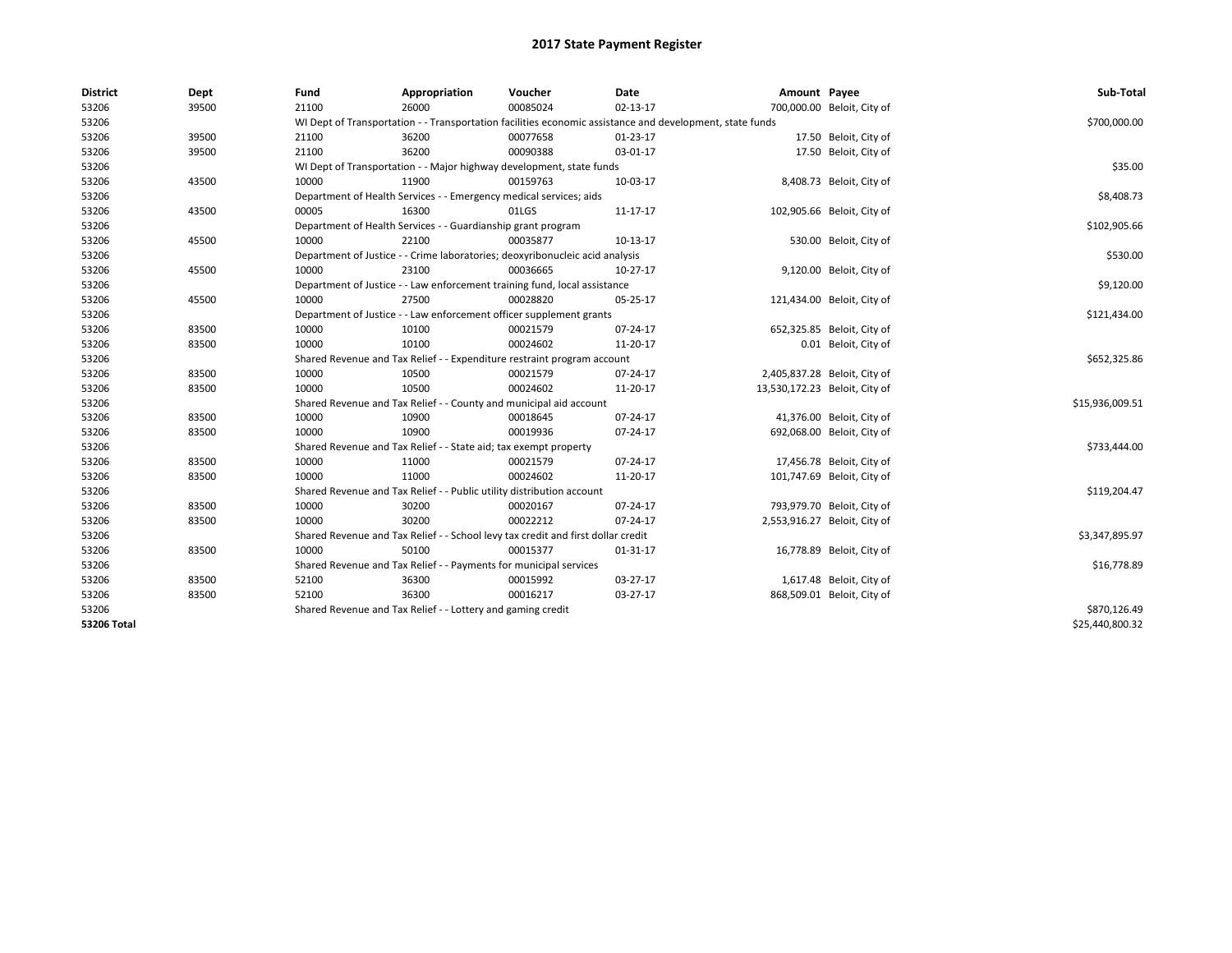| <b>District</b> | Dept  | Fund  | Appropriation                                                                    | Voucher  | Date                                                                                                     | Amount Payee |                               | Sub-Total       |  |  |
|-----------------|-------|-------|----------------------------------------------------------------------------------|----------|----------------------------------------------------------------------------------------------------------|--------------|-------------------------------|-----------------|--|--|
| 53206           | 39500 | 21100 | 26000                                                                            | 00085024 | 02-13-17                                                                                                 |              | 700,000.00 Beloit, City of    |                 |  |  |
| 53206           |       |       |                                                                                  |          | WI Dept of Transportation - - Transportation facilities economic assistance and development, state funds |              |                               | \$700,000.00    |  |  |
| 53206           | 39500 | 21100 | 36200                                                                            | 00077658 | 01-23-17                                                                                                 |              | 17.50 Beloit, City of         |                 |  |  |
| 53206           | 39500 | 21100 | 36200                                                                            | 00090388 | 03-01-17                                                                                                 |              | 17.50 Beloit, City of         |                 |  |  |
| 53206           |       |       | WI Dept of Transportation - - Major highway development, state funds             |          |                                                                                                          |              |                               | \$35.00         |  |  |
| 53206           | 43500 | 10000 | 11900                                                                            | 00159763 | 10-03-17                                                                                                 |              | 8,408.73 Beloit, City of      |                 |  |  |
| 53206           |       |       | Department of Health Services - - Emergency medical services; aids               |          |                                                                                                          |              |                               | \$8,408.73      |  |  |
| 53206           | 43500 | 00005 | 16300                                                                            | 01LGS    | 11-17-17                                                                                                 |              | 102,905.66 Beloit, City of    |                 |  |  |
| 53206           |       |       | Department of Health Services - - Guardianship grant program                     |          |                                                                                                          |              |                               | \$102,905.66    |  |  |
| 53206           | 45500 | 10000 | 22100                                                                            | 00035877 | 10-13-17                                                                                                 |              | 530.00 Beloit, City of        |                 |  |  |
| 53206           |       |       | Department of Justice - - Crime laboratories; deoxyribonucleic acid analysis     |          |                                                                                                          |              |                               | \$530.00        |  |  |
| 53206           | 45500 | 10000 | 23100                                                                            | 00036665 | 10-27-17                                                                                                 |              | 9,120.00 Beloit, City of      |                 |  |  |
| 53206           |       |       | Department of Justice - - Law enforcement training fund, local assistance        |          |                                                                                                          |              |                               | \$9,120.00      |  |  |
| 53206           | 45500 | 10000 | 27500                                                                            | 00028820 | 05-25-17                                                                                                 |              | 121,434.00 Beloit, City of    |                 |  |  |
| 53206           |       |       | Department of Justice - - Law enforcement officer supplement grants              |          |                                                                                                          |              |                               | \$121,434.00    |  |  |
| 53206           | 83500 | 10000 | 10100                                                                            | 00021579 | 07-24-17                                                                                                 |              | 652,325.85 Beloit, City of    |                 |  |  |
| 53206           | 83500 | 10000 | 10100                                                                            | 00024602 | 11-20-17                                                                                                 |              | 0.01 Beloit, City of          |                 |  |  |
| 53206           |       |       | Shared Revenue and Tax Relief - - Expenditure restraint program account          |          |                                                                                                          |              |                               |                 |  |  |
| 53206           | 83500 | 10000 | 10500                                                                            | 00021579 | 07-24-17                                                                                                 |              | 2,405,837.28 Beloit, City of  |                 |  |  |
| 53206           | 83500 | 10000 | 10500                                                                            | 00024602 | 11-20-17                                                                                                 |              | 13,530,172.23 Beloit, City of |                 |  |  |
| 53206           |       |       | Shared Revenue and Tax Relief - - County and municipal aid account               |          |                                                                                                          |              |                               | \$15,936,009.51 |  |  |
| 53206           | 83500 | 10000 | 10900                                                                            | 00018645 | 07-24-17                                                                                                 |              | 41,376.00 Beloit, City of     |                 |  |  |
| 53206           | 83500 | 10000 | 10900                                                                            | 00019936 | 07-24-17                                                                                                 |              | 692,068.00 Beloit, City of    |                 |  |  |
| 53206           |       |       | Shared Revenue and Tax Relief - - State aid; tax exempt property                 |          |                                                                                                          |              |                               | \$733,444.00    |  |  |
| 53206           | 83500 | 10000 | 11000                                                                            | 00021579 | 07-24-17                                                                                                 |              | 17,456.78 Beloit, City of     |                 |  |  |
| 53206           | 83500 | 10000 | 11000                                                                            | 00024602 | 11-20-17                                                                                                 |              | 101,747.69 Beloit, City of    |                 |  |  |
| 53206           |       |       | Shared Revenue and Tax Relief - - Public utility distribution account            |          |                                                                                                          |              |                               | \$119,204.47    |  |  |
| 53206           | 83500 | 10000 | 30200                                                                            | 00020167 | 07-24-17                                                                                                 |              | 793,979.70 Beloit, City of    |                 |  |  |
| 53206           | 83500 | 10000 | 30200                                                                            | 00022212 | 07-24-17                                                                                                 |              | 2,553,916.27 Beloit, City of  |                 |  |  |
| 53206           |       |       | Shared Revenue and Tax Relief - - School levy tax credit and first dollar credit |          |                                                                                                          |              |                               | \$3,347,895.97  |  |  |
| 53206           | 83500 | 10000 | 50100                                                                            | 00015377 | 01-31-17                                                                                                 |              | 16,778.89 Beloit, City of     |                 |  |  |
| 53206           |       |       | Shared Revenue and Tax Relief - - Payments for municipal services                |          |                                                                                                          |              |                               | \$16,778.89     |  |  |
| 53206           | 83500 | 52100 | 36300                                                                            | 00015992 | 03-27-17                                                                                                 |              | 1,617.48 Beloit, City of      |                 |  |  |
| 53206           | 83500 | 52100 | 36300                                                                            | 00016217 | 03-27-17                                                                                                 |              | 868,509.01 Beloit, City of    |                 |  |  |
| 53206           |       |       | Shared Revenue and Tax Relief - - Lottery and gaming credit                      |          |                                                                                                          |              |                               | \$870,126.49    |  |  |
| 53206 Total     |       |       |                                                                                  |          |                                                                                                          |              |                               | \$25,440,800.32 |  |  |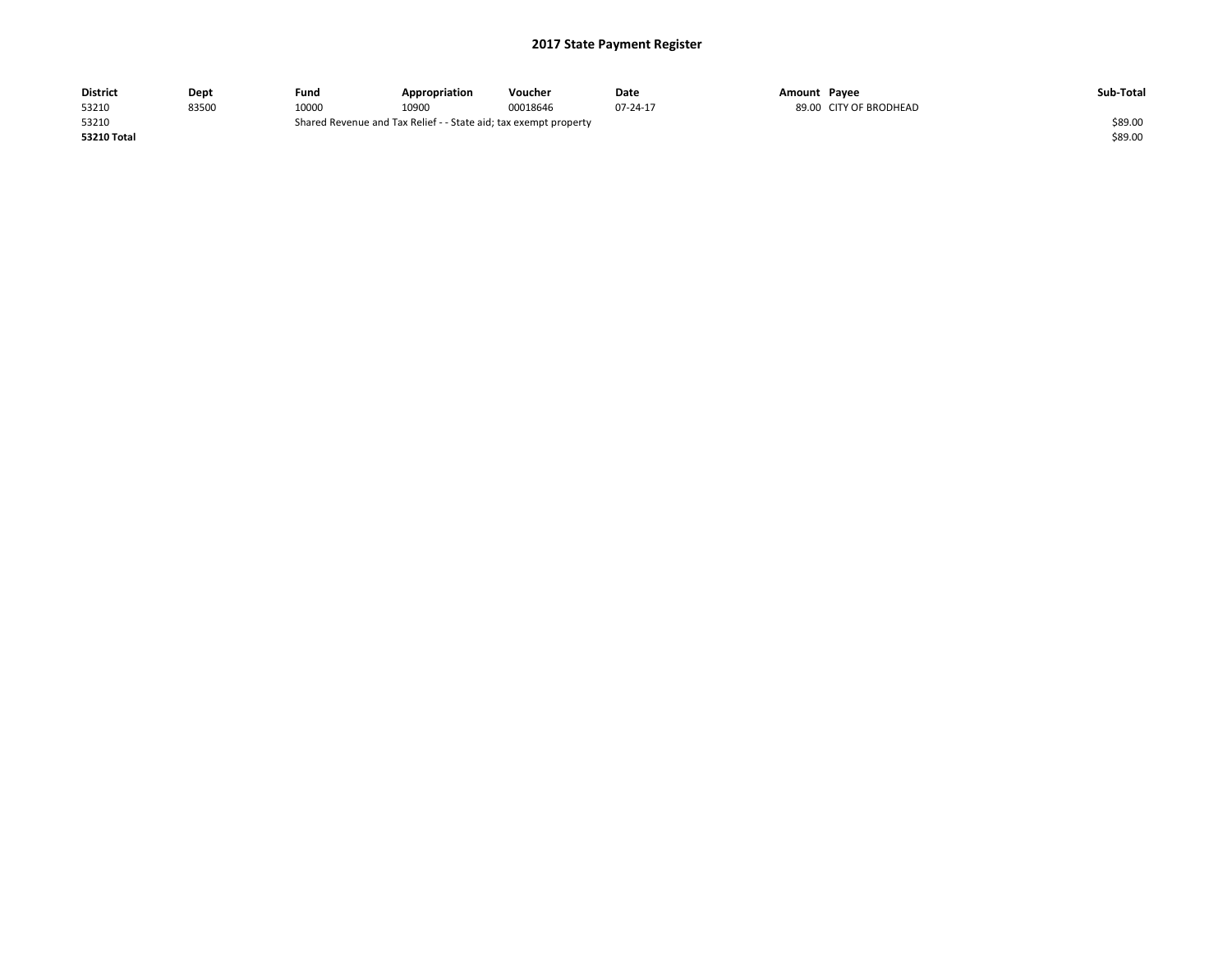| <b>District</b> | Dept  | Fund  | Appropriation                                                    | Voucher  | Date     | Amount Pavee |                  | Sub-Total |
|-----------------|-------|-------|------------------------------------------------------------------|----------|----------|--------------|------------------|-----------|
| 53210           | 83500 | 10000 | 10900                                                            | 00018646 | 07-24-17 | 89.00        | CITY OF BRODHEAD |           |
| 53210           |       |       | Shared Revenue and Tax Relief - - State aid; tax exempt property |          |          |              |                  | \$89.00   |
| 53210 Total     |       |       |                                                                  |          |          |              |                  | \$89.00   |
|                 |       |       |                                                                  |          |          |              |                  |           |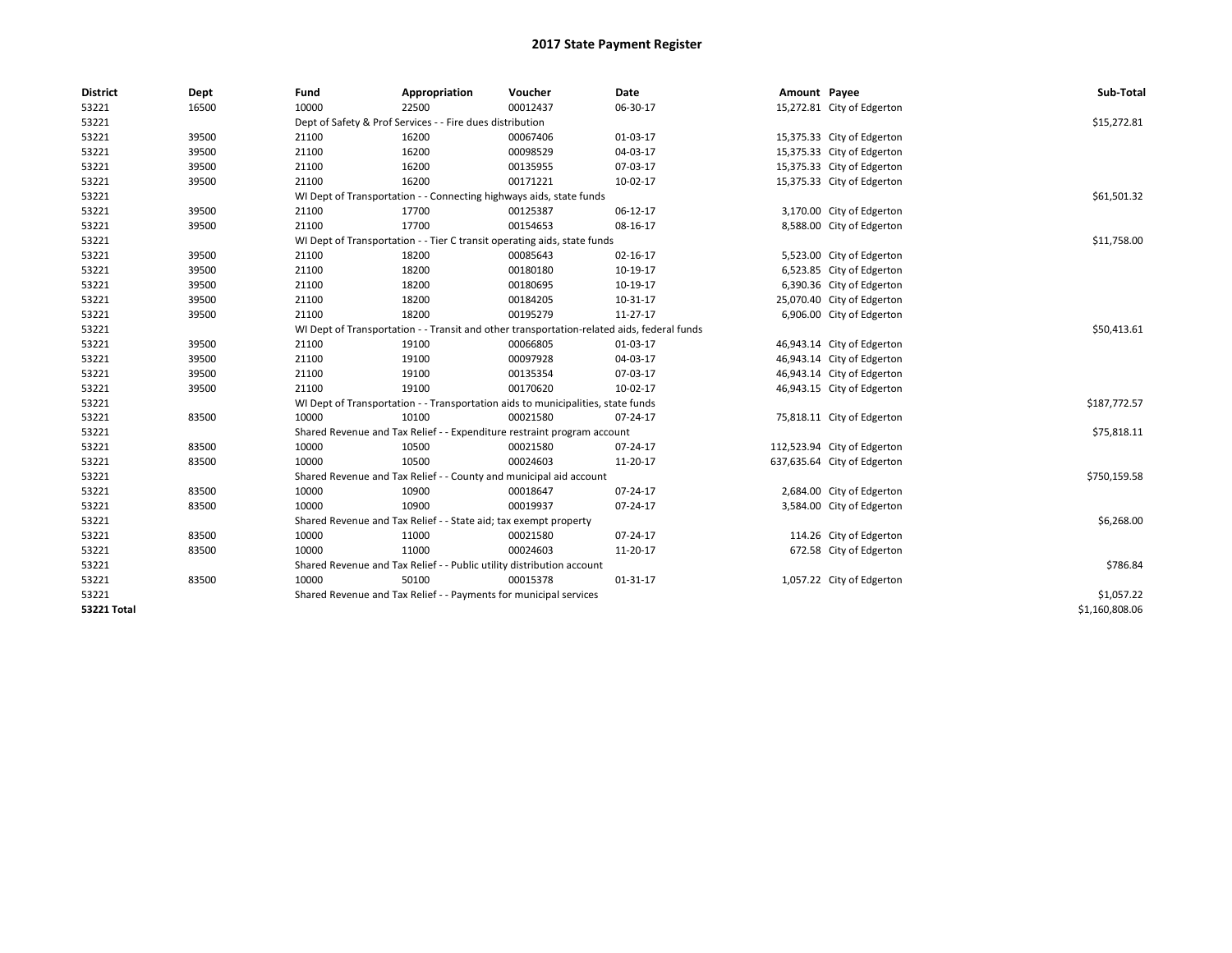| <b>District</b>    | Dept  | Fund  | Appropriation                                                                              | Voucher  | Date     | Amount Payee |                             | Sub-Total      |  |  |
|--------------------|-------|-------|--------------------------------------------------------------------------------------------|----------|----------|--------------|-----------------------------|----------------|--|--|
| 53221              | 16500 | 10000 | 22500                                                                                      | 00012437 | 06-30-17 |              | 15,272.81 City of Edgerton  |                |  |  |
| 53221              |       |       | Dept of Safety & Prof Services - - Fire dues distribution                                  |          |          |              |                             | \$15,272.81    |  |  |
| 53221              | 39500 | 21100 | 16200                                                                                      | 00067406 | 01-03-17 |              | 15,375.33 City of Edgerton  |                |  |  |
| 53221              | 39500 | 21100 | 16200                                                                                      | 00098529 | 04-03-17 |              | 15,375.33 City of Edgerton  |                |  |  |
| 53221              | 39500 | 21100 | 16200                                                                                      | 00135955 | 07-03-17 |              | 15,375.33 City of Edgerton  |                |  |  |
| 53221              | 39500 | 21100 | 16200                                                                                      | 00171221 | 10-02-17 |              | 15,375.33 City of Edgerton  |                |  |  |
| 53221              |       |       | WI Dept of Transportation - - Connecting highways aids, state funds                        |          |          |              |                             | \$61,501.32    |  |  |
| 53221              | 39500 | 21100 | 17700                                                                                      | 00125387 | 06-12-17 |              | 3,170.00 City of Edgerton   |                |  |  |
| 53221              | 39500 | 21100 | 17700                                                                                      | 00154653 | 08-16-17 |              | 8,588.00 City of Edgerton   |                |  |  |
| 53221              |       |       | WI Dept of Transportation - - Tier C transit operating aids, state funds                   |          |          |              |                             | \$11,758.00    |  |  |
| 53221              | 39500 | 21100 | 18200                                                                                      | 00085643 | 02-16-17 |              | 5,523.00 City of Edgerton   |                |  |  |
| 53221              | 39500 | 21100 | 18200                                                                                      | 00180180 | 10-19-17 |              | 6,523.85 City of Edgerton   |                |  |  |
| 53221              | 39500 | 21100 | 18200                                                                                      | 00180695 | 10-19-17 |              | 6,390.36 City of Edgerton   |                |  |  |
| 53221              | 39500 | 21100 | 18200                                                                                      | 00184205 | 10-31-17 |              | 25,070.40 City of Edgerton  |                |  |  |
| 53221              | 39500 | 21100 | 18200                                                                                      | 00195279 | 11-27-17 |              | 6,906.00 City of Edgerton   |                |  |  |
| 53221              |       |       | WI Dept of Transportation - - Transit and other transportation-related aids, federal funds |          |          |              |                             |                |  |  |
| 53221              | 39500 | 21100 | 19100                                                                                      | 00066805 | 01-03-17 |              | 46,943.14 City of Edgerton  |                |  |  |
| 53221              | 39500 | 21100 | 19100                                                                                      | 00097928 | 04-03-17 |              | 46,943.14 City of Edgerton  |                |  |  |
| 53221              | 39500 | 21100 | 19100                                                                                      | 00135354 | 07-03-17 |              | 46,943.14 City of Edgerton  |                |  |  |
| 53221              | 39500 | 21100 | 19100                                                                                      | 00170620 | 10-02-17 |              | 46,943.15 City of Edgerton  |                |  |  |
| 53221              |       |       | WI Dept of Transportation - - Transportation aids to municipalities, state funds           |          |          |              |                             | \$187,772.57   |  |  |
| 53221              | 83500 | 10000 | 10100                                                                                      | 00021580 | 07-24-17 |              | 75,818.11 City of Edgerton  |                |  |  |
| 53221              |       |       | Shared Revenue and Tax Relief - - Expenditure restraint program account                    |          |          |              |                             | \$75,818.11    |  |  |
| 53221              | 83500 | 10000 | 10500                                                                                      | 00021580 | 07-24-17 |              | 112,523.94 City of Edgerton |                |  |  |
| 53221              | 83500 | 10000 | 10500                                                                                      | 00024603 | 11-20-17 |              | 637,635.64 City of Edgerton |                |  |  |
| 53221              |       |       | Shared Revenue and Tax Relief - - County and municipal aid account                         |          |          |              |                             | \$750,159.58   |  |  |
| 53221              | 83500 | 10000 | 10900                                                                                      | 00018647 | 07-24-17 |              | 2,684.00 City of Edgerton   |                |  |  |
| 53221              | 83500 | 10000 | 10900                                                                                      | 00019937 | 07-24-17 |              | 3,584.00 City of Edgerton   |                |  |  |
| 53221              |       |       | Shared Revenue and Tax Relief - - State aid; tax exempt property                           |          |          |              |                             | \$6,268.00     |  |  |
| 53221              | 83500 | 10000 | 11000                                                                                      | 00021580 | 07-24-17 |              | 114.26 City of Edgerton     |                |  |  |
| 53221              | 83500 | 10000 | 11000                                                                                      | 00024603 | 11-20-17 |              | 672.58 City of Edgerton     |                |  |  |
| 53221              |       |       | Shared Revenue and Tax Relief - - Public utility distribution account                      |          |          |              |                             | \$786.84       |  |  |
| 53221              | 83500 | 10000 | 50100                                                                                      | 00015378 | 01-31-17 |              | 1,057.22 City of Edgerton   |                |  |  |
| 53221              |       |       | Shared Revenue and Tax Relief - - Payments for municipal services                          |          |          |              |                             | \$1,057.22     |  |  |
| <b>53221 Total</b> |       |       |                                                                                            |          |          |              |                             | \$1,160,808.06 |  |  |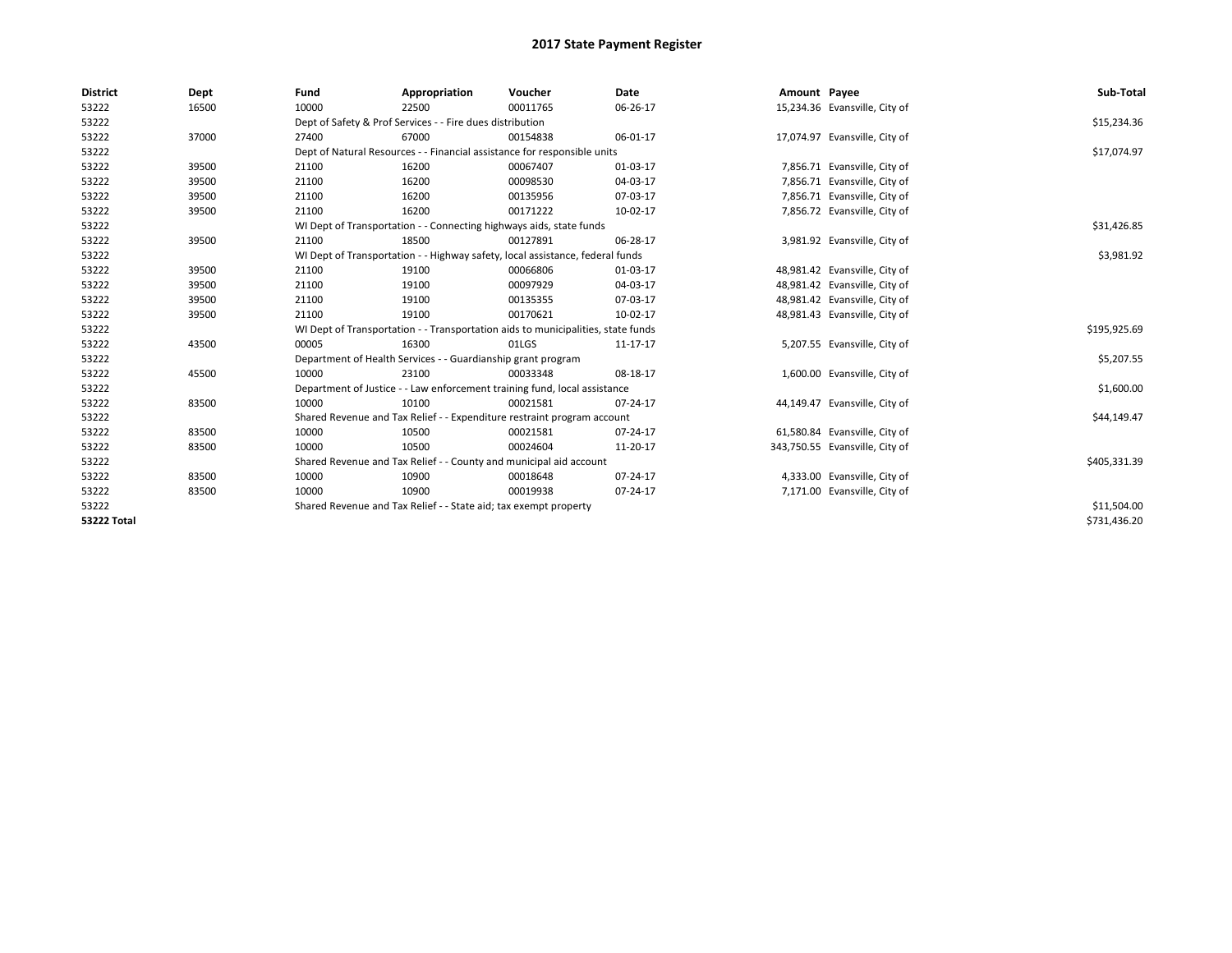| <b>District</b>    | Dept  | Fund  | Appropriation                                                                    | Voucher  | Date     | Amount Payee |                                | Sub-Total    |
|--------------------|-------|-------|----------------------------------------------------------------------------------|----------|----------|--------------|--------------------------------|--------------|
| 53222              | 16500 | 10000 | 22500                                                                            | 00011765 | 06-26-17 |              | 15,234.36 Evansville, City of  |              |
| 53222              |       |       | Dept of Safety & Prof Services - - Fire dues distribution                        |          |          |              |                                | \$15,234.36  |
| 53222              | 37000 | 27400 | 67000                                                                            | 00154838 | 06-01-17 |              | 17,074.97 Evansville, City of  |              |
| 53222              |       |       | Dept of Natural Resources - - Financial assistance for responsible units         |          |          |              |                                | \$17,074.97  |
| 53222              | 39500 | 21100 | 16200                                                                            | 00067407 | 01-03-17 |              | 7,856.71 Evansville, City of   |              |
| 53222              | 39500 | 21100 | 16200                                                                            | 00098530 | 04-03-17 |              | 7,856.71 Evansville, City of   |              |
| 53222              | 39500 | 21100 | 16200                                                                            | 00135956 | 07-03-17 |              | 7,856.71 Evansville, City of   |              |
| 53222              | 39500 | 21100 | 16200                                                                            | 00171222 | 10-02-17 |              | 7,856.72 Evansville, City of   |              |
| 53222              |       |       | WI Dept of Transportation - - Connecting highways aids, state funds              |          |          |              |                                | \$31,426.85  |
| 53222              | 39500 | 21100 | 18500                                                                            | 00127891 | 06-28-17 |              | 3,981.92 Evansville, City of   |              |
| 53222              |       |       | WI Dept of Transportation - - Highway safety, local assistance, federal funds    |          |          |              |                                | \$3,981.92   |
| 53222              | 39500 | 21100 | 19100                                                                            | 00066806 | 01-03-17 |              | 48,981.42 Evansville, City of  |              |
| 53222              | 39500 | 21100 | 19100                                                                            | 00097929 | 04-03-17 |              | 48,981.42 Evansville, City of  |              |
| 53222              | 39500 | 21100 | 19100                                                                            | 00135355 | 07-03-17 |              | 48,981.42 Evansville, City of  |              |
| 53222              | 39500 | 21100 | 19100                                                                            | 00170621 | 10-02-17 |              | 48,981.43 Evansville, City of  |              |
| 53222              |       |       | WI Dept of Transportation - - Transportation aids to municipalities, state funds |          |          |              |                                | \$195,925.69 |
| 53222              | 43500 | 00005 | 16300                                                                            | 01LGS    | 11-17-17 |              | 5,207.55 Evansville, City of   |              |
| 53222              |       |       | Department of Health Services - - Guardianship grant program                     |          |          |              |                                | \$5,207.55   |
| 53222              | 45500 | 10000 | 23100                                                                            | 00033348 | 08-18-17 |              | 1,600.00 Evansville, City of   |              |
| 53222              |       |       | Department of Justice - - Law enforcement training fund, local assistance        |          |          |              |                                | \$1,600.00   |
| 53222              | 83500 | 10000 | 10100                                                                            | 00021581 | 07-24-17 |              | 44,149.47 Evansville, City of  |              |
| 53222              |       |       | Shared Revenue and Tax Relief - - Expenditure restraint program account          |          |          |              |                                | \$44,149.47  |
| 53222              | 83500 | 10000 | 10500                                                                            | 00021581 | 07-24-17 |              | 61,580.84 Evansville, City of  |              |
| 53222              | 83500 | 10000 | 10500                                                                            | 00024604 | 11-20-17 |              | 343,750.55 Evansville, City of |              |
| 53222              |       |       | Shared Revenue and Tax Relief - - County and municipal aid account               |          |          |              |                                | \$405,331.39 |
| 53222              | 83500 | 10000 | 10900                                                                            | 00018648 | 07-24-17 |              | 4,333.00 Evansville, City of   |              |
| 53222              | 83500 | 10000 | 10900                                                                            | 00019938 | 07-24-17 |              | 7,171.00 Evansville, City of   |              |
| 53222              |       |       | Shared Revenue and Tax Relief - - State aid; tax exempt property                 |          |          |              |                                | \$11,504.00  |
| <b>53222 Total</b> |       |       |                                                                                  |          |          |              |                                | \$731,436.20 |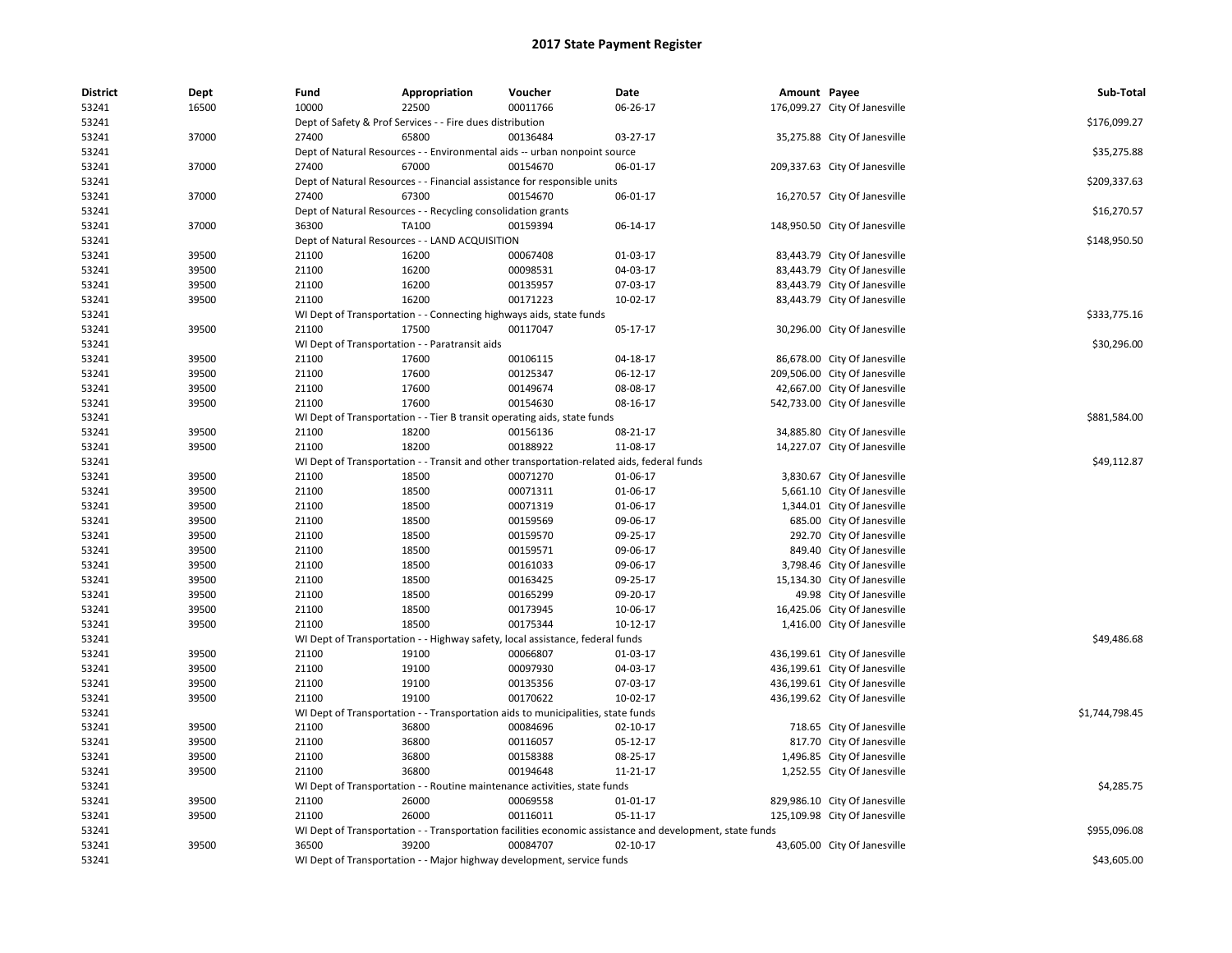| <b>District</b> | Dept  | Fund  | Appropriation                                                                                            | Voucher  | Date           | Amount Payee |                               | Sub-Total      |
|-----------------|-------|-------|----------------------------------------------------------------------------------------------------------|----------|----------------|--------------|-------------------------------|----------------|
| 53241           | 16500 | 10000 | 22500                                                                                                    | 00011766 | 06-26-17       |              | 176,099.27 City Of Janesville |                |
| 53241           |       |       | Dept of Safety & Prof Services - - Fire dues distribution                                                |          |                |              |                               | \$176,099.27   |
| 53241           | 37000 | 27400 | 65800                                                                                                    | 00136484 | 03-27-17       |              | 35,275.88 City Of Janesville  |                |
| 53241           |       |       | Dept of Natural Resources - - Environmental aids -- urban nonpoint source                                |          |                |              |                               | \$35,275.88    |
| 53241           | 37000 | 27400 | 67000                                                                                                    | 00154670 | 06-01-17       |              | 209,337.63 City Of Janesville |                |
| 53241           |       |       | Dept of Natural Resources - - Financial assistance for responsible units                                 |          |                |              |                               | \$209,337.63   |
| 53241           | 37000 | 27400 | 67300                                                                                                    | 00154670 | 06-01-17       |              | 16,270.57 City Of Janesville  |                |
| 53241           |       |       | Dept of Natural Resources - - Recycling consolidation grants                                             |          |                |              |                               | \$16,270.57    |
| 53241           | 37000 | 36300 | TA100                                                                                                    | 00159394 | 06-14-17       |              | 148,950.50 City Of Janesville |                |
| 53241           |       |       | Dept of Natural Resources - - LAND ACQUISITION                                                           |          |                |              |                               | \$148,950.50   |
| 53241           | 39500 | 21100 | 16200                                                                                                    | 00067408 | 01-03-17       |              | 83,443.79 City Of Janesville  |                |
| 53241           | 39500 | 21100 | 16200                                                                                                    | 00098531 | 04-03-17       |              | 83,443.79 City Of Janesville  |                |
| 53241           | 39500 | 21100 | 16200                                                                                                    | 00135957 | 07-03-17       |              | 83,443.79 City Of Janesville  |                |
| 53241           | 39500 | 21100 | 16200                                                                                                    | 00171223 | 10-02-17       |              | 83,443.79 City Of Janesville  |                |
| 53241           |       |       | WI Dept of Transportation - - Connecting highways aids, state funds                                      |          |                |              |                               | \$333,775.16   |
| 53241           | 39500 | 21100 | 17500                                                                                                    | 00117047 | 05-17-17       |              | 30,296.00 City Of Janesville  |                |
| 53241           |       |       | WI Dept of Transportation - - Paratransit aids                                                           |          |                |              |                               | \$30,296.00    |
| 53241           | 39500 | 21100 | 17600                                                                                                    | 00106115 | 04-18-17       |              | 86,678.00 City Of Janesville  |                |
| 53241           | 39500 | 21100 | 17600                                                                                                    | 00125347 | 06-12-17       |              | 209,506.00 City Of Janesville |                |
| 53241           | 39500 | 21100 | 17600                                                                                                    | 00149674 | 08-08-17       |              | 42,667.00 City Of Janesville  |                |
| 53241           | 39500 | 21100 | 17600                                                                                                    | 00154630 | 08-16-17       |              | 542,733.00 City Of Janesville |                |
| 53241           |       |       | WI Dept of Transportation - - Tier B transit operating aids, state funds                                 |          |                |              |                               | \$881,584.00   |
| 53241           | 39500 | 21100 | 18200                                                                                                    | 00156136 | 08-21-17       |              | 34,885.80 City Of Janesville  |                |
| 53241           | 39500 | 21100 | 18200                                                                                                    | 00188922 | 11-08-17       |              | 14,227.07 City Of Janesville  |                |
| 53241           |       |       | WI Dept of Transportation - - Transit and other transportation-related aids, federal funds               |          |                |              |                               | \$49,112.87    |
| 53241           | 39500 | 21100 | 18500                                                                                                    | 00071270 | 01-06-17       |              | 3,830.67 City Of Janesville   |                |
| 53241           | 39500 | 21100 | 18500                                                                                                    | 00071311 | 01-06-17       |              | 5,661.10 City Of Janesville   |                |
| 53241           | 39500 | 21100 | 18500                                                                                                    | 00071319 | 01-06-17       |              | 1,344.01 City Of Janesville   |                |
| 53241           | 39500 | 21100 | 18500                                                                                                    | 00159569 | 09-06-17       |              | 685.00 City Of Janesville     |                |
| 53241           | 39500 | 21100 | 18500                                                                                                    | 00159570 | 09-25-17       |              | 292.70 City Of Janesville     |                |
| 53241           | 39500 | 21100 | 18500                                                                                                    | 00159571 | 09-06-17       |              | 849.40 City Of Janesville     |                |
| 53241           | 39500 | 21100 | 18500                                                                                                    | 00161033 | 09-06-17       |              | 3,798.46 City Of Janesville   |                |
| 53241           | 39500 | 21100 | 18500                                                                                                    | 00163425 | 09-25-17       |              | 15,134.30 City Of Janesville  |                |
| 53241           | 39500 | 21100 | 18500                                                                                                    | 00165299 | 09-20-17       |              | 49.98 City Of Janesville      |                |
| 53241           | 39500 | 21100 | 18500                                                                                                    | 00173945 | 10-06-17       |              | 16,425.06 City Of Janesville  |                |
| 53241           | 39500 | 21100 | 18500                                                                                                    | 00175344 | $10-12-17$     |              | 1,416.00 City Of Janesville   |                |
| 53241           |       |       | WI Dept of Transportation - - Highway safety, local assistance, federal funds                            |          |                |              |                               | \$49,486.68    |
| 53241           | 39500 | 21100 | 19100                                                                                                    | 00066807 | 01-03-17       |              | 436,199.61 City Of Janesville |                |
| 53241           | 39500 | 21100 | 19100                                                                                                    | 00097930 | 04-03-17       |              | 436,199.61 City Of Janesville |                |
| 53241           | 39500 | 21100 | 19100                                                                                                    | 00135356 | 07-03-17       |              | 436,199.61 City Of Janesville |                |
| 53241           | 39500 | 21100 | 19100                                                                                                    | 00170622 | 10-02-17       |              | 436,199.62 City Of Janesville |                |
| 53241           |       |       | WI Dept of Transportation - - Transportation aids to municipalities, state funds                         |          |                |              |                               | \$1,744,798.45 |
| 53241           | 39500 | 21100 | 36800                                                                                                    | 00084696 | 02-10-17       |              | 718.65 City Of Janesville     |                |
| 53241           | 39500 | 21100 | 36800                                                                                                    | 00116057 | 05-12-17       |              | 817.70 City Of Janesville     |                |
| 53241           | 39500 | 21100 | 36800                                                                                                    | 00158388 | 08-25-17       |              | 1,496.85 City Of Janesville   |                |
| 53241           | 39500 | 21100 | 36800                                                                                                    | 00194648 | 11-21-17       |              | 1,252.55 City Of Janesville   |                |
| 53241           |       |       | WI Dept of Transportation - - Routine maintenance activities, state funds                                |          |                |              |                               | \$4,285.75     |
| 53241           | 39500 | 21100 | 26000                                                                                                    | 00069558 | 01-01-17       |              | 829,986.10 City Of Janesville |                |
| 53241           | 39500 | 21100 | 26000                                                                                                    | 00116011 | 05-11-17       |              | 125,109.98 City Of Janesville |                |
| 53241           |       |       | WI Dept of Transportation - - Transportation facilities economic assistance and development, state funds |          |                |              |                               | \$955,096.08   |
| 53241           | 39500 | 36500 | 39200                                                                                                    | 00084707 | $02 - 10 - 17$ |              | 43,605.00 City Of Janesville  |                |
| 53241           |       |       | WI Dept of Transportation - - Major highway development, service funds                                   |          |                |              |                               | \$43,605.00    |
|                 |       |       |                                                                                                          |          |                |              |                               |                |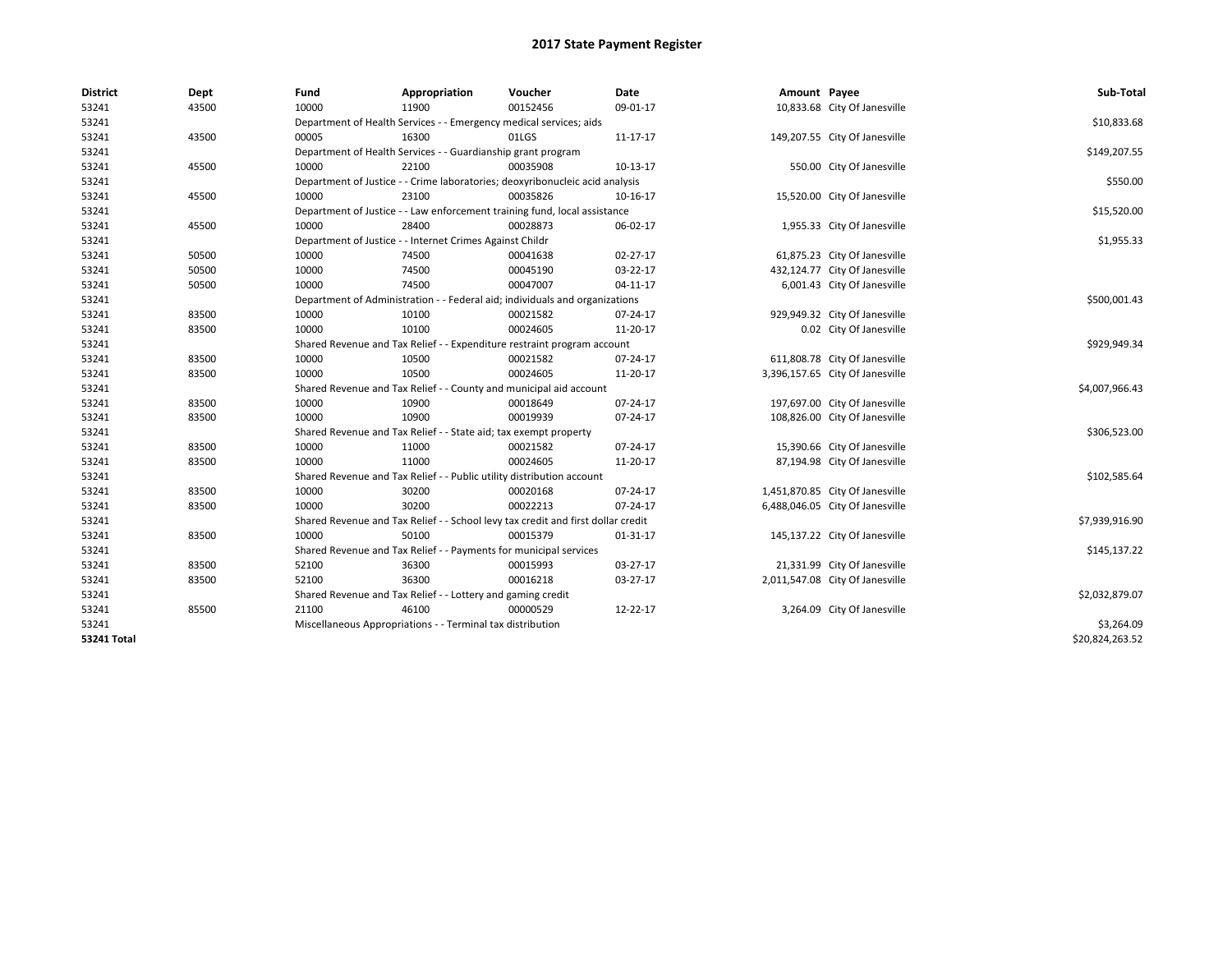| <b>District</b> | Dept  | Fund                                                                             | Appropriation | Voucher  | Date     | Amount Payee |                                 | Sub-Total       |
|-----------------|-------|----------------------------------------------------------------------------------|---------------|----------|----------|--------------|---------------------------------|-----------------|
| 53241           | 43500 | 10000                                                                            | 11900         | 00152456 | 09-01-17 |              | 10,833.68 City Of Janesville    |                 |
| 53241           |       | Department of Health Services - - Emergency medical services; aids               |               |          |          |              |                                 | \$10,833.68     |
| 53241           | 43500 | 00005                                                                            | 16300         | 01LGS    | 11-17-17 |              | 149,207.55 City Of Janesville   |                 |
| 53241           |       | Department of Health Services - - Guardianship grant program                     |               |          |          |              |                                 | \$149,207.55    |
| 53241           | 45500 | 10000                                                                            | 22100         | 00035908 | 10-13-17 |              | 550.00 City Of Janesville       |                 |
| 53241           |       | Department of Justice - - Crime laboratories; deoxyribonucleic acid analysis     |               |          |          |              |                                 | \$550.00        |
| 53241           | 45500 | 10000                                                                            | 23100         | 00035826 | 10-16-17 |              | 15,520.00 City Of Janesville    |                 |
| 53241           |       | Department of Justice - - Law enforcement training fund, local assistance        |               |          |          |              |                                 | \$15,520.00     |
| 53241           | 45500 | 10000                                                                            | 28400         | 00028873 | 06-02-17 |              | 1,955.33 City Of Janesville     |                 |
| 53241           |       | Department of Justice - - Internet Crimes Against Childr                         |               |          |          |              |                                 | \$1,955.33      |
| 53241           | 50500 | 10000                                                                            | 74500         | 00041638 | 02-27-17 |              | 61,875.23 City Of Janesville    |                 |
| 53241           | 50500 | 10000                                                                            | 74500         | 00045190 | 03-22-17 |              | 432,124.77 City Of Janesville   |                 |
| 53241           | 50500 | 10000                                                                            | 74500         | 00047007 | 04-11-17 |              | 6,001.43 City Of Janesville     |                 |
| 53241           |       | Department of Administration - - Federal aid; individuals and organizations      |               |          |          |              |                                 | \$500,001.43    |
| 53241           | 83500 | 10000                                                                            | 10100         | 00021582 | 07-24-17 |              | 929,949.32 City Of Janesville   |                 |
| 53241           | 83500 | 10000                                                                            | 10100         | 00024605 | 11-20-17 |              | 0.02 City Of Janesville         |                 |
| 53241           |       | Shared Revenue and Tax Relief - - Expenditure restraint program account          |               |          |          |              |                                 | \$929,949.34    |
| 53241           | 83500 | 10000                                                                            | 10500         | 00021582 | 07-24-17 |              | 611,808.78 City Of Janesville   |                 |
| 53241           | 83500 | 10000                                                                            | 10500         | 00024605 | 11-20-17 |              | 3,396,157.65 City Of Janesville |                 |
| 53241           |       | Shared Revenue and Tax Relief - - County and municipal aid account               |               |          |          |              |                                 | \$4,007,966.43  |
| 53241           | 83500 | 10000                                                                            | 10900         | 00018649 | 07-24-17 |              | 197,697.00 City Of Janesville   |                 |
| 53241           | 83500 | 10000                                                                            | 10900         | 00019939 | 07-24-17 |              | 108,826.00 City Of Janesville   |                 |
| 53241           |       | Shared Revenue and Tax Relief - - State aid; tax exempt property                 |               |          |          |              |                                 | \$306,523.00    |
| 53241           | 83500 | 10000                                                                            | 11000         | 00021582 | 07-24-17 |              | 15,390.66 City Of Janesville    |                 |
| 53241           | 83500 | 10000                                                                            | 11000         | 00024605 | 11-20-17 |              | 87,194.98 City Of Janesville    |                 |
| 53241           |       | Shared Revenue and Tax Relief - - Public utility distribution account            |               |          |          |              |                                 | \$102,585.64    |
| 53241           | 83500 | 10000                                                                            | 30200         | 00020168 | 07-24-17 |              | 1,451,870.85 City Of Janesville |                 |
| 53241           | 83500 | 10000                                                                            | 30200         | 00022213 | 07-24-17 |              | 6,488,046.05 City Of Janesville |                 |
| 53241           |       | Shared Revenue and Tax Relief - - School levy tax credit and first dollar credit |               |          |          |              |                                 | \$7,939,916.90  |
| 53241           | 83500 | 10000                                                                            | 50100         | 00015379 | 01-31-17 |              | 145,137.22 City Of Janesville   |                 |
| 53241           |       | Shared Revenue and Tax Relief - - Payments for municipal services                |               |          |          |              |                                 | \$145,137.22    |
| 53241           | 83500 | 52100                                                                            | 36300         | 00015993 | 03-27-17 |              | 21,331.99 City Of Janesville    |                 |
| 53241           | 83500 | 52100                                                                            | 36300         | 00016218 | 03-27-17 |              | 2,011,547.08 City Of Janesville |                 |
| 53241           |       | Shared Revenue and Tax Relief - - Lottery and gaming credit                      |               |          |          |              |                                 | \$2,032,879.07  |
| 53241           | 85500 | 21100                                                                            | 46100         | 00000529 | 12-22-17 |              | 3,264.09 City Of Janesville     |                 |
| 53241           |       | Miscellaneous Appropriations - - Terminal tax distribution                       |               |          |          |              |                                 | \$3,264.09      |
| 53241 Total     |       |                                                                                  |               |          |          |              |                                 | \$20,824,263.52 |